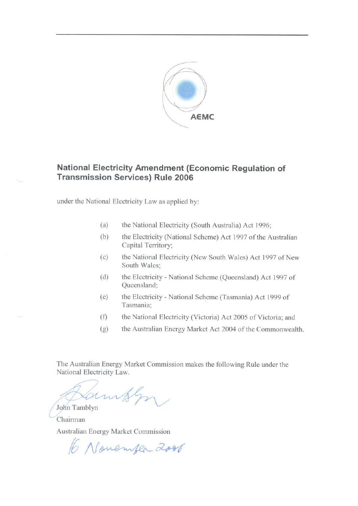

# National Electricity Amendment (Economic Regulation of **Transmission Services) Rule 2006**

under the National Electricity Law as applied by:

- $(a)$ the National Electricity (South Australia) Act 1996;
- $(b)$ the Electricity (National Scheme) Act 1997 of the Australian Capital Territory;
- $(c)$ the National Electricity (New South Wales) Act 1997 of New South Wales:
- $(d)$ the Electricity - National Scheme (Queensland) Act 1997 of Queensland;
- the Electricity National Scheme (Tasmania) Act 1999 of (e) Tasmania;
- the National Electricity (Victoria) Act 2005 of Victoria; and  $(f)$
- $(g)$ the Australian Energy Market Act 2004 of the Commonwealth.

The Australian Energy Market Commission makes the following Rule under the National Electricity Law.

John Tamblyn Chairman

Australian Energy Market Commission

6 November 2006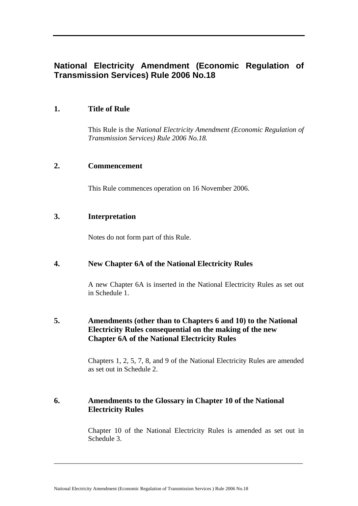# **National Electricity Amendment (Economic Regulation of Transmission Services) Rule 2006 No.18**

# **1. Title of Rule**

This Rule is the *National Electricity Amendment (Economic Regulation of Transmission Services) Rule 2006 No.18.* 

## **2. Commencement**

This Rule commences operation on 16 November 2006.

### **3. Interpretation**

Notes do not form part of this Rule.

## **4. New Chapter 6A of the National Electricity Rules**

A new Chapter 6A is inserted in the National Electricity Rules as set out in Schedule 1.

# **5. Amendments (other than to Chapters 6 and 10) to the National Electricity Rules consequential on the making of the new Chapter 6A of the National Electricity Rules**

Chapters 1, 2, 5, 7, 8, and 9 of the National Electricity Rules are amended as set out in Schedule 2.

# **6. Amendments to the Glossary in Chapter 10 of the National Electricity Rules**

\_\_\_\_\_\_\_\_\_\_\_\_\_\_\_\_\_\_\_\_\_\_\_\_\_\_\_\_\_\_\_\_\_\_\_\_\_\_\_\_\_\_\_\_\_\_\_\_\_\_\_\_\_\_\_\_\_\_\_\_\_\_\_\_\_\_\_\_\_

Chapter 10 of the National Electricity Rules is amended as set out in Schedule 3.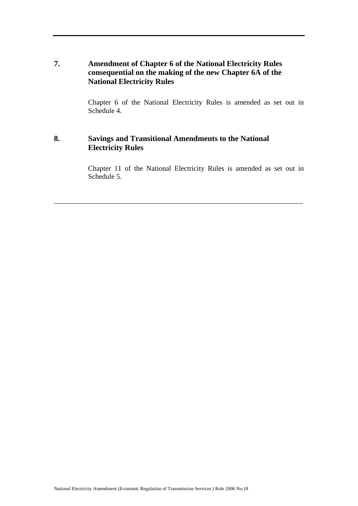# **7. Amendment of Chapter 6 of the National Electricity Rules consequential on the making of the new Chapter 6A of the National Electricity Rules**

Chapter 6 of the National Electricity Rules is amended as set out in Schedule 4.

# **8. Savings and Transitional Amendments to the National Electricity Rules**

Chapter 11 of the National Electricity Rules is amended as set out in Schedule 5.

\_\_\_\_\_\_\_\_\_\_\_\_\_\_\_\_\_\_\_\_\_\_\_\_\_\_\_\_\_\_\_\_\_\_\_\_\_\_\_\_\_\_\_\_\_\_\_\_\_\_\_\_\_\_\_\_\_\_\_\_\_\_\_\_\_\_\_\_\_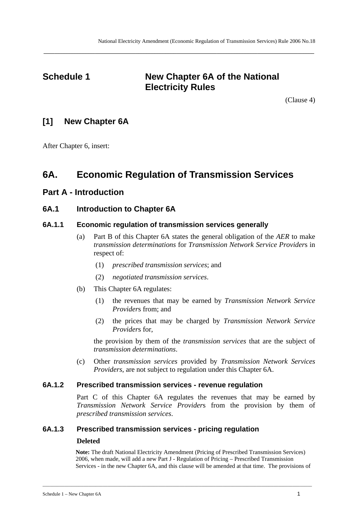# **Schedule 1** New Chapter 6A of the National **Electricity Rules**

**\_\_\_\_\_\_\_\_\_\_\_\_\_\_\_\_\_\_\_\_\_\_\_\_\_\_\_\_\_\_\_\_\_\_\_\_\_\_\_\_\_\_\_\_\_\_\_\_\_\_\_\_\_\_\_\_\_\_\_\_\_\_\_\_\_\_\_\_\_\_\_\_\_\_\_\_\_\_\_\_\_\_\_\_\_\_\_\_\_\_\_\_\_\_\_\_\_\_\_\_** 

(Clause 4)

# **[1] New Chapter 6A**

After Chapter 6, insert:

# **6A. Economic Regulation of Transmission Services**

# **Part A - Introduction**

# **6A.1 Introduction to Chapter 6A**

## **6A.1.1 Economic regulation of transmission services generally**

- (a) Part B of this Chapter 6A states the general obligation of the *AER* to make *transmission determinations* for *Transmission Network Service Provider*s in respect of:
	- (1) *prescribed transmission services*; and
	- (2) *negotiated transmission services*.
- (b) This Chapter 6A regulates:
	- (1) the revenues that may be earned by *Transmission Network Service Provider*s from; and
	- (2) the prices that may be charged by *Transmission Network Service Provider*s for,

the provision by them of the *transmission services* that are the subject of *transmission determinations*.

(c) Other *transmission services* provided by *Transmission Network Services Providers*, are not subject to regulation under this Chapter 6A.

#### **6A.1.2 Prescribed transmission services - revenue regulation**

Part C of this Chapter 6A regulates the revenues that may be earned by *Transmission Network Service Provider*s from the provision by them of *prescribed transmission services*.

## **6A.1.3 Prescribed transmission services - pricing regulation**

#### **Deleted**

**Note:** The draft National Electricity Amendment (Pricing of Prescribed Transmission Services) 2006, when made, will add a new Part J - Regulation of Pricing – Prescribed Transmission Services - in the new Chapter 6A, and this clause will be amended at that time. The provisions of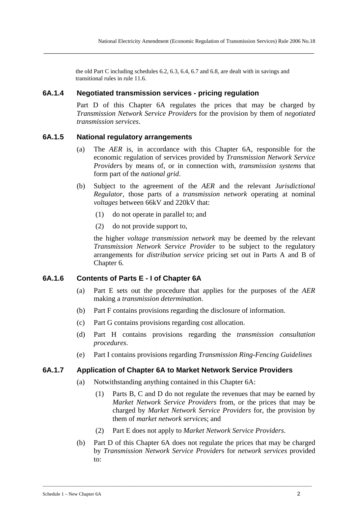the old Part C including schedules 6.2, 6.3, 6.4, 6.7 and 6.8, are dealt with in savings and transitional rules in rule 11.6.

**\_\_\_\_\_\_\_\_\_\_\_\_\_\_\_\_\_\_\_\_\_\_\_\_\_\_\_\_\_\_\_\_\_\_\_\_\_\_\_\_\_\_\_\_\_\_\_\_\_\_\_\_\_\_\_\_\_\_\_\_\_\_\_\_\_\_\_\_\_\_\_\_\_\_\_\_\_\_\_\_\_\_\_\_\_\_\_\_\_\_\_\_\_\_\_\_\_\_\_\_** 

### **6A.1.4 Negotiated transmission services - pricing regulation**

Part D of this Chapter 6A regulates the prices that may be charged by *Transmission Network Service Provider*s for the provision by them of *negotiated transmission services*.

#### **6A.1.5 National regulatory arrangements**

- (a) The *AER* is, in accordance with this Chapter 6A, responsible for the economic regulation of services provided by *Transmission Network Service Provider*s by means of, or in connection with, *transmission systems* that form part of the *national grid*.
- (b) Subject to the agreement of the *AER* and the relevant *Jurisdictional Regulator*, those parts of a *transmission network* operating at nominal *voltages* between 66kV and 220kV that:
	- (1) do not operate in parallel to; and
	- (2) do not provide support to,

the higher *voltage transmission network* may be deemed by the relevant *Transmission Network Service Provider* to be subject to the regulatory arrangements for *distribution service* pricing set out in Parts A and B of Chapter 6.

#### **6A.1.6 Contents of Parts E - I of Chapter 6A**

- (a) Part E sets out the procedure that applies for the purposes of the *AER* making a *transmission determination*.
- (b) Part F contains provisions regarding the disclosure of information.
- (c) Part G contains provisions regarding cost allocation.
- (d) Part H contains provisions regarding the *transmission consultation procedures*.
- (e) Part I contains provisions regarding *Transmission Ring-Fencing Guidelines*

#### **6A.1.7 Application of Chapter 6A to Market Network Service Providers**

- (a) Notwithstanding anything contained in this Chapter 6A:
	- (1) Parts B, C and D do not regulate the revenues that may be earned by *Market Network Service Providers* from, or the prices that may be charged by *Market Network Service Providers* for, the provision by them of *market network service*s; and
	- (2) Part E does not apply to *Market Network Service Providers*.

\_\_\_\_\_\_\_\_\_\_\_\_\_\_\_\_\_\_\_\_\_\_\_\_\_\_\_\_\_\_\_\_\_\_\_\_\_\_\_\_\_\_\_\_\_\_\_\_\_\_\_\_\_\_\_\_\_\_\_\_\_\_\_\_\_\_\_\_\_\_\_\_\_\_\_\_\_\_\_\_\_\_\_\_\_\_\_\_\_\_\_\_\_\_\_\_\_\_\_\_\_\_\_\_\_\_\_\_\_\_\_\_

(b) Part D of this Chapter 6A does not regulate the prices that may be charged by *Transmission Network Service Provider*s for *network services* provided to: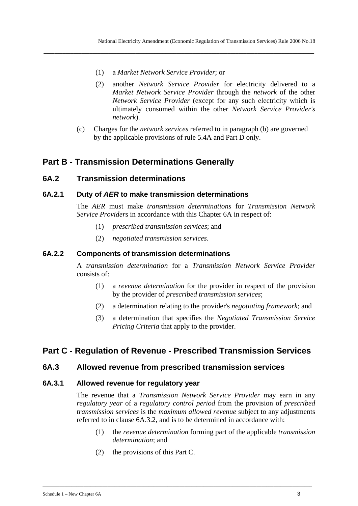(1) a *Market Network Service Provider*; or

**\_\_\_\_\_\_\_\_\_\_\_\_\_\_\_\_\_\_\_\_\_\_\_\_\_\_\_\_\_\_\_\_\_\_\_\_\_\_\_\_\_\_\_\_\_\_\_\_\_\_\_\_\_\_\_\_\_\_\_\_\_\_\_\_\_\_\_\_\_\_\_\_\_\_\_\_\_\_\_\_\_\_\_\_\_\_\_\_\_\_\_\_\_\_\_\_\_\_\_\_** 

- (2) another *Network Service Provider* for electricity delivered to a *Market Network Service Provider* through the *network* of the other *Network Service Provider* (except for any such electricity which is ultimately consumed within the other *Network Service Provider's network*).
- (c) Charges for the *network services* referred to in paragraph (b) are governed by the applicable provisions of rule 5.4A and Part D only.

# **Part B - Transmission Determinations Generally**

## **6A.2 Transmission determinations**

## **6A.2.1 Duty of** *AER* **to make transmission determinations**

The *AER* must make *transmission determinations* for *Transmission Network Service Providers* in accordance with this Chapter 6A in respect of:

- (1) *prescribed transmission services*; and
- (2) *negotiated transmission services*.

#### **6A.2.2 Components of transmission determinations**

A *transmission determination* for a *Transmission Network Service Provider* consists of:

- (1) a *revenue determination* for the provider in respect of the provision by the provider of *prescribed transmission services*;
- (2) a determination relating to the provider's *negotiating framework*; and
- (3) a determination that specifies the *Negotiated Transmission Service Pricing Criteria* that apply to the provider.

# **Part C - Regulation of Revenue - Prescribed Transmission Services**

\_\_\_\_\_\_\_\_\_\_\_\_\_\_\_\_\_\_\_\_\_\_\_\_\_\_\_\_\_\_\_\_\_\_\_\_\_\_\_\_\_\_\_\_\_\_\_\_\_\_\_\_\_\_\_\_\_\_\_\_\_\_\_\_\_\_\_\_\_\_\_\_\_\_\_\_\_\_\_\_\_\_\_\_\_\_\_\_\_\_\_\_\_\_\_\_\_\_\_\_\_\_\_\_\_\_\_\_\_\_\_\_

### **6A.3 Allowed revenue from prescribed transmission services**

#### **6A.3.1 Allowed revenue for regulatory year**

The revenue that a *Transmission Network Service Provider* may earn in any *regulatory year* of a *regulatory control period* from the provision of *prescribed transmission services* is the *maximum allowed revenue* subject to any adjustments referred to in clause 6A.3.2, and is to be determined in accordance with:

- (1) the *revenue determination* forming part of the applicable *transmission determination*; and
- (2) the provisions of this Part C.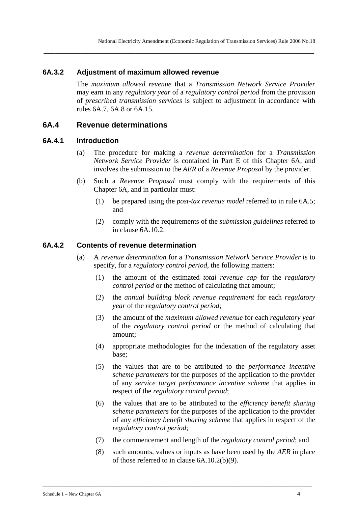#### **6A.3.2 Adjustment of maximum allowed revenue**

The *maximum allowed revenue* that a *Transmission Network Service Provider* may earn in any *regulatory year* of a *regulatory control period* from the provision of *prescribed transmission services* is subject to adjustment in accordance with rules 6A.7, 6A.8 or 6A.15.

**\_\_\_\_\_\_\_\_\_\_\_\_\_\_\_\_\_\_\_\_\_\_\_\_\_\_\_\_\_\_\_\_\_\_\_\_\_\_\_\_\_\_\_\_\_\_\_\_\_\_\_\_\_\_\_\_\_\_\_\_\_\_\_\_\_\_\_\_\_\_\_\_\_\_\_\_\_\_\_\_\_\_\_\_\_\_\_\_\_\_\_\_\_\_\_\_\_\_\_\_** 

### **6A.4 Revenue determinations**

#### **6A.4.1 Introduction**

- (a) The procedure for making a *revenue determination* for a *Transmission Network Service Provider* is contained in Part E of this Chapter 6A, and involves the submission to the *AER* of a *Revenue Proposal* by the provider.
- (b) Such a *Revenue Proposal* must comply with the requirements of this Chapter 6A, and in particular must:
	- (1) be prepared using the *post-tax revenue model* referred to in rule 6A.5; and
	- (2) comply with the requirements of the *submission guidelines* referred to in clause 6A.10.2.

#### **6A.4.2 Contents of revenue determination**

- (a) A *revenue determination* for a *Transmission Network Service Provider* is to specify, for a *regulatory control period*, the following matters:
	- (1) the amount of the estimated *total revenue cap* for the *regulatory control period* or the method of calculating that amount;
	- (2) the *annual building block revenue requirement* for each *regulatory year* of the *regulatory control period;*
	- (3) the amount of the *maximum allowed revenue* for each *regulatory year* of the *regulatory control period* or the method of calculating that amount;
	- (4) appropriate methodologies for the indexation of the regulatory asset base;
	- (5) the values that are to be attributed to the *performance incentive scheme parameters* for the purposes of the application to the provider of any *service target performance incentive scheme* that applies in respect of the *regulatory control period*;
	- (6) the values that are to be attributed to the *efficiency benefit sharing scheme parameters* for the purposes of the application to the provider of any *efficiency benefit sharing scheme* that applies in respect of the *regulatory control period*;
	- (7) the commencement and length of the *regulatory control period*; and

\_\_\_\_\_\_\_\_\_\_\_\_\_\_\_\_\_\_\_\_\_\_\_\_\_\_\_\_\_\_\_\_\_\_\_\_\_\_\_\_\_\_\_\_\_\_\_\_\_\_\_\_\_\_\_\_\_\_\_\_\_\_\_\_\_\_\_\_\_\_\_\_\_\_\_\_\_\_\_\_\_\_\_\_\_\_\_\_\_\_\_\_\_\_\_\_\_\_\_\_\_\_\_\_\_\_\_\_\_\_\_\_

(8) such amounts, values or inputs as have been used by the *AER* in place of those referred to in clause 6A.10.2(b)(9).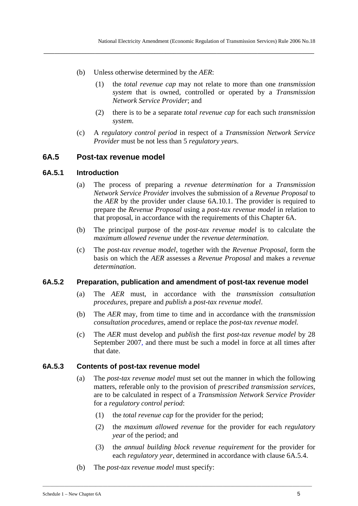- (b) Unless otherwise determined by the *AER*:
	- (1) the *total revenue cap* may not relate to more than one *transmission system* that is owned, controlled or operated by a *Transmission Network Service Provider*; and
	- (2) there is to be a separate *total revenue cap* for each such *transmission system*.
- (c) A *regulatory control period* in respect of a *Transmission Network Service Provider* must be not less than 5 *regulatory year*s.

### **6A.5 Post-tax revenue model**

#### **6A.5.1 Introduction**

- (a) The process of preparing a *revenue determination* for a *Transmission Network Service Provider* involves the submission of a *Revenue Proposal* to the *AER* by the provider under clause 6A.10.1. The provider is required to prepare the *Revenue Proposal* using a *post-tax revenue model* in relation to that proposal, in accordance with the requirements of this Chapter 6A.
- (b) The principal purpose of the *post-tax revenue model* is to calculate the *maximum allowed revenue* under the *revenue determination*.
- (c) The *post-tax revenue model*, together with the *Revenue Proposal,* form the basis on which the *AER* assesses a *Revenue Proposal* and makes a *revenue determination*.

#### **6A.5.2 Preparation, publication and amendment of post-tax revenue model**

- (a) The *AER* must, in accordance with the *transmission consultation procedures*, prepare and *publish* a *post-tax revenue model*.
- (b) The *AER* may, from time to time and in accordance with the *transmission consultation procedures*, amend or replace the *post-tax revenue model.*
- (c) The *AER* must develop and *publish* the first *post-tax revenue model* by 28 September 2007, and there must be such a model in force at all times after that date.

#### **6A.5.3 Contents of post-tax revenue model**

- (a) The *post-tax revenue model* must set out the manner in which the following matters, referable only to the provision of *prescribed transmission services*, are to be calculated in respect of a *Transmission Network Service Provider* for a *regulatory control period*:
	- (1) the *total revenue cap* for the provider for the period;

- (2) the *maximum allowed revenue* for the provider for each *regulatory year* of the period; and
- (3) the *annual building block revenue requirement* for the provider for each *regulatory year*, determined in accordance with clause 6A.5.4.
- (b) The *post-tax revenue model* must specify: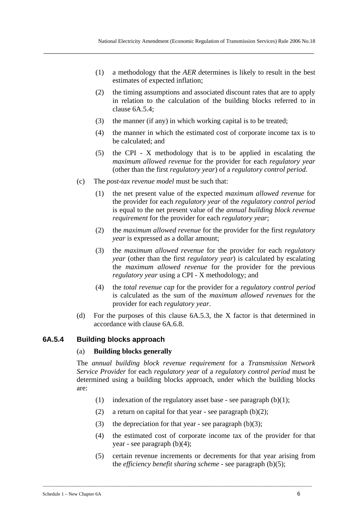- (1) a methodology that the *AER* determines is likely to result in the best estimates of expected inflation;
- (2) the timing assumptions and associated discount rates that are to apply in relation to the calculation of the building blocks referred to in clause 6A.5.4;
- (3) the manner (if any) in which working capital is to be treated;

- (4) the manner in which the estimated cost of corporate income tax is to be calculated; and
- (5) the CPI X methodology that is to be applied in escalating the *maximum allowed revenue* for the provider for each *regulatory year* (other than the first *regulatory year*) of a *regulatory control period*.
- (c) The *post-tax revenue model* must be such that:
	- (1) the net present value of the expected *maximum allowed revenue* for the provider for each *regulatory year* of the *regulatory control period* is equal to the net present value of the *annual building block revenue requirement* for the provider for each *regulatory year*;
	- (2) the *maximum allowed revenue* for the provider for the first *regulatory year* is expressed as a dollar amount;
	- (3) the *maximum allowed revenue* for the provider for each *regulatory year* (other than the first *regulatory year*) is calculated by escalating the *maximum allowed revenue* for the provider for the previous *regulatory year* using a CPI - X methodology; and
	- (4) the *total revenue cap* for the provider for a *regulatory control period* is calculated as the sum of the *maximum allowed revenues* for the provider for each *regulatory year*.
- (d) For the purposes of this clause 6A.5.3, the X factor is that determined in accordance with clause 6A.6.8.

#### **6A.5.4 Building blocks approach**

#### (a) **Building blocks generally**

The *annual building block revenue requirement* for a *Transmission Network Service Provider* for each *regulatory year* of a *regulatory control period* must be determined using a building blocks approach, under which the building blocks are:

- (1) indexation of the regulatory asset base see paragraph  $(b)(1)$ ;
- (2) a return on capital for that year see paragraph  $(b)(2)$ ;
- (3) the depreciation for that year see paragraph  $(b)(3)$ ;

- (4) the estimated cost of corporate income tax of the provider for that year - see paragraph (b)(4);
- (5) certain revenue increments or decrements for that year arising from the *efficiency benefit sharing scheme* - see paragraph (b)(5);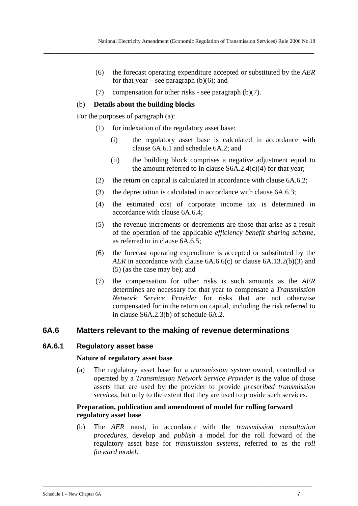- (6) the forecast operating expenditure accepted or substituted by the *AER* for that year – see paragraph  $(b)(6)$ ; and
- (7) compensation for other risks see paragraph (b)(7).

### (b) **Details about the building blocks**

For the purposes of paragraph (a):

- (1) for indexation of the regulatory asset base:
	- (i) the regulatory asset base is calculated in accordance with clause 6A.6.1 and schedule 6A.2; and
	- (ii) the building block comprises a negative adjustment equal to the amount referred to in clause  $S6A.2.4(c)(4)$  for that year;
- (2) the return on capital is calculated in accordance with clause 6A.6.2;
- (3) the depreciation is calculated in accordance with clause 6A.6.3;
- (4) the estimated cost of corporate income tax is determined in accordance with clause 6A.6.4;
- (5) the revenue increments or decrements are those that arise as a result of the operation of the applicable *efficiency benefit sharing scheme*, as referred to in clause 6A.6.5;
- (6) the forecast operating expenditure is accepted or substituted by the *AER* in accordance with clause 6A.6.6(c) or clause 6A.13.2(b)(3) and (5) (as the case may be); and
- (7) the compensation for other risks is such amounts as the *AER* determines are necessary for that year to compensate a *Transmission Network Service Provider* for risks that are not otherwise compensated for in the return on capital, including the risk referred to in clause S6A.2.3(b) of schedule 6A.2.

## **6A.6 Matters relevant to the making of revenue determinations**

#### **6A.6.1 Regulatory asset base**

#### **Nature of regulatory asset base**

(a) The regulatory asset base for a *transmission system* owned, controlled or operated by a *Transmission Network Service Provider* is the value of those assets that are used by the provider to provide *prescribed transmission services*, but only to the extent that they are used to provide such services.

### **Preparation, publication and amendment of model for rolling forward regulatory asset base**

\_\_\_\_\_\_\_\_\_\_\_\_\_\_\_\_\_\_\_\_\_\_\_\_\_\_\_\_\_\_\_\_\_\_\_\_\_\_\_\_\_\_\_\_\_\_\_\_\_\_\_\_\_\_\_\_\_\_\_\_\_\_\_\_\_\_\_\_\_\_\_\_\_\_\_\_\_\_\_\_\_\_\_\_\_\_\_\_\_\_\_\_\_\_\_\_\_\_\_\_\_\_\_\_\_\_\_\_\_\_\_\_

(b) The *AER* must, in accordance with the *transmission consultation procedures*, develop and *publish* a model for the roll forward of the regulatory asset base for *transmission systems*, referred to as the *roll forward model*.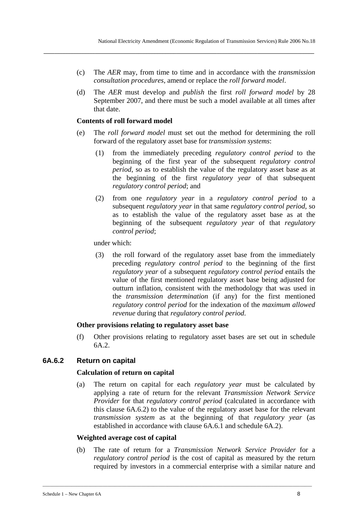(c) The *AER* may, from time to time and in accordance with the *transmission consultation procedures*, amend or replace the *roll forward model*.

**\_\_\_\_\_\_\_\_\_\_\_\_\_\_\_\_\_\_\_\_\_\_\_\_\_\_\_\_\_\_\_\_\_\_\_\_\_\_\_\_\_\_\_\_\_\_\_\_\_\_\_\_\_\_\_\_\_\_\_\_\_\_\_\_\_\_\_\_\_\_\_\_\_\_\_\_\_\_\_\_\_\_\_\_\_\_\_\_\_\_\_\_\_\_\_\_\_\_\_\_** 

(d) The *AER* must develop and *publish* the first *roll forward model* by 28 September 2007, and there must be such a model available at all times after that date.

#### **Contents of roll forward model**

- (e) The *roll forward model* must set out the method for determining the roll forward of the regulatory asset base for *transmission systems*:
	- (1) from the immediately preceding *regulatory control period* to the beginning of the first year of the subsequent *regulatory control period*, so as to establish the value of the regulatory asset base as at the beginning of the first *regulatory year* of that subsequent *regulatory control period*; and
	- (2) from one *regulatory year* in a *regulatory control period* to a subsequent *regulatory year* in that same *regulatory control period*, so as to establish the value of the regulatory asset base as at the beginning of the subsequent *regulatory year* of that *regulatory control period*;

under which:

(3) the roll forward of the regulatory asset base from the immediately preceding *regulatory control period* to the beginning of the first *regulatory year* of a subsequent *regulatory control period* entails the value of the first mentioned regulatory asset base being adjusted for outturn inflation, consistent with the methodology that was used in the *transmission determination* (if any) for the first mentioned *regulatory control period* for the indexation of the *maximum allowed revenue* during that *regulatory control period*.

#### **Other provisions relating to regulatory asset base**

(f) Other provisions relating to regulatory asset bases are set out in schedule 6A.2.

#### **6A.6.2 Return on capital**

#### **Calculation of return on capital**

(a) The return on capital for each *regulatory year* must be calculated by applying a rate of return for the relevant *Transmission Network Service Provider* for that *regulatory control period* (calculated in accordance with this clause 6A.6.2) to the value of the regulatory asset base for the relevant *transmission system* as at the beginning of that *regulatory year* (as established in accordance with clause 6A.6.1 and schedule 6A.2).

#### **Weighted average cost of capital**

(b) The rate of return for a *Transmission Network Service Provider* for a *regulatory control period* is the cost of capital as measured by the return required by investors in a commercial enterprise with a similar nature and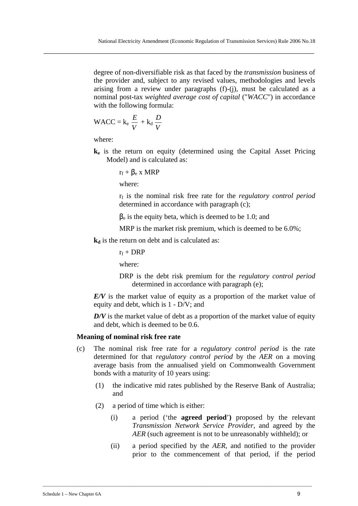degree of non-diversifiable risk as that faced by the *transmission* business of the provider and, subject to any revised values, methodologies and levels arising from a review under paragraphs (f)-(j), must be calculated as a nominal post-tax *weighted average cost of capital* ("*WACC*") in accordance with the following formula:

$$
WACC = k_e \frac{E}{V} + k_d \frac{D}{V}
$$

where:

**ke** is the return on equity (determined using the Capital Asset Pricing Model) and is calculated as:

$$
r_f + \beta_e \; x \; MRP
$$

where:

rf is the nominal risk free rate for the *regulatory control period* determined in accordance with paragraph (c);

 $\beta_e$  is the equity beta, which is deemed to be 1.0; and

MRP is the market risk premium, which is deemed to be  $6.0\%$ ;

 $k_d$  is the return on debt and is calculated as:

 $r_f$  + DRP

where:

DRP is the debt risk premium for the *regulatory control period* determined in accordance with paragraph (e);

*E/V* is the market value of equity as a proportion of the market value of equity and debt, which is 1 - D/V; and

*D/V* is the market value of debt as a proportion of the market value of equity and debt, which is deemed to be 0.6.

#### **Meaning of nominal risk free rate**

- (c) The nominal risk free rate for a *regulatory control period* is the rate determined for that *regulatory control period* by the *AER* on a moving average basis from the annualised yield on Commonwealth Government bonds with a maturity of 10 years using:
	- (1) the indicative mid rates published by the Reserve Bank of Australia; and
	- (2) a period of time which is either:
		- (i) a period ('the **agreed period**'**)** proposed by the relevant *Transmission Network Service Provider*, and agreed by the *AER* (such agreement is not to be unreasonably withheld); or
		- (ii) a period specified by the *AER*, and notified to the provider prior to the commencement of that period, if the period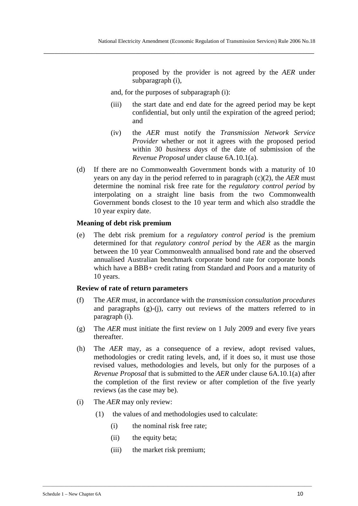proposed by the provider is not agreed by the *AER* under subparagraph (i),

and, for the purposes of subparagraph (i):

**\_\_\_\_\_\_\_\_\_\_\_\_\_\_\_\_\_\_\_\_\_\_\_\_\_\_\_\_\_\_\_\_\_\_\_\_\_\_\_\_\_\_\_\_\_\_\_\_\_\_\_\_\_\_\_\_\_\_\_\_\_\_\_\_\_\_\_\_\_\_\_\_\_\_\_\_\_\_\_\_\_\_\_\_\_\_\_\_\_\_\_\_\_\_\_\_\_\_\_\_** 

- (iii) the start date and end date for the agreed period may be kept confidential, but only until the expiration of the agreed period; and
- (iv) the *AER* must notify the *Transmission Network Service Provider* whether or not it agrees with the proposed period within 30 *business days* of the date of submission of the *Revenue Proposal* under clause 6A.10.1(a).
- (d) If there are no Commonwealth Government bonds with a maturity of 10 years on any day in the period referred to in paragraph (c)(2), the *AER* must determine the nominal risk free rate for the *regulatory control period* by interpolating on a straight line basis from the two Commonwealth Government bonds closest to the 10 year term and which also straddle the 10 year expiry date.

#### **Meaning of debt risk premium**

(e) The debt risk premium for a *regulatory control period* is the premium determined for that *regulatory control period* by the *AER* as the margin between the 10 year Commonwealth annualised bond rate and the observed annualised Australian benchmark corporate bond rate for corporate bonds which have a BBB+ credit rating from Standard and Poors and a maturity of 10 years.

#### **Review of rate of return parameters**

- (f) The *AER* must, in accordance with the *transmission consultation procedures* and paragraphs (g)-(j), carry out reviews of the matters referred to in paragraph (i).
- (g) The *AER* must initiate the first review on 1 July 2009 and every five years thereafter.
- (h) The *AER* may, as a consequence of a review, adopt revised values, methodologies or credit rating levels, and, if it does so, it must use those revised values, methodologies and levels, but only for the purposes of a *Revenue Proposal* that is submitted to the *AER* under clause 6A.10.1(a) after the completion of the first review or after completion of the five yearly reviews (as the case may be).
- (i) The *AER* may only review:
	- (1) the values of and methodologies used to calculate:

- (i) the nominal risk free rate;
- (ii) the equity beta;
- (iii) the market risk premium;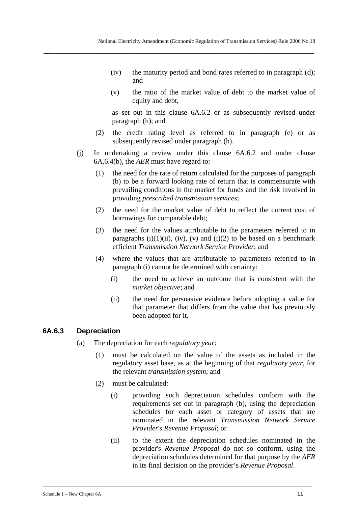- (iv) the maturity period and bond rates referred to in paragraph (d); and
- (v) the ratio of the market value of debt to the market value of equity and debt,

as set out in this clause 6A.6.2 or as subsequently revised under paragraph (h); and

- (2) the credit rating level as referred to in paragraph (e) or as subsequently revised under paragraph (h).
- (j) In undertaking a review under this clause 6A.6.2 and under clause 6A.6.4(b), the *AER* must have regard to:
	- (1) the need for the rate of return calculated for the purposes of paragraph (b) to be a forward looking rate of return that is commensurate with prevailing conditions in the market for funds and the risk involved in providing *prescribed transmission services*;
	- (2) the need for the market value of debt to reflect the current cost of borrowings for comparable debt;
	- (3) the need for the values attributable to the parameters referred to in paragraphs  $(i)(1)(ii)$ ,  $(iv)$ ,  $(v)$  and  $(i)(2)$  to be based on a benchmark efficient *Transmission Network Service Provider*; and
	- (4) where the values that are attributable to parameters referred to in paragraph (i) cannot be determined with certainty:
		- (i) the need to achieve an outcome that is consistent with the *market objective*; and
		- (ii) the need for persuasive evidence before adopting a value for that parameter that differs from the value that has previously been adopted for it.

#### **6A.6.3 Depreciation**

- (a) The depreciation for each *regulatory year*:
	- (1) must be calculated on the value of the assets as included in the regulatory asset base, as at the beginning of that *regulatory year*, for the relevant *transmission system*; and
	- (2) must be calculated:
		- (i) providing such depreciation schedules conform with the requirements set out in paragraph (b), using the depreciation schedules for each asset or category of assets that are nominated in the relevant *Transmission Network Service Provider*'s *Revenue Proposal*; or
		- (ii) to the extent the depreciation schedules nominated in the provider's *Revenue Proposal* do not so conform, using the depreciation schedules determined for that purpose by the *AER* in its final decision on the provider's *Revenue Proposal*.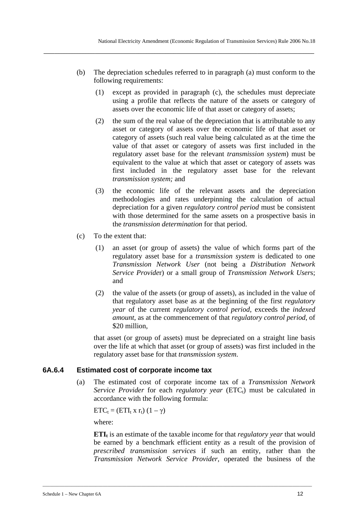(b) The depreciation schedules referred to in paragraph (a) must conform to the following requirements:

**\_\_\_\_\_\_\_\_\_\_\_\_\_\_\_\_\_\_\_\_\_\_\_\_\_\_\_\_\_\_\_\_\_\_\_\_\_\_\_\_\_\_\_\_\_\_\_\_\_\_\_\_\_\_\_\_\_\_\_\_\_\_\_\_\_\_\_\_\_\_\_\_\_\_\_\_\_\_\_\_\_\_\_\_\_\_\_\_\_\_\_\_\_\_\_\_\_\_\_\_** 

- (1) except as provided in paragraph (c), the schedules must depreciate using a profile that reflects the nature of the assets or category of assets over the economic life of that asset or category of assets;
- (2) the sum of the real value of the depreciation that is attributable to any asset or category of assets over the economic life of that asset or category of assets (such real value being calculated as at the time the value of that asset or category of assets was first included in the regulatory asset base for the relevant *transmission system*) must be equivalent to the value at which that asset or category of assets was first included in the regulatory asset base for the relevant *transmission system;* and
- (3) the economic life of the relevant assets and the depreciation methodologies and rates underpinning the calculation of actual depreciation for a given *regulatory control period* must be consistent with those determined for the same assets on a prospective basis in the *transmission determination* for that period.
- (c) To the extent that:
	- (1) an asset (or group of assets) the value of which forms part of the regulatory asset base for a *transmission system* is dedicated to one *Transmission Network User* (not being a *Distribution Network Service Provide*r) or a small group of *Transmission Network User*s; and
	- (2) the value of the assets (or group of assets), as included in the value of that regulatory asset base as at the beginning of the first *regulatory year* of the current *regulatory control period*, exceeds the *indexed amount*, as at the commencement of that *regulatory control period*, of \$20 million.

that asset (or group of assets) must be depreciated on a straight line basis over the life at which that asset (or group of assets) was first included in the regulatory asset base for that *transmission system*.

## **6A.6.4 Estimated cost of corporate income tax**

(a) The estimated cost of corporate income tax of a *Transmission Network Service Provider* for each *regulatory year* (ETC<sub>t</sub>) must be calculated in accordance with the following formula:

 $ETC_t = (ETI_t \times r_t) (1 - \gamma)$ 

where:

**ETI**<sub>t</sub> is an estimate of the taxable income for that *regulatory year* that would be earned by a benchmark efficient entity as a result of the provision of *prescribed transmission services* if such an entity, rather than the *Transmission Network Service Provider,* operated the business of the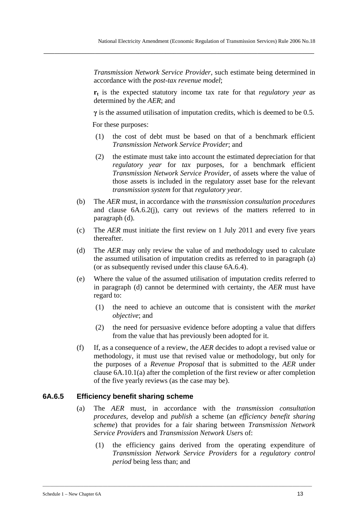*Transmission Network Service Provider,* such estimate being determined in accordance with the *post-tax revenue model*;

**rt** is the expected statutory income tax rate for that *regulatory year* as determined by the *AER*; and

**γ** is the assumed utilisation of imputation credits, which is deemed to be 0.5.

For these purposes:

- (1) the cost of debt must be based on that of a benchmark efficient *Transmission Network Service Provider*; and
- (2) the estimate must take into account the estimated depreciation for that *regulatory year* for *tax* purposes, for a benchmark efficient *Transmission Network Service Provider*, of assets where the value of those assets is included in the regulatory asset base for the relevant *transmission system* for that *regulatory year*.
- (b) The *AER* must, in accordance with the *transmission consultation procedures* and clause 6A.6.2(j), carry out reviews of the matters referred to in paragraph (d).
- (c) The *AER* must initiate the first review on 1 July 2011 and every five years thereafter.
- (d) The *AER* may only review the value of and methodology used to calculate the assumed utilisation of imputation credits as referred to in paragraph (a) (or as subsequently revised under this clause 6A.6.4).
- (e) Where the value of the assumed utilisation of imputation credits referred to in paragraph (d) cannot be determined with certainty, the *AER* must have regard to:
	- (1) the need to achieve an outcome that is consistent with the *market objective*; and
	- (2) the need for persuasive evidence before adopting a value that differs from the value that has previously been adopted for it.
- (f) If, as a consequence of a review, the *AER* decides to adopt a revised value or methodology, it must use that revised value or methodology, but only for the purposes of a *Revenue Proposal* that is submitted to the *AER* under clause 6A.10.1(a) after the completion of the first review or after completion of the five yearly reviews (as the case may be).

### **6A.6.5 Efficiency benefit sharing scheme**

(a) The *AER* must, in accordance with the *transmission consultation procedures*, develop and *publish* a scheme (an *efficiency benefit sharing scheme*) that provides for a fair sharing between *Transmission Network Service Provider*s and *Transmission Network User*s of:

\_\_\_\_\_\_\_\_\_\_\_\_\_\_\_\_\_\_\_\_\_\_\_\_\_\_\_\_\_\_\_\_\_\_\_\_\_\_\_\_\_\_\_\_\_\_\_\_\_\_\_\_\_\_\_\_\_\_\_\_\_\_\_\_\_\_\_\_\_\_\_\_\_\_\_\_\_\_\_\_\_\_\_\_\_\_\_\_\_\_\_\_\_\_\_\_\_\_\_\_\_\_\_\_\_\_\_\_\_\_\_\_

(1) the efficiency gains derived from the operating expenditure of *Transmission Network Service Providers* for a *regulatory control period* being less than; and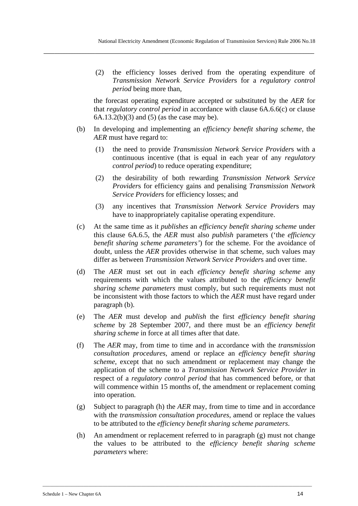(2) the efficiency losses derived from the operating expenditure of *Transmission Network Service Provider*s for a *regulatory control period* being more than,

the forecast operating expenditure accepted or substituted by the *AER* for that *regulatory control period* in accordance with clause 6A.6.6(c) or clause  $6A.13.2(b)(3)$  and  $(5)$  (as the case may be).

- (b) In developing and implementing an *efficiency benefit sharing scheme*, the *AER* must have regard to:
	- (1) the need to provide *Transmission Network Service Provider*s with a continuous incentive (that is equal in each year of any *regulatory control period*) to reduce operating expenditure;
	- (2) the desirability of both rewarding *Transmission Network Service Provider*s for efficiency gains and penalising *Transmission Network Service Provider*s for efficiency losses; and
	- (3) any incentives that *Transmission Network Service Provider*s may have to inappropriately capitalise operating expenditure.
- (c) At the same time as it *publishes* an *efficiency benefit sharing scheme* under this clause 6A.6.5, the *AER* must also *publish* parameters ('the *efficiency benefit sharing scheme parameters'*) for the scheme. For the avoidance of doubt, unless the *AER* provides otherwise in that scheme, such values may differ as between *Transmission Network Service Provider*s and over time.
- (d) The *AER* must set out in each *efficiency benefit sharing scheme* any requirements with which the values attributed to the *efficiency benefit sharing scheme parameters* must comply, but such requirements must not be inconsistent with those factors to which the *AER* must have regard under paragraph (b).
- (e) The *AER* must develop and *publish* the first *efficiency benefit sharing scheme* by 28 September 2007, and there must be an *efficiency benefit sharing scheme* in force at all times after that date.
- (f) The *AER* may, from time to time and in accordance with the *transmission consultation procedures*, amend or replace an *efficiency benefit sharing scheme*, except that no such amendment or replacement may change the application of the scheme to a *Transmission Network Service Provider* in respect of a *regulatory control period* that has commenced before, or that will commence within 15 months of, the amendment or replacement coming into operation.
- (g) Subject to paragraph (h) the *AER* may, from time to time and in accordance with the *transmission consultation procedures*, amend or replace the values to be attributed to the *efficiency benefit sharing scheme parameters*.
- (h) An amendment or replacement referred to in paragraph (g) must not change the values to be attributed to the *efficiency benefit sharing scheme parameters* where: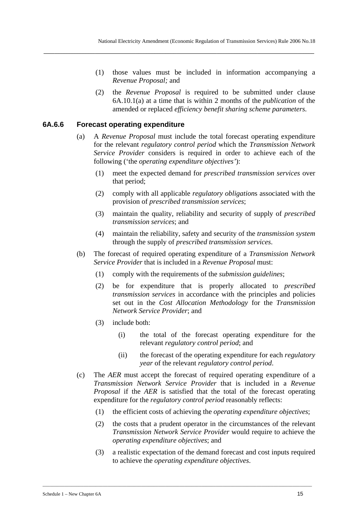- (1) those values must be included in information accompanying a *Revenue Proposal;* and
- (2) the *Revenue Proposal* is required to be submitted under clause 6A.10.1(a) at a time that is within 2 months of the *publication* of the amended or replaced *efficiency benefit sharing scheme parameters.*

#### **6A.6.6 Forecast operating expenditure**

- (a) A *Revenue Proposal* must include the total forecast operating expenditure for the relevant *regulatory control period* which the *Transmission Network Service Provider* considers is required in order to achieve each of the following ('the *operating expenditure objectives'*):
	- (1) meet the expected demand for *prescribed transmission services* over that period;
	- (2) comply with all applicable *regulatory obligation*s associated with the provision of *prescribed transmission services*;
	- (3) maintain the quality, reliability and security of supply of *prescribed transmission services*; and
	- (4) maintain the reliability, safety and security of the *transmission system* through the supply of *prescribed transmission services*.
- (b) The forecast of required operating expenditure of a *Transmission Network Service Provider* that is included in a *Revenue Proposal* must:
	- (1) comply with the requirements of the *submission guidelines*;
	- (2) be for expenditure that is properly allocated to *prescribed transmission services* in accordance with the principles and policies set out in the *Cost Allocation Methodology* for the *Transmission Network Service Provider*; and
	- (3) include both:
		- (i) the total of the forecast operating expenditure for the relevant *regulatory control period*; and
		- (ii) the forecast of the operating expenditure for each *regulatory year* of the relevant *regulatory control period*.
- (c) The *AER* must accept the forecast of required operating expenditure of a *Transmission Network Service Provider* that is included in a *Revenue Proposal* if the *AER* is satisfied that the total of the forecast operating expenditure for the *regulatory control period* reasonably reflects:
	- (1) the efficient costs of achieving the *operating expenditure objectives*;
	- (2) the costs that a prudent operator in the circumstances of the relevant *Transmission Network Service Provider* would require to achieve the *operating expenditure objectives*; and
	- (3) a realistic expectation of the demand forecast and cost inputs required to achieve the *operating expenditure objectives*.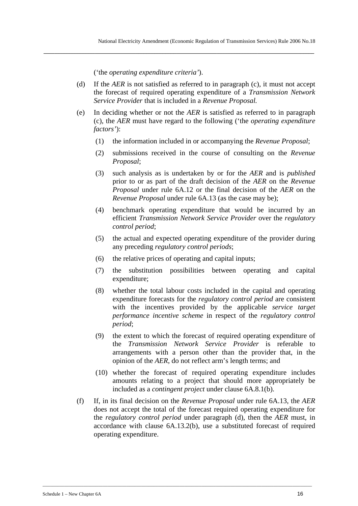('the *operating expenditure criteria'*).

(d) If the *AER* is not satisfied as referred to in paragraph (c), it must not accept the forecast of required operating expenditure of a *Transmission Network Service Provider* that is included in a *Revenue Proposal.*

**\_\_\_\_\_\_\_\_\_\_\_\_\_\_\_\_\_\_\_\_\_\_\_\_\_\_\_\_\_\_\_\_\_\_\_\_\_\_\_\_\_\_\_\_\_\_\_\_\_\_\_\_\_\_\_\_\_\_\_\_\_\_\_\_\_\_\_\_\_\_\_\_\_\_\_\_\_\_\_\_\_\_\_\_\_\_\_\_\_\_\_\_\_\_\_\_\_\_\_\_** 

- (e) In deciding whether or not the *AER* is satisfied as referred to in paragraph (c), the *AER* must have regard to the following ('the *operating expenditure factors'*):
	- (1) the information included in or accompanying the *Revenue Proposal*;
	- (2) submissions received in the course of consulting on the *Revenue Proposal*;
	- (3) such analysis as is undertaken by or for the *AER* and is *published* prior to or as part of the draft decision of the *AER* on the *Revenue Proposal* under rule 6A.12 or the final decision of the *AER* on the *Revenue Proposal* under rule 6A.13 (as the case may be);
	- (4) benchmark operating expenditure that would be incurred by an efficient *Transmission Network Service Provider* over the *regulatory control period*;
	- (5) the actual and expected operating expenditure of the provider during any preceding *regulatory control periods*;
	- (6) the relative prices of operating and capital inputs;
	- (7) the substitution possibilities between operating and capital expenditure;
	- (8) whether the total labour costs included in the capital and operating expenditure forecasts for the *regulatory control period* are consistent with the incentives provided by the applicable *service target performance incentive scheme* in respect of the *regulatory control period*;
	- (9) the extent to which the forecast of required operating expenditure of the *Transmission Network Service Provider* is referable to arrangements with a person other than the provider that, in the opinion of the *AER*, do not reflect arm's length terms; and
	- (10) whether the forecast of required operating expenditure includes amounts relating to a project that should more appropriately be included as a *contingent project* under clause 6A.8.1(b).
- (f) If, in its final decision on the *Revenue Proposal* under rule 6A.13, the *AER*  does not accept the total of the forecast required operating expenditure for the *regulatory control period* under paragraph (d), then the *AER* must, in accordance with clause 6A.13.2(b), use a substituted forecast of required operating expenditure.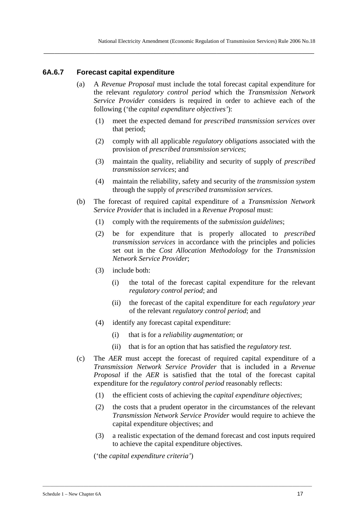### **6A.6.7 Forecast capital expenditure**

(a) A *Revenue Proposal* must include the total forecast capital expenditure for the relevant *regulatory control period* which the *Transmission Network Service Provider* considers is required in order to achieve each of the following ('the *capital expenditure objectives'*):

**\_\_\_\_\_\_\_\_\_\_\_\_\_\_\_\_\_\_\_\_\_\_\_\_\_\_\_\_\_\_\_\_\_\_\_\_\_\_\_\_\_\_\_\_\_\_\_\_\_\_\_\_\_\_\_\_\_\_\_\_\_\_\_\_\_\_\_\_\_\_\_\_\_\_\_\_\_\_\_\_\_\_\_\_\_\_\_\_\_\_\_\_\_\_\_\_\_\_\_\_** 

- (1) meet the expected demand for *prescribed transmission services* over that period;
- (2) comply with all applicable *regulatory obligation*s associated with the provision of *prescribed transmission services*;
- (3) maintain the quality, reliability and security of supply of *prescribed transmission services*; and
- (4) maintain the reliability, safety and security of the *transmission system* through the supply of *prescribed transmission services*.
- (b) The forecast of required capital expenditure of a *Transmission Network Service Provider* that is included in a *Revenue Proposal* must:
	- (1) comply with the requirements of the *submission guidelines*;
	- (2) be for expenditure that is properly allocated to *prescribed transmission services* in accordance with the principles and policies set out in the *Cost Allocation Methodology* for the *Transmission Network Service Provider*;
	- (3) include both:
		- (i) the total of the forecast capital expenditure for the relevant *regulatory control period*; and
		- (ii) the forecast of the capital expenditure for each *regulatory year* of the relevant *regulatory control period*; and
	- (4) identify any forecast capital expenditure:
		- (i) that is for a *reliability augmentation*; or

\_\_\_\_\_\_\_\_\_\_\_\_\_\_\_\_\_\_\_\_\_\_\_\_\_\_\_\_\_\_\_\_\_\_\_\_\_\_\_\_\_\_\_\_\_\_\_\_\_\_\_\_\_\_\_\_\_\_\_\_\_\_\_\_\_\_\_\_\_\_\_\_\_\_\_\_\_\_\_\_\_\_\_\_\_\_\_\_\_\_\_\_\_\_\_\_\_\_\_\_\_\_\_\_\_\_\_\_\_\_\_\_

- (ii) that is for an option that has satisfied the *regulatory test*.
- (c) The *AER* must accept the forecast of required capital expenditure of a *Transmission Network Service Provider* that is included in a *Revenue Proposal* if the *AER* is satisfied that the total of the forecast capital expenditure for the *regulatory control period* reasonably reflects:
	- (1) the efficient costs of achieving the *capital expenditure objectives*;
	- (2) the costs that a prudent operator in the circumstances of the relevant *Transmission Network Service Provider* would require to achieve the capital expenditure objectives; and
	- (3) a realistic expectation of the demand forecast and cost inputs required to achieve the capital expenditure objectives.

('the *capital expenditure criteria'*)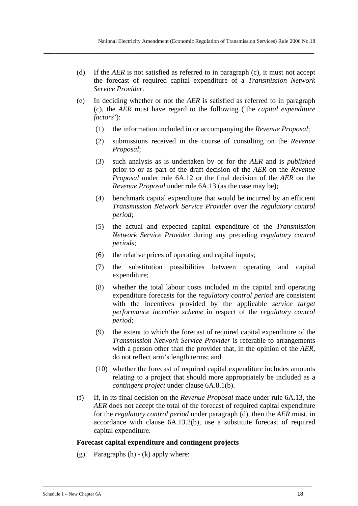(d) If the *AER* is not satisfied as referred to in paragraph (c), it must not accept the forecast of required capital expenditure of a *Transmission Network Service Provider.*

**\_\_\_\_\_\_\_\_\_\_\_\_\_\_\_\_\_\_\_\_\_\_\_\_\_\_\_\_\_\_\_\_\_\_\_\_\_\_\_\_\_\_\_\_\_\_\_\_\_\_\_\_\_\_\_\_\_\_\_\_\_\_\_\_\_\_\_\_\_\_\_\_\_\_\_\_\_\_\_\_\_\_\_\_\_\_\_\_\_\_\_\_\_\_\_\_\_\_\_\_** 

- (e) In deciding whether or not the *AER* is satisfied as referred to in paragraph (c), the *AER* must have regard to the following ('the *capital expenditure factors'*):
	- (1) the information included in or accompanying the *Revenue Proposal*;
	- (2) submissions received in the course of consulting on the *Revenue Proposal*;
	- (3) such analysis as is undertaken by or for the *AER* and is *published* prior to or as part of the draft decision of the *AER* on the *Revenue Proposal* under rule 6A.12 or the final decision of the *AER* on the *Revenue Proposal* under rule 6A.13 (as the case may be);
	- (4) benchmark capital expenditure that would be incurred by an efficient *Transmission Network Service Provider* over the *regulatory control period*;
	- (5) the actual and expected capital expenditure of the *Transmission Network Service Provider* during any preceding *regulatory control periods*;
	- (6) the relative prices of operating and capital inputs;
	- (7) the substitution possibilities between operating and capital expenditure;
	- (8) whether the total labour costs included in the capital and operating expenditure forecasts for the *regulatory control period* are consistent with the incentives provided by the applicable *service target performance incentive scheme* in respect of the *regulatory control period*;
	- (9) the extent to which the forecast of required capital expenditure of the *Transmission Network Service Provider* is referable to arrangements with a person other than the provider that, in the opinion of the *AER*, do not reflect arm's length terms; and
	- (10) whether the forecast of required capital expenditure includes amounts relating to a project that should more appropriately be included as a *contingent project* under clause 6A.8.1(b).
- (f) If, in its final decision on the *Revenue Proposal* made under rule 6A.13, the *AER* does not accept the total of the forecast of required capital expenditure for the *regulatory control period* under paragraph (d), then the *AER* must, in accordance with clause 6A.13.2(b), use a substitute forecast of required capital expenditure.

#### **Forecast capital expenditure and contingent projects**

\_\_\_\_\_\_\_\_\_\_\_\_\_\_\_\_\_\_\_\_\_\_\_\_\_\_\_\_\_\_\_\_\_\_\_\_\_\_\_\_\_\_\_\_\_\_\_\_\_\_\_\_\_\_\_\_\_\_\_\_\_\_\_\_\_\_\_\_\_\_\_\_\_\_\_\_\_\_\_\_\_\_\_\_\_\_\_\_\_\_\_\_\_\_\_\_\_\_\_\_\_\_\_\_\_\_\_\_\_\_\_\_

(g) Paragraphs  $(h) - (k)$  apply where: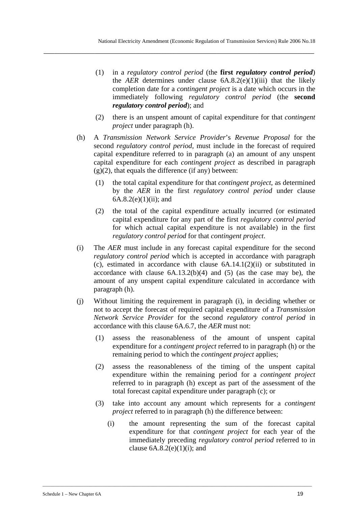- (1) in a *regulatory control period* (the **first** *regulatory control period*) the *AER* determines under clause  $6A.8.2(e)(1)(iii)$  that the likely completion date for a *contingent project* is a date which occurs in the immediately following *regulatory control period* (the **second**  *regulatory control period*); and
- (2) there is an unspent amount of capital expenditure for that *contingent project* under paragraph (h).
- (h) A *Transmission Network Service Provider*'s *Revenue Proposal* for the second *regulatory control period,* must include in the forecast of required capital expenditure referred to in paragraph (a) an amount of any unspent capital expenditure for each *contingent project* as described in paragraph  $(g)(2)$ , that equals the difference (if any) between:
	- (1) the total capital expenditure for that *contingent project*, as determined by the *AER* in the first *regulatory control period* under clause 6A.8.2(e)(1)(ii); and
	- (2) the total of the capital expenditure actually incurred (or estimated capital expenditure for any part of the first *regulatory control period*  for which actual capital expenditure is not available) in the first *regulatory control period* for that *contingent project*.
- (i) The *AER* must include in any forecast capital expenditure for the second *regulatory control period* which is accepted in accordance with paragraph (c), estimated in accordance with clause 6A.14.1(2)(ii) or substituted in accordance with clause  $6A.13.2(b)(4)$  and  $(5)$  (as the case may be), the amount of any unspent capital expenditure calculated in accordance with paragraph (h).
- (j) Without limiting the requirement in paragraph (i), in deciding whether or not to accept the forecast of required capital expenditure of a *Transmission Network Service Provider* for the second *regulatory control period* in accordance with this clause 6A.6.7, the *AER* must not:
	- (1) assess the reasonableness of the amount of unspent capital expenditure for a *contingent project* referred to in paragraph (h) or the remaining period to which the *contingent project* applies;
	- (2) assess the reasonableness of the timing of the unspent capital expenditure within the remaining period for a *contingent project* referred to in paragraph (h) except as part of the assessment of the total forecast capital expenditure under paragraph (c); or
	- (3) take into account any amount which represents for a *contingent project* referred to in paragraph (h) the difference between:

\_\_\_\_\_\_\_\_\_\_\_\_\_\_\_\_\_\_\_\_\_\_\_\_\_\_\_\_\_\_\_\_\_\_\_\_\_\_\_\_\_\_\_\_\_\_\_\_\_\_\_\_\_\_\_\_\_\_\_\_\_\_\_\_\_\_\_\_\_\_\_\_\_\_\_\_\_\_\_\_\_\_\_\_\_\_\_\_\_\_\_\_\_\_\_\_\_\_\_\_\_\_\_\_\_\_\_\_\_\_\_\_

(i) the amount representing the sum of the forecast capital expenditure for that *contingent project* for each year of the immediately preceding *regulatory control period* referred to in clause  $6A.8.2(e)(1)(i)$ ; and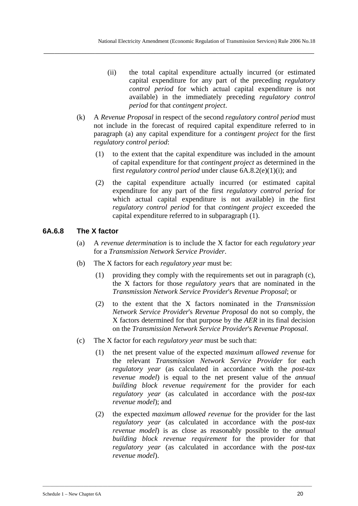- (ii) the total capital expenditure actually incurred (or estimated capital expenditure for any part of the preceding *regulatory control period* for which actual capital expenditure is not available) in the immediately preceding *regulatory control period* for that *contingent project*.
- (k) A *Revenue Proposal* in respect of the second *regulatory control period* must not include in the forecast of required capital expenditure referred to in paragraph (a) any capital expenditure for a *contingent project* for the first *regulatory control period*:
	- (1) to the extent that the capital expenditure was included in the amount of capital expenditure for that *contingent project* as determined in the first *regulatory control period* under clause 6A.8.2(e)(1)(i); and
	- (2) the capital expenditure actually incurred (or estimated capital expenditure for any part of the first *regulatory control period* for which actual capital expenditure is not available) in the first *regulatory control period* for that *contingent project* exceeded the capital expenditure referred to in subparagraph (1).

### **6A.6.8 The X factor**

- (a) A *revenue determination* is to include the X factor for each *regulatory year* for a *Transmission Network Service Provider*.
- (b) The X factors for each *regulatory year* must be:
	- (1) providing they comply with the requirements set out in paragraph (c), the X factors for those *regulatory year*s that are nominated in the *Transmission Network Service Provider*'s *Revenue Proposal*; or
	- (2) to the extent that the X factors nominated in the *Transmission Network Service Provider*'s *Revenue Proposal* do not so comply, the X factors determined for that purpose by the *AER* in its final decision on the *Transmission Network Service Provider*'s *Revenue Proposal*.
- (c) The X factor for each *regulatory year* must be such that:
	- (1) the net present value of the expected *maximum allowed revenue* for the relevant *Transmission Network Service Provider* for each *regulatory year* (as calculated in accordance with the *post-tax revenue model*) is equal to the net present value of the *annual building block revenue requirement* for the provider for each *regulatory year* (as calculated in accordance with the *post-tax revenue model*); and
	- (2) the expected *maximum allowed revenue* for the provider for the last *regulatory year* (as calculated in accordance with the *post-tax revenue model*) is as close as reasonably possible to the *annual building block revenue requirement* for the provider for that *regulatory year* (as calculated in accordance with the *post-tax revenue model*).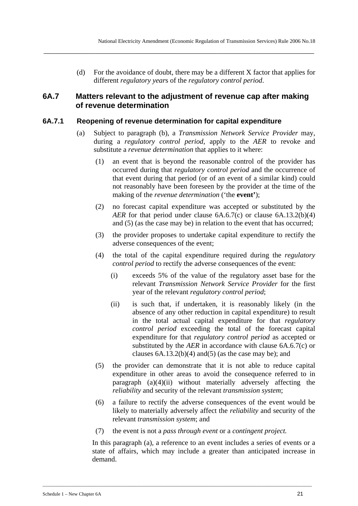(d) For the avoidance of doubt, there may be a different X factor that applies for different *regulatory year*s of the *regulatory control period*.

## **6A.7 Matters relevant to the adjustment of revenue cap after making of revenue determination**

**\_\_\_\_\_\_\_\_\_\_\_\_\_\_\_\_\_\_\_\_\_\_\_\_\_\_\_\_\_\_\_\_\_\_\_\_\_\_\_\_\_\_\_\_\_\_\_\_\_\_\_\_\_\_\_\_\_\_\_\_\_\_\_\_\_\_\_\_\_\_\_\_\_\_\_\_\_\_\_\_\_\_\_\_\_\_\_\_\_\_\_\_\_\_\_\_\_\_\_\_** 

### **6A.7.1 Reopening of revenue determination for capital expenditure**

- (a) Subject to paragraph (b), a *Transmission Network Service Provider* may, during a *regulatory control period*, apply to the *AER* to revoke and substitute a *revenue determination* that applies to it where:
	- (1) an event that is beyond the reasonable control of the provider has occurred during that *regulatory control period* and the occurrence of that event during that period (or of an event of a similar kind) could not reasonably have been foreseen by the provider at the time of the making of the *revenue determination* ('the **event'**);
	- (2) no forecast capital expenditure was accepted or substituted by the *AER* for that period under clause 6A.6.7(c) or clause 6A.13.2(b)(4) and (5) (as the case may be) in relation to the event that has occurred;
	- (3) the provider proposes to undertake capital expenditure to rectify the adverse consequences of the event;
	- (4) the total of the capital expenditure required during the *regulatory control period* to rectify the adverse consequences of the event:
		- (i) exceeds 5% of the value of the regulatory asset base for the relevant *Transmission Network Service Provider* for the first year of the relevant *regulatory control period*;
		- (ii) is such that, if undertaken, it is reasonably likely (in the absence of any other reduction in capital expenditure) to result in the total actual capital expenditure for that *regulatory control period* exceeding the total of the forecast capital expenditure for that *regulatory control period* as accepted or substituted by the *AER* in accordance with clause 6A.6.7(c) or clauses  $6A.13.2(b)(4)$  and $(5)$  (as the case may be); and
	- (5) the provider can demonstrate that it is not able to reduce capital expenditure in other areas to avoid the consequence referred to in paragraph (a)(4)(ii) without materially adversely affecting the *reliability* and security of the relevant *transmission system*;
	- (6) a failure to rectify the adverse consequences of the event would be likely to materially adversely affect the *reliability* and security of the relevant *transmission system*; and
	- (7) the event is not a *pass through event* or a *contingent project.*

\_\_\_\_\_\_\_\_\_\_\_\_\_\_\_\_\_\_\_\_\_\_\_\_\_\_\_\_\_\_\_\_\_\_\_\_\_\_\_\_\_\_\_\_\_\_\_\_\_\_\_\_\_\_\_\_\_\_\_\_\_\_\_\_\_\_\_\_\_\_\_\_\_\_\_\_\_\_\_\_\_\_\_\_\_\_\_\_\_\_\_\_\_\_\_\_\_\_\_\_\_\_\_\_\_\_\_\_\_\_\_\_

In this paragraph (a), a reference to an event includes a series of events or a state of affairs, which may include a greater than anticipated increase in demand.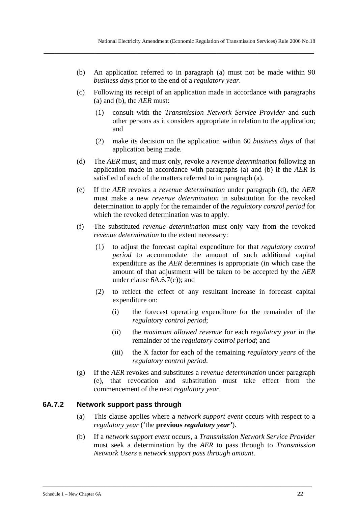(b) An application referred to in paragraph (a) must not be made within 90 *business days* prior to the end of a *regulatory year*.

**\_\_\_\_\_\_\_\_\_\_\_\_\_\_\_\_\_\_\_\_\_\_\_\_\_\_\_\_\_\_\_\_\_\_\_\_\_\_\_\_\_\_\_\_\_\_\_\_\_\_\_\_\_\_\_\_\_\_\_\_\_\_\_\_\_\_\_\_\_\_\_\_\_\_\_\_\_\_\_\_\_\_\_\_\_\_\_\_\_\_\_\_\_\_\_\_\_\_\_\_** 

- (c) Following its receipt of an application made in accordance with paragraphs (a) and (b), the *AER* must:
	- (1) consult with the *Transmission Network Service Provider* and such other persons as it considers appropriate in relation to the application; and
	- (2) make its decision on the application within 60 *business days* of that application being made.
- (d) The *AER* must, and must only, revoke a *revenue determination* following an application made in accordance with paragraphs (a) and (b) if the *AER* is satisfied of each of the matters referred to in paragraph (a).
- (e) If the *AER* revokes a *revenue determination* under paragraph (d), the *AER* must make a new *revenue determination* in substitution for the revoked determination to apply for the remainder of the *regulatory control period* for which the revoked determination was to apply.
- (f) The substituted *revenue determination* must only vary from the revoked *revenue determination* to the extent necessary:
	- (1) to adjust the forecast capital expenditure for that *regulatory control period* to accommodate the amount of such additional capital expenditure as the *AER* determines is appropriate (in which case the amount of that adjustment will be taken to be accepted by the *AER* under clause 6A.6.7(c)); and
	- (2) to reflect the effect of any resultant increase in forecast capital expenditure on:
		- (i) the forecast operating expenditure for the remainder of the *regulatory control period*;
		- (ii) the *maximum allowed revenue* for each *regulatory year* in the remainder of the *regulatory control period*; and
		- (iii) the X factor for each of the remaining *regulatory years* of the *regulatory control period*.
- (g) If the *AER* revokes and substitutes a *revenue determination* under paragraph (e), that revocation and substitution must take effect from the commencement of the next *regulatory year*.

## **6A.7.2 Network support pass through**

- (a) This clause applies where a *network support event* occurs with respect to a *regulatory year* ('the **previous** *regulatory year'*).
- (b) If a *network support event* occurs, a *Transmission Network Service Provider* must seek a determination by the *AER* to pass through to *Transmission Network Users* a *network support pass through amount*.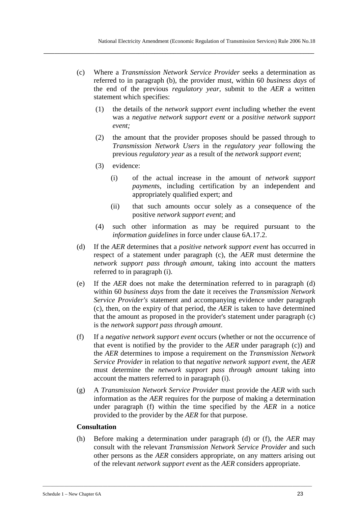(c) Where a *Transmission Network Service Provider* seeks a determination as referred to in paragraph (b), the provider must, within 60 *business days* of the end of the previous *regulatory year*, submit to the *AER* a written statement which specifies:

**\_\_\_\_\_\_\_\_\_\_\_\_\_\_\_\_\_\_\_\_\_\_\_\_\_\_\_\_\_\_\_\_\_\_\_\_\_\_\_\_\_\_\_\_\_\_\_\_\_\_\_\_\_\_\_\_\_\_\_\_\_\_\_\_\_\_\_\_\_\_\_\_\_\_\_\_\_\_\_\_\_\_\_\_\_\_\_\_\_\_\_\_\_\_\_\_\_\_\_\_** 

- (1) the details of the *network support event* including whether the event was a *negative network support event* or a *positive network support event;*
- (2) the amount that the provider proposes should be passed through to *Transmission Network Users* in the *regulatory year* following the previous *regulatory year* as a result of the *network support event*;
- (3) evidence:
	- (i) of the actual increase in the amount of *network support payment*s, including certification by an independent and appropriately qualified expert; and
	- (ii) that such amounts occur solely as a consequence of the positive *network support event*; and
- (4) such other information as may be required pursuant to the *information guidelines* in force under clause 6A.17.2.
- (d) If the *AER* determines that a *positive network support event* has occurred in respect of a statement under paragraph (c), the *AER* must determine the *network support pass through amount*, taking into account the matters referred to in paragraph (i).
- (e) If the *AER* does not make the determination referred to in paragraph (d) within 60 *business days* from the date it receives the *Transmission Network Service Provider's* statement and accompanying evidence under paragraph (c), then, on the expiry of that period, the *AER* is taken to have determined that the amount as proposed in the provider's statement under paragraph (c) is the *network support pass through amount*.
- (f) If a *negative network support event* occurs (whether or not the occurrence of that event is notified by the provider to the *AER* under paragraph (c)) and the *AER* determines to impose a requirement on the *Transmission Network Service Provider* in relation to that *negative network support event*, the *AER* must determine the *network support pass through amount* taking into account the matters referred to in paragraph (i).
- (g) A *Transmission Network Service Provider* must provide the *AER* with such information as the *AER* requires for the purpose of making a determination under paragraph (f) within the time specified by the *AER* in a notice provided to the provider by the *AER* for that purpose.

#### **Consultation**

(h) Before making a determination under paragraph (d) or (f), the *AER* may consult with the relevant *Transmission Network Service Provider* and such other persons as the *AER* considers appropriate, on any matters arising out of the relevant *network support event* as the *AER* considers appropriate.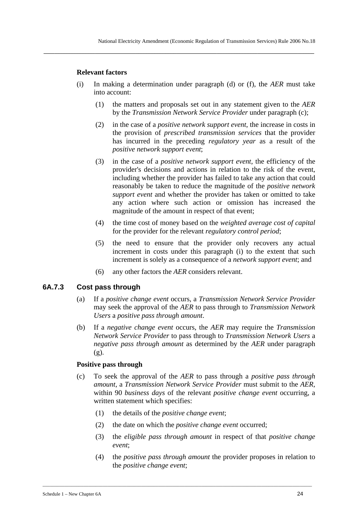#### **Relevant factors**

(i) In making a determination under paragraph (d) or (f), the *AER* must take into account:

**\_\_\_\_\_\_\_\_\_\_\_\_\_\_\_\_\_\_\_\_\_\_\_\_\_\_\_\_\_\_\_\_\_\_\_\_\_\_\_\_\_\_\_\_\_\_\_\_\_\_\_\_\_\_\_\_\_\_\_\_\_\_\_\_\_\_\_\_\_\_\_\_\_\_\_\_\_\_\_\_\_\_\_\_\_\_\_\_\_\_\_\_\_\_\_\_\_\_\_\_** 

- (1) the matters and proposals set out in any statement given to the *AER* by the *Transmission Network Service Provider* under paragraph (c);
- (2) in the case of a *positive network support event*, the increase in costs in the provision of *prescribed transmission services* that the provider has incurred in the preceding *regulatory year* as a result of the *positive network support event*;
- (3) in the case of a *positive network support event*, the efficiency of the provider's decisions and actions in relation to the risk of the event, including whether the provider has failed to take any action that could reasonably be taken to reduce the magnitude of the *positive network support event* and whether the provider has taken or omitted to take any action where such action or omission has increased the magnitude of the amount in respect of that event;
- (4) the time cost of money based on the *weighted average cost of capital* for the provider for the relevant *regulatory control period*;
- (5) the need to ensure that the provider only recovers any actual increment in costs under this paragraph (i) to the extent that such increment is solely as a consequence of a *network support event*; and
- (6) any other factors the *AER* considers relevant.

### **6A.7.3 Cost pass through**

- (a) If a *positive change event* occurs, a *Transmission Network Service Provider* may seek the approval of the *AER* to pass through to *Transmission Network Users* a *positive pass through amount*.
- (b) If a *negative change event* occurs, the *AER* may require the *Transmission Network Service Provider* to pass through to *Transmission Network Users* a *negative pass through amount* as determined by the *AER* under paragraph (g).

#### **Positive pass through**

- (c) To seek the approval of the *AER* to pass through a *positive pass through amount*, a *Transmission Network Service Provider* must submit to the *AER*, within 90 *business days* of the relevant *positive change event* occurring, a written statement which specifies:
	- (1) the details of the *positive change event*;
	- (2) the date on which the *positive change event* occurred;

- (3) the *eligible pass through amount* in respect of that *positive change event*;
- (4) the *positive pass through amount* the provider proposes in relation to the *positive change event*;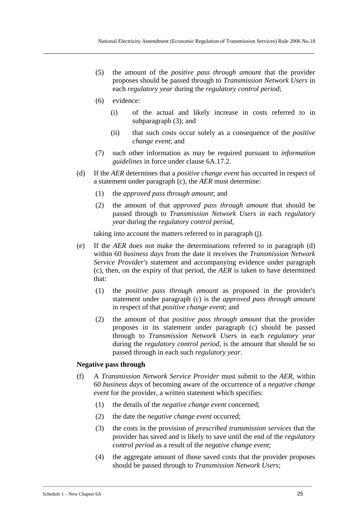- (5) the amount of the *positive pass through amount* that the provider proposes should be passed through to *Transmission Network Users* in each *regulatory year* during the *regulatory control period*;
- (6) evidence:
	- (i) of the actual and likely increase in costs referred to in subparagraph (3); and
	- (ii) that such costs occur solely as a consequence of the *positive change event*; and
- (7) such other information as may be required pursuant to *information guidelines* in force under clause 6A.17.2.
- (d) If the *AER* determines that a *positive change event* has occurred in respect of a statement under paragraph (c), the *AER* must determine:
	- (1) the *approved pass through amount*; and
	- (2) the amount of that *approved pass through amount* that should be passed through to *Transmission Network Users* in each *regulatory year* during the *regulatory control period*,

taking into account the matters referred to in paragraph (j).

- (e) If the *AER* does not make the determinations referred to in paragraph (d) within 60 *business days* from the date it receives the *Transmission Network Service Provider's* statement and accompanying evidence under paragraph (c), then, on the expiry of that period, the *AER* is taken to have determined that:
	- (1) the *positive pass through amount* as proposed in the provider's statement under paragraph (c) is the *approved pass through amount* in respect of that *positive change event*; and
	- (2) the amount of that *positive pass through amount* that the provider proposes in its statement under paragraph (c) should be passed through to *Transmission Network User*s in each *regulatory year* during the *regulatory control period*, is the amount that should be so passed through in each such *regulatory year*.

#### **Negative pass through**

- (f) A *Transmission Network Service Provider* must submit to the *AER*, within 60 *business days* of becoming aware of the occurrence of a *negative change event* for the provider, a written statement which specifies:
	- (1) the details of the *negative change event* concerned;

- (2) the date the *negative change event* occurred;
- (3) the costs in the provision of *prescribed transmission services* that the provider has saved and is likely to save until the end of the *regulatory control period* as a result of the *negative change event*;
- (4) the aggregate amount of those saved costs that the provider proposes should be passed through to *Transmission Network User*s;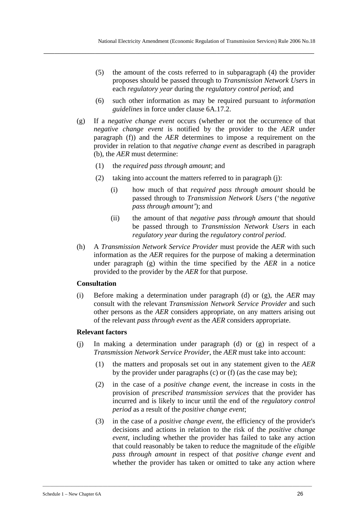- (5) the amount of the costs referred to in subparagraph (4) the provider proposes should be passed through to *Transmission Network User*s in each *regulatory year* during the *regulatory control period*; and
- (6) such other information as may be required pursuant to *information guidelines* in force under clause 6A.17.2.
- (g) If a *negative change event* occurs (whether or not the occurrence of that *negative change event* is notified by the provider to the *AER* under paragraph (f)) and the *AER* determines to impose a requirement on the provider in relation to that *negative change event* as described in paragraph (b), the *AER* must determine:
	- (1) the *required pass through amount*; and
	- (2) taking into account the matters referred to in paragraph (j):
		- (i) how much of that *required pass through amount* should be passed through to *Transmission Network Users* ('the *negative pass through amount'*); and
		- (ii) the amount of that *negative pass through amount* that should be passed through to *Transmission Network Users* in each *regulatory year* during the *regulatory control period*.
- (h) A *Transmission Network Service Provider* must provide the *AER* with such information as the *AER* requires for the purpose of making a determination under paragraph (g) within the time specified by the *AER* in a notice provided to the provider by the *AER* for that purpose.

#### **Consultation**

(i) Before making a determination under paragraph (d) or (g), the *AER* may consult with the relevant *Transmission Network Service Provider* and such other persons as the *AER* considers appropriate, on any matters arising out of the relevant *pass through event* as the *AER* considers appropriate.

#### **Relevant factors**

- (j) In making a determination under paragraph (d) or (g) in respect of a *Transmission Network Service Provider*, the *AER* must take into account:
	- (1) the matters and proposals set out in any statement given to the *AER* by the provider under paragraphs (c) or (f) (as the case may be);
	- (2) in the case of a *positive change event*, the increase in costs in the provision of *prescribed transmission services* that the provider has incurred and is likely to incur until the end of the *regulatory control period* as a result of the *positive change event*;
	- (3) in the case of a *positive change event*, the efficiency of the provider's decisions and actions in relation to the risk of the *positive change event*, including whether the provider has failed to take any action that could reasonably be taken to reduce the magnitude of the *eligible pass through amount* in respect of that *positive change event* and whether the provider has taken or omitted to take any action where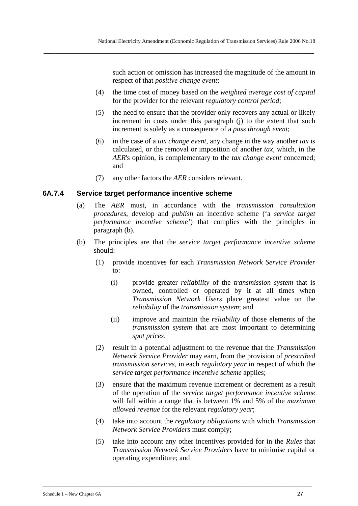such action or omission has increased the magnitude of the amount in respect of that *positive change event*;

- (4) the time cost of money based on the *weighted average cost of capital* for the provider for the relevant *regulatory control period*;
- (5) the need to ensure that the provider only recovers any actual or likely increment in costs under this paragraph (j) to the extent that such increment is solely as a consequence of a *pass through event*;
- (6) in the case of a *tax change event*, any change in the way another *tax* is calculated, or the removal or imposition of another *tax*, which, in the *AER*'s opinion, is complementary to the *tax change event* concerned; and
- (7) any other factors the *AER* considers relevant.

### **6A.7.4 Service target performance incentive scheme**

- (a) The *AER* must, in accordance with the *transmission consultation procedures*, develop and *publish* an incentive scheme ('a *service target performance incentive scheme'*) that complies with the principles in paragraph (b).
- (b) The principles are that the *service target performance incentive scheme* should:
	- (1) provide incentives for each *Transmission Network Service Provider* to:
		- (i) provide greater *reliability* of the *transmission system* that is owned, controlled or operated by it at all times when *Transmission Network Users* place greatest value on the *reliability* of the *transmission system*; and
		- (ii) improve and maintain the *reliability* of those elements of the *transmission system* that are most important to determining *spot prices*;
	- (2) result in a potential adjustment to the revenue that the *Transmission Network Service Provider* may earn, from the provision of *prescribed transmission services*, in each *regulatory year* in respect of which the *service target performance incentive scheme* applies;
	- (3) ensure that the maximum revenue increment or decrement as a result of the operation of the *service target performance incentive scheme* will fall within a range that is between 1% and 5% of the *maximum allowed revenue* for the relevant *regulatory year*;
	- (4) take into account the *regulatory obligations* with which *Transmission Network Service Providers* must comply;
	- (5) take into account any other incentives provided for in the *Rules* that *Transmission Network Service Providers* have to minimise capital or operating expenditure; and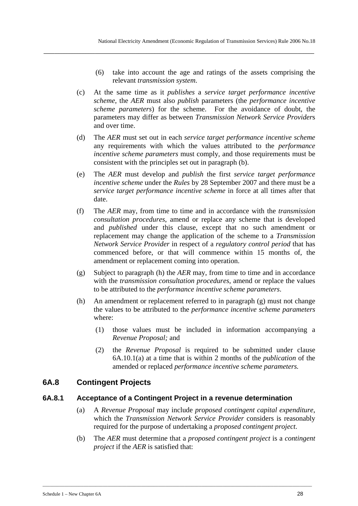- (6) take into account the age and ratings of the assets comprising the relevant *transmission system*.
- (c) At the same time as it *publishes* a *service target performance incentive scheme*, the *AER* must also *publish* parameters (the *performance incentive scheme parameters*) for the scheme. For the avoidance of doubt, the parameters may differ as between *Transmission Network Service Provider*s and over time.

- (d) The *AER* must set out in each *service target performance incentive scheme* any requirements with which the values attributed to the *performance incentive scheme parameters* must comply, and those requirements must be consistent with the principles set out in paragraph (b).
- (e) The *AER* must develop and *publish* the first *service target performance incentive scheme* under the *Rules* by 28 September 2007 and there must be a *service target performance incentive scheme* in force at all times after that date.
- (f) The *AER* may, from time to time and in accordance with the *transmission consultation procedures*, amend or replace any scheme that is developed and *published* under this clause, except that no such amendment or replacement may change the application of the scheme to a *Transmission Network Service Provider* in respect of a *regulatory control period* that has commenced before, or that will commence within 15 months of, the amendment or replacement coming into operation.
- (g) Subject to paragraph (h) the *AER* may, from time to time and in accordance with the *transmission consultation procedures*, amend or replace the values to be attributed to the *performance incentive scheme parameters*.
- (h) An amendment or replacement referred to in paragraph (g) must not change the values to be attributed to the *performance incentive scheme parameters*  where:
	- (1) those values must be included in information accompanying a *Revenue Proposal;* and
	- (2) the *Revenue Proposal* is required to be submitted under clause 6A.10.1(a) at a time that is within 2 months of the *publication* of the amended or replaced *performance incentive scheme parameters.*

# **6A.8 Contingent Projects**

#### **6A.8.1 Acceptance of a Contingent Project in a revenue determination**

- (a) A *Revenue Proposal* may include *proposed contingent capital expenditure*, which the *Transmission Network Service Provider* considers is reasonably required for the purpose of undertaking a *proposed contingent project*.
- (b) The *AER* must determine that a *proposed contingent project* is a *contingent project* if the *AER* is satisfied that: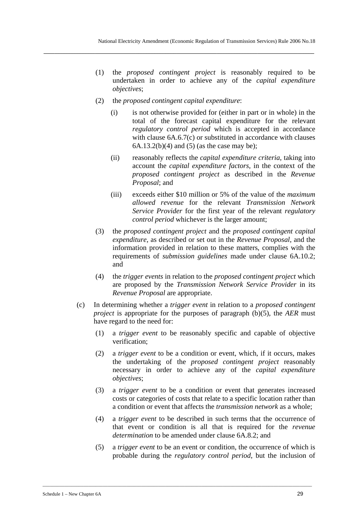- (1) the *proposed contingent project* is reasonably required to be undertaken in order to achieve any of the *capital expenditure objectives*;
- (2) the *proposed contingent capital expenditure*:

- (i) is not otherwise provided for (either in part or in whole) in the total of the forecast capital expenditure for the relevant *regulatory control period* which is accepted in accordance with clause  $6A.6.7(c)$  or substituted in accordance with clauses  $6A.13.2(b)(4)$  and  $(5)$  (as the case may be);
- (ii) reasonably reflects the *capital expenditure criteria*, taking into account the *capital expenditure factors*, in the context of the *proposed contingent project* as described in the *Revenue Proposal*; and
- (iii) exceeds either \$10 million or 5% of the value of the *maximum allowed revenue* for the relevant *Transmission Network Service Provider* for the first year of the relevant *regulatory control period* whichever is the larger amount;
- (3) the *proposed contingent project* and the *proposed contingent capital expenditure*, as described or set out in the *Revenue Proposal*, and the information provided in relation to these matters, complies with the requirements of *submission guidelines* made under clause 6A.10.2; and
- (4) the *trigger events* in relation to the *proposed contingent project* which are proposed by the *Transmission Network Service Provider* in its *Revenue Proposal* are appropriate.
- (c) In determining whether a *trigger event* in relation to a *proposed contingent project* is appropriate for the purposes of paragraph (b)(5), the *AER* must have regard to the need for:
	- (1) a *trigger event* to be reasonably specific and capable of objective verification;
	- (2) a *trigger event* to be a condition or event, which, if it occurs, makes the undertaking of the *proposed contingent project* reasonably necessary in order to achieve any of the *capital expenditure objectives*;
	- (3) a *trigger event* to be a condition or event that generates increased costs or categories of costs that relate to a specific location rather than a condition or event that affects the *transmission network* as a whole;
	- (4) a *trigger event* to be described in such terms that the occurrence of that event or condition is all that is required for the *revenue determination* to be amended under clause 6A.8.2; and
	- (5) a *trigger event* to be an event or condition, the occurrence of which is probable during the *regulatory control period*, but the inclusion of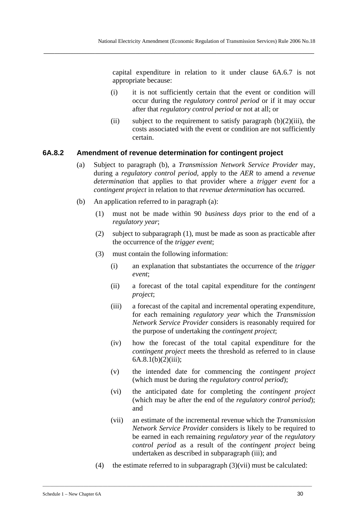capital expenditure in relation to it under clause 6A.6.7 is not appropriate because:

- (i) it is not sufficiently certain that the event or condition will occur during the *regulatory control period* or if it may occur after that *regulatory control period* or not at all; or
- (ii) subject to the requirement to satisfy paragraph  $(b)(2)(iii)$ , the costs associated with the event or condition are not sufficiently certain.

#### **6A.8.2 Amendment of revenue determination for contingent project**

- (a) Subject to paragraph (b), a *Transmission Network Service Provider* may, during a *regulatory control period*, apply to the *AER* to amend a *revenue determination* that applies to that provider where a *trigger event* for a *contingent project* in relation to that *revenue determination* has occurred.
- (b) An application referred to in paragraph (a):
	- (1) must not be made within 90 *business days* prior to the end of a *regulatory year*;
	- (2) subject to subparagraph (1), must be made as soon as practicable after the occurrence of the *trigger event*;
	- (3) must contain the following information:
		- (i) an explanation that substantiates the occurrence of the *trigger event*;
		- (ii) a forecast of the total capital expenditure for the *contingent project*;
		- (iii) a forecast of the capital and incremental operating expenditure, for each remaining *regulatory year* which the *Transmission Network Service Provider* considers is reasonably required for the purpose of undertaking the *contingent project*;
		- (iv) how the forecast of the total capital expenditure for the *contingent project* meets the threshold as referred to in clause  $6A.8.1(b)(2)(iii)$ ;
		- (v) the intended date for commencing the *contingent project* (which must be during the *regulatory control period*);
		- (vi) the anticipated date for completing the *contingent project* (which may be after the end of the *regulatory control period*); and
		- (vii) an estimate of the incremental revenue which the *Transmission Network Service Provider* considers is likely to be required to be earned in each remaining *regulatory year* of the *regulatory control period* as a result of the *contingent project* being undertaken as described in subparagraph (iii); and
	- (4) the estimate referred to in subparagraph (3)(vii) must be calculated: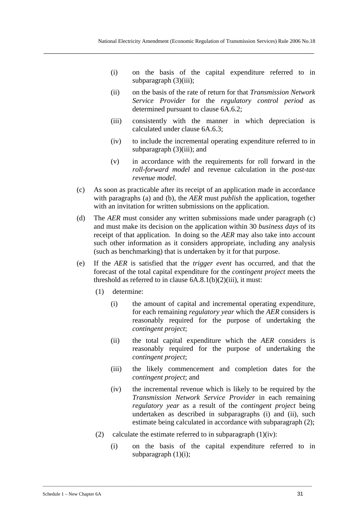- (i) on the basis of the capital expenditure referred to in subparagraph (3)(iii);
- (ii) on the basis of the rate of return for that *Transmission Network Service Provider* for the *regulatory control period* as determined pursuant to clause 6A.6.2;
- (iii) consistently with the manner in which depreciation is calculated under clause 6A.6.3;
- (iv) to include the incremental operating expenditure referred to in subparagraph  $(3)(iii)$ ; and
- (v) in accordance with the requirements for roll forward in the *roll-forward model* and revenue calculation in the *post-tax revenue model*.
- (c) As soon as practicable after its receipt of an application made in accordance with paragraphs (a) and (b), the *AER* must *publish* the application, together with an invitation for written submissions on the application.
- (d) The *AER* must consider any written submissions made under paragraph (c) and must make its decision on the application within 30 *business days* of its receipt of that application. In doing so the *AER* may also take into account such other information as it considers appropriate, including any analysis (such as benchmarking) that is undertaken by it for that purpose.
- (e) If the *AER* is satisfied that the *trigger event* has occurred, and that the forecast of the total capital expenditure for the *contingent project* meets the threshold as referred to in clause  $6A.8.1(b)(2)(iii)$ , it must:
	- (1) determine:
		- (i) the amount of capital and incremental operating expenditure, for each remaining *regulatory year* which the *AER* considers is reasonably required for the purpose of undertaking the *contingent project*;
		- (ii) the total capital expenditure which the *AER* considers is reasonably required for the purpose of undertaking the *contingent project*;
		- (iii) the likely commencement and completion dates for the *contingent project*; and
		- (iv) the incremental revenue which is likely to be required by the *Transmission Network Service Provider* in each remaining *regulatory year* as a result of the *contingent project* being undertaken as described in subparagraphs (i) and (ii), such estimate being calculated in accordance with subparagraph (2);
	- (2) calculate the estimate referred to in subparagraph  $(1)(iv)$ :

\_\_\_\_\_\_\_\_\_\_\_\_\_\_\_\_\_\_\_\_\_\_\_\_\_\_\_\_\_\_\_\_\_\_\_\_\_\_\_\_\_\_\_\_\_\_\_\_\_\_\_\_\_\_\_\_\_\_\_\_\_\_\_\_\_\_\_\_\_\_\_\_\_\_\_\_\_\_\_\_\_\_\_\_\_\_\_\_\_\_\_\_\_\_\_\_\_\_\_\_\_\_\_\_\_\_\_\_\_\_\_\_

(i) on the basis of the capital expenditure referred to in subparagraph  $(1)(i)$ ;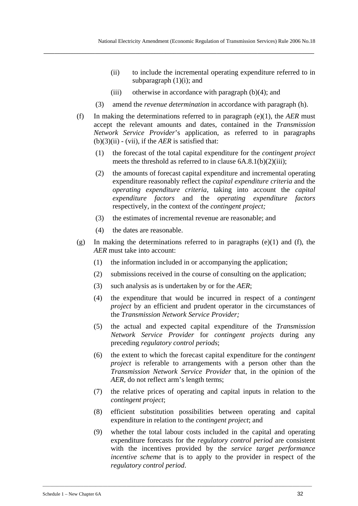- (ii) to include the incremental operating expenditure referred to in subparagraph  $(1)(i)$ ; and
- (iii) otherwise in accordance with paragraph (b)(4); and

- (3) amend the *revenue determination* in accordance with paragraph (h).
- (f) In making the determinations referred to in paragraph (e)(1), the *AER* must accept the relevant amounts and dates, contained in the *Transmission Network Service Provider*'s application, as referred to in paragraphs  $(b)(3)(ii) - (vii)$ , if the *AER* is satisfied that:
	- (1) the forecast of the total capital expenditure for the *contingent project* meets the threshold as referred to in clause 6A.8.1(b)(2)(iii);
	- (2) the amounts of forecast capital expenditure and incremental operating expenditure reasonably reflect the *capital expenditure criteria* and the *operating expenditure criteria,* taking into account the *capital expenditure factors* and the *operating expenditure factors* respectively, in the context of the *contingent project;*
	- (3) the estimates of incremental revenue are reasonable; and
	- (4) the dates are reasonable.
- (g) In making the determinations referred to in paragraphs  $(e)(1)$  and  $(f)$ , the *AER* must take into account:
	- (1) the information included in or accompanying the application;
	- (2) submissions received in the course of consulting on the application;
	- (3) such analysis as is undertaken by or for the *AER*;
	- (4) the expenditure that would be incurred in respect of a *contingent project* by an efficient and prudent operator in the circumstances of the *Transmission Network Service Provider;*
	- (5) the actual and expected capital expenditure of the *Transmission Network Service Provider* for *contingent projects* during any preceding *regulatory control periods*;
	- (6) the extent to which the forecast capital expenditure for the *contingent project* is referable to arrangements with a person other than the *Transmission Network Service Provider* that, in the opinion of the *AER*, do not reflect arm's length terms;
	- (7) the relative prices of operating and capital inputs in relation to the *contingent project*;
	- (8) efficient substitution possibilities between operating and capital expenditure in relation to the *contingent project*; and
	- (9) whether the total labour costs included in the capital and operating expenditure forecasts for the *regulatory control period* are consistent with the incentives provided by the *service target performance incentive scheme* that is to apply to the provider in respect of the *regulatory control period*.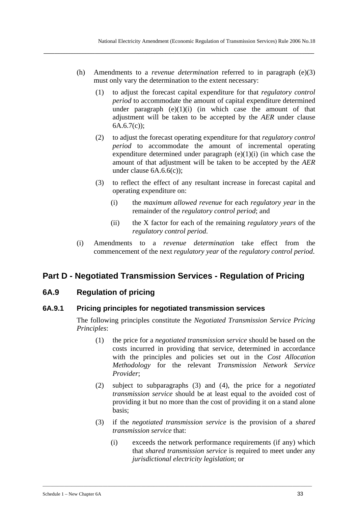(h) Amendments to a *revenue determination* referred to in paragraph (e)(3) must only vary the determination to the extent necessary:

**\_\_\_\_\_\_\_\_\_\_\_\_\_\_\_\_\_\_\_\_\_\_\_\_\_\_\_\_\_\_\_\_\_\_\_\_\_\_\_\_\_\_\_\_\_\_\_\_\_\_\_\_\_\_\_\_\_\_\_\_\_\_\_\_\_\_\_\_\_\_\_\_\_\_\_\_\_\_\_\_\_\_\_\_\_\_\_\_\_\_\_\_\_\_\_\_\_\_\_\_** 

- (1) to adjust the forecast capital expenditure for that *regulatory control period* to accommodate the amount of capital expenditure determined under paragraph  $(e)(1)(i)$  (in which case the amount of that adjustment will be taken to be accepted by the *AER* under clause  $6A.6.7(c)$ ;
- (2) to adjust the forecast operating expenditure for that *regulatory control period* to accommodate the amount of incremental operating expenditure determined under paragraph  $(e)(1)(i)$  (in which case the amount of that adjustment will be taken to be accepted by the *AER* under clause 6A.6.6(c));
- (3) to reflect the effect of any resultant increase in forecast capital and operating expenditure on:
	- (i) the *maximum allowed revenue* for each *regulatory year* in the remainder of the *regulatory control period*; and
	- (ii) the X factor for each of the remaining *regulatory years* of the *regulatory control period*.
- (i) Amendments to a *revenue determination* take effect from the commencement of the next *regulatory year* of the *regulatory control period*.

# **Part D - Negotiated Transmission Services - Regulation of Pricing**

# **6A.9 Regulation of pricing**

# **6A.9.1 Pricing principles for negotiated transmission services**

The following principles constitute the *Negotiated Transmission Service Pricing Principles*:

- (1) the price for a *negotiated transmission service* should be based on the costs incurred in providing that service, determined in accordance with the principles and policies set out in the *Cost Allocation Methodology* for the relevant *Transmission Network Service Provider*;
- (2) subject to subparagraphs (3) and (4), the price for a *negotiated transmission service* should be at least equal to the avoided cost of providing it but no more than the cost of providing it on a stand alone basis;
- (3) if the *negotiated transmission service* is the provision of a *shared transmission service* that:

\_\_\_\_\_\_\_\_\_\_\_\_\_\_\_\_\_\_\_\_\_\_\_\_\_\_\_\_\_\_\_\_\_\_\_\_\_\_\_\_\_\_\_\_\_\_\_\_\_\_\_\_\_\_\_\_\_\_\_\_\_\_\_\_\_\_\_\_\_\_\_\_\_\_\_\_\_\_\_\_\_\_\_\_\_\_\_\_\_\_\_\_\_\_\_\_\_\_\_\_\_\_\_\_\_\_\_\_\_\_\_\_

(i) exceeds the network performance requirements (if any) which that *shared transmission service* is required to meet under any *jurisdictional electricity legislation*; or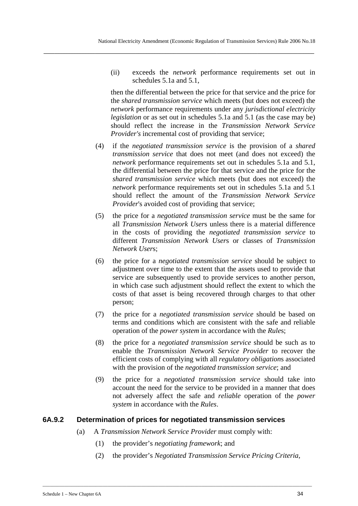(ii) exceeds the *network* performance requirements set out in schedules 5.1a and 5.1,

then the differential between the price for that service and the price for the *shared transmission service* which meets (but does not exceed) the *network* performance requirements under any *jurisdictional electricity legislation* or as set out in schedules 5.1a and 5.1 (as the case may be) should reflect the increase in the *Transmission Network Service Provider's* incremental cost of providing that service;

- (4) if the *negotiated transmission service* is the provision of a *shared transmission service* that does not meet (and does not exceed) the *network* performance requirements set out in schedules 5.1a and 5.1, the differential between the price for that service and the price for the *shared transmission service* which meets (but does not exceed) the *network* performance requirements set out in schedules 5.1a and 5.1 should reflect the amount of the *Transmission Network Service Provider*'s avoided cost of providing that service;
- (5) the price for a *negotiated transmission service* must be the same for all *Transmission Network User*s unless there is a material difference in the costs of providing the *negotiated transmission service* to different *Transmission Network User*s or classes of *Transmission Network User*s;
- (6) the price for a *negotiated transmission service* should be subject to adjustment over time to the extent that the assets used to provide that service are subsequently used to provide services to another person, in which case such adjustment should reflect the extent to which the costs of that asset is being recovered through charges to that other person;
- (7) the price for a *negotiated transmission service* should be based on terms and conditions which are consistent with the safe and reliable operation of the *power system* in accordance with the *Rule*s;
- (8) the price for a *negotiated transmission service* should be such as to enable the *Transmission Network Service Provider* to recover the efficient costs of complying with all *regulatory obligation*s associated with the provision of the *negotiated transmission service*; and
- (9) the price for a *negotiated transmission service* should take into account the need for the service to be provided in a manner that does not adversely affect the safe and *reliable* operation of the *power system* in accordance with the *Rules*.

### **6A.9.2 Determination of prices for negotiated transmission services**

(a) A *Transmission Network Service Provider* must comply with:

- (1) the provider's *negotiating framework*; and
- (2) the provider's *Negotiated Transmission Service Pricing Criteria,*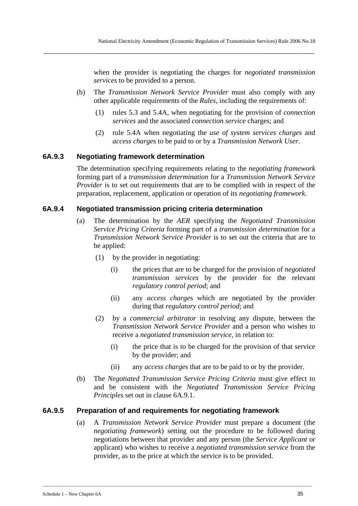when the provider is negotiating the charges for *negotiated transmission services* to be provided to a person.

(b) The *Transmission Network Service Provider* must also comply with any other applicable requirements of the *Rules*, including the requirements of:

**\_\_\_\_\_\_\_\_\_\_\_\_\_\_\_\_\_\_\_\_\_\_\_\_\_\_\_\_\_\_\_\_\_\_\_\_\_\_\_\_\_\_\_\_\_\_\_\_\_\_\_\_\_\_\_\_\_\_\_\_\_\_\_\_\_\_\_\_\_\_\_\_\_\_\_\_\_\_\_\_\_\_\_\_\_\_\_\_\_\_\_\_\_\_\_\_\_\_\_\_** 

- (1) rules 5.3 and 5.4A, when negotiating for the provision of *connection services* and the associated *connection service* charges; and
- (2) rule 5.4A when negotiating the *use of system services charges* and *access charge*s to be paid to or by a *Transmission Network User*.

### **6A.9.3 Negotiating framework determination**

The determination specifying requirements relating to the *negotiating framework* forming part of a *transmission determination* for a *Transmission Network Service Provider* is to set out requirements that are to be complied with in respect of the preparation, replacement, application or operation of its *negotiating framework*.

### **6A.9.4 Negotiated transmission pricing criteria determination**

- (a) The determination by the *AER* specifying the *Negotiated Transmission Service Pricing Criteria* forming part of a *transmission determination* for a *Transmission Network Service Provider* is to set out the criteria that are to be applied:
	- (1) by the provider in negotiating:
		- (i) the prices that are to be charged for the provision of *negotiated transmission services* by the provider for the relevant *regulatory control period*; and
		- (ii) any *access charge*s which are negotiated by the provider during that *regulatory control period*; and
	- (2) by a *commercial arbitrator* in resolving any dispute, between the *Transmission Network Service Provider* and a person who wishes to receive a *negotiated transmission service*, in relation to:
		- (i) the price that is to be charged for the provision of that service by the provider; and
		- (ii) any *access charge*s that are to be paid to or by the provider.
- (b) The *Negotiated Transmission Service Pricing Criteria* must give effect to and be consistent with the *Negotiated Transmission Service Pricing Principles* set out in clause 6A.9.1.

### **6A.9.5 Preparation of and requirements for negotiating framework**

(a) A *Transmission Network Service Provider* must prepare a document (the *negotiating framework*) setting out the procedure to be followed during negotiations between that provider and any person (the *Service Applicant* or applicant) who wishes to receive a *negotiated transmission service* from the provider, as to the price at which the service is to be provided.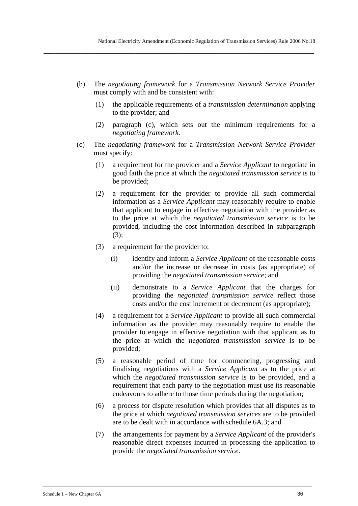(b) The *negotiating framework* for a *Transmission Network Service Provider* must comply with and be consistent with:

**\_\_\_\_\_\_\_\_\_\_\_\_\_\_\_\_\_\_\_\_\_\_\_\_\_\_\_\_\_\_\_\_\_\_\_\_\_\_\_\_\_\_\_\_\_\_\_\_\_\_\_\_\_\_\_\_\_\_\_\_\_\_\_\_\_\_\_\_\_\_\_\_\_\_\_\_\_\_\_\_\_\_\_\_\_\_\_\_\_\_\_\_\_\_\_\_\_\_\_\_** 

- (1) the applicable requirements of a *transmission determination* applying to the provider; and
- (2) paragraph (c), which sets out the minimum requirements for a *negotiating framework*.
- (c) The *negotiating framework* for a *Transmission Network Service Provider* must specify:
	- (1) a requirement for the provider and a *Service Applicant* to negotiate in good faith the price at which the *negotiated transmission service* is to be provided;
	- (2) a requirement for the provider to provide all such commercial information as a *Service Applicant* may reasonably require to enable that applicant to engage in effective negotiation with the provider as to the price at which the *negotiated transmission service* is to be provided, including the cost information described in subparagraph (3);
	- (3) a requirement for the provider to:
		- (i) identify and inform a *Service Applicant* of the reasonable costs and/or the increase or decrease in costs (as appropriate) of providing the *negotiated transmission service*; and
		- (ii) demonstrate to a *Service Applicant* that the charges for providing the *negotiated transmission service* reflect those costs and/or the cost increment or decrement (as appropriate);
	- (4) a requirement for a *Service Applicant* to provide all such commercial information as the provider may reasonably require to enable the provider to engage in effective negotiation with that applicant as to the price at which the *negotiated transmission service* is to be provided;
	- (5) a reasonable period of time for commencing, progressing and finalising negotiations with a *Service Applicant* as to the price at which the *negotiated transmission service* is to be provided, and a requirement that each party to the negotiation must use its reasonable endeavours to adhere to those time periods during the negotiation;
	- (6) a process for dispute resolution which provides that all disputes as to the price at which *negotiated transmission services* are to be provided are to be dealt with in accordance with schedule 6A.3; and
	- (7) the arrangements for payment by a *Service Applicant* of the provider's reasonable direct expenses incurred in processing the application to provide the *negotiated transmission service*.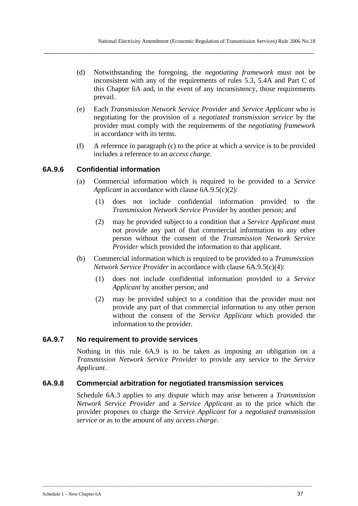(d) Notwithstanding the foregoing, the *negotiating framework* must not be inconsistent with any of the requirements of rules 5.3, 5.4A and Part C of this Chapter 6A and, in the event of any inconsistency, those requirements prevail.

**\_\_\_\_\_\_\_\_\_\_\_\_\_\_\_\_\_\_\_\_\_\_\_\_\_\_\_\_\_\_\_\_\_\_\_\_\_\_\_\_\_\_\_\_\_\_\_\_\_\_\_\_\_\_\_\_\_\_\_\_\_\_\_\_\_\_\_\_\_\_\_\_\_\_\_\_\_\_\_\_\_\_\_\_\_\_\_\_\_\_\_\_\_\_\_\_\_\_\_\_** 

- (e) Each *Transmission Network Service Provider* and *Service Applicant* who is negotiating for the provision of a *negotiated transmission service* by the provider must comply with the requirements of the *negotiating framework* in accordance with its terms.
- (f) A reference in paragraph (c) to the price at which a service is to be provided includes a reference to an *access charge*.

# **6A.9.6 Confidential information**

- (a) Commercial information which is required to be provided to a *Service Applicant* in accordance with clause 6A.9.5(c)(2):
	- (1) does not include confidential information provided to the *Transmission Network Service Provider* by another person; and
	- (2) may be provided subject to a condition that a *Service Applicant* must not provide any part of that commercial information to any other person without the consent of the *Transmission Network Service Provider* which provided the information to that applicant.
- (b) Commercial information which is required to be provided to a *Transmission Network Service Provider* in accordance with clause 6A.9.5(c)(4):
	- (1) does not include confidential information provided to a *Service Applicant* by another person; and
	- (2) may be provided subject to a condition that the provider must not provide any part of that commercial information to any other person without the consent of the *Service Applicant* which provided the information to the provider.

# **6A.9.7 No requirement to provide services**

Nothing in this rule 6A.9 is to be taken as imposing an obligation on a *Transmission Network Service Provider* to provide any service to the *Service Applicant*.

# **6A.9.8 Commercial arbitration for negotiated transmission services**

Schedule 6A.3 applies to any dispute which may arise between a *Transmission Network Service Provider* and a *Service Applicant* as to the price which the provider proposes to charge the *Service Applicant* for a *negotiated transmission service* or as to the amount of any *access charge*.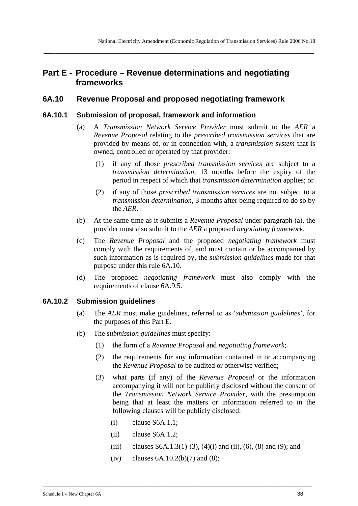# **Part E - Procedure – Revenue determinations and negotiating frameworks**

**\_\_\_\_\_\_\_\_\_\_\_\_\_\_\_\_\_\_\_\_\_\_\_\_\_\_\_\_\_\_\_\_\_\_\_\_\_\_\_\_\_\_\_\_\_\_\_\_\_\_\_\_\_\_\_\_\_\_\_\_\_\_\_\_\_\_\_\_\_\_\_\_\_\_\_\_\_\_\_\_\_\_\_\_\_\_\_\_\_\_\_\_\_\_\_\_\_\_\_\_** 

# **6A.10 Revenue Proposal and proposed negotiating framework**

## **6A.10.1 Submission of proposal, framework and information**

- (a) A *Transmission Network Service Provider* must submit to the *AER* a *Revenue Proposal* relating to the *prescribed transmission services* that are provided by means of, or in connection with, a *transmission system* that is owned, controlled or operated by that provider:
	- (1) if any of those *prescribed transmission services* are subject to a *transmission determination*, 13 months before the expiry of the period in respect of which that *transmission determination* applies; or
	- (2) if any of those *prescribed transmission services* are not subject to a *transmission determination*, 3 months after being required to do so by the *AER*.
- (b) At the same time as it submits a *Revenue Proposal* under paragraph (a), the provider must also submit to the *AER* a proposed *negotiating framework*.
- (c) The *Revenue Proposal* and the proposed *negotiating framework* must comply with the requirements of, and must contain or be accompanied by such information as is required by, the *submission guidelines* made for that purpose under this rule 6A.10.
- (d) The proposed *negotiating framework* must also comply with the requirements of clause 6A.9.5.

# **6A.10.2 Submission guidelines**

- (a) The *AER* must make guidelines, referred to as '*submission guidelines*', for the purposes of this Part E.
- (b) The *submission guidelines* must specify:
	- (1) the form of a *Revenue Proposal* and *negotiating framework*;
	- (2) the requirements for any information contained in or accompanying the *Revenue Proposal* to be audited or otherwise verified;
	- (3) what parts (if any) of the *Revenue Proposal* or the information accompanying it will not be publicly disclosed without the consent of the *Transmission Network Service Provider*, with the presumption being that at least the matters or information referred to in the following clauses will be publicly disclosed:
		- (i) clause S6A.1.1;
		- (ii) clause S6A.1.2;
		- (iii) clauses S6A.1.3(1)-(3), (4)(i) and (ii), (6), (8) and (9); and
		- (iv) clauses  $6A.10.2(b)(7)$  and  $(8)$ ;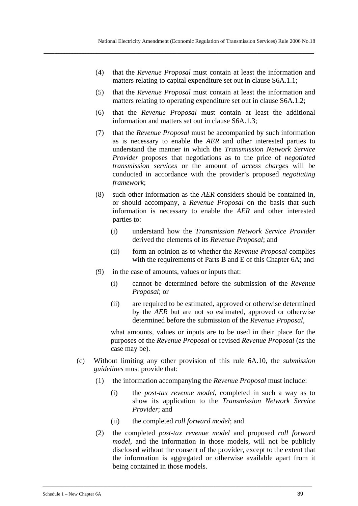- (4) that the *Revenue Proposal* must contain at least the information and matters relating to capital expenditure set out in clause S6A.1.1;
- (5) that the *Revenue Proposal* must contain at least the information and matters relating to operating expenditure set out in clause S6A.1.2;
- (6) that the *Revenue Proposal* must contain at least the additional information and matters set out in clause S6A.1.3;
- (7) that the *Revenue Proposal* must be accompanied by such information as is necessary to enable the *AER* and other interested parties to understand the manner in which the *Transmission Network Service Provider* proposes that negotiations as to the price of *negotiated transmission services* or the amount of *access charge*s will be conducted in accordance with the provider's proposed *negotiating framework*;
- (8) such other information as the *AER* considers should be contained in, or should accompany, a *Revenue Proposal* on the basis that such information is necessary to enable the *AER* and other interested parties to:
	- (i) understand how the *Transmission Network Service Provider* derived the elements of its *Revenue Proposal*; and
	- (ii) form an opinion as to whether the *Revenue Proposal* complies with the requirements of Parts B and E of this Chapter 6A; and
- (9) in the case of amounts, values or inputs that:
	- (i) cannot be determined before the submission of the *Revenue Proposal*; or
	- (ii) are required to be estimated, approved or otherwise determined by the *AER* but are not so estimated, approved or otherwise determined before the submission of the *Revenue Proposal*,

what amounts, values or inputs are to be used in their place for the purposes of the *Revenue Proposal* or revised *Revenue Proposal* (as the case may be).

- (c) Without limiting any other provision of this rule 6A.10, the *submission guidelines* must provide that:
	- (1) the information accompanying the *Revenue Proposal* must include:
		- (i) the *post-tax revenue model*, completed in such a way as to show its application to the *Transmission Network Service Provider*; and
		- (ii) the completed *roll forward model*; and

\_\_\_\_\_\_\_\_\_\_\_\_\_\_\_\_\_\_\_\_\_\_\_\_\_\_\_\_\_\_\_\_\_\_\_\_\_\_\_\_\_\_\_\_\_\_\_\_\_\_\_\_\_\_\_\_\_\_\_\_\_\_\_\_\_\_\_\_\_\_\_\_\_\_\_\_\_\_\_\_\_\_\_\_\_\_\_\_\_\_\_\_\_\_\_\_\_\_\_\_\_\_\_\_\_\_\_\_\_\_\_\_

(2) the completed *post-tax revenue model* and proposed *roll forward model*, and the information in those models, will not be publicly disclosed without the consent of the provider, except to the extent that the information is aggregated or otherwise available apart from it being contained in those models.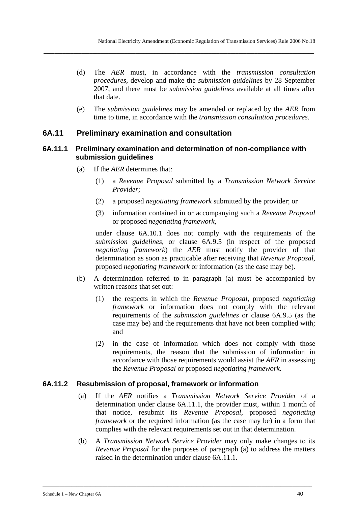(d) The *AER* must, in accordance with the *transmission consultation procedures,* develop and make the *submission guidelines* by 28 September 2007, and there must be *submission guidelines* available at all times after that date.

**\_\_\_\_\_\_\_\_\_\_\_\_\_\_\_\_\_\_\_\_\_\_\_\_\_\_\_\_\_\_\_\_\_\_\_\_\_\_\_\_\_\_\_\_\_\_\_\_\_\_\_\_\_\_\_\_\_\_\_\_\_\_\_\_\_\_\_\_\_\_\_\_\_\_\_\_\_\_\_\_\_\_\_\_\_\_\_\_\_\_\_\_\_\_\_\_\_\_\_\_** 

(e) The *submission guidelines* may be amended or replaced by the *AER* from time to time, in accordance with the *transmission consultation procedures*.

## **6A.11 Preliminary examination and consultation**

### **6A.11.1 Preliminary examination and determination of non-compliance with submission guidelines**

- (a) If the *AER* determines that:
	- (1) a *Revenue Proposal* submitted by a *Transmission Network Service Provider*;
	- (2) a proposed *negotiating framework* submitted by the provider; or
	- (3) information contained in or accompanying such a *Revenue Proposal* or proposed *negotiating framework*,

under clause 6A.10.1 does not comply with the requirements of the *submission guidelines*, or clause 6A.9.5 (in respect of the proposed *negotiating framework*) the *AER* must notify the provider of that determination as soon as practicable after receiving that *Revenue Proposal*, proposed *negotiating framework* or information (as the case may be).

- (b) A determination referred to in paragraph (a) must be accompanied by written reasons that set out:
	- (1) the respects in which the *Revenue Proposal*, proposed *negotiating framework* or information does not comply with the relevant requirements of the *submission guidelines* or clause 6A.9.5 (as the case may be) and the requirements that have not been complied with; and
	- (2) in the case of information which does not comply with those requirements, the reason that the submission of information in accordance with those requirements would assist the *AER* in assessing the *Revenue Proposal* or proposed *negotiating framework*.

### **6A.11.2 Resubmission of proposal, framework or information**

- (a) If the *AER* notifies a *Transmission Network Service Provider* of a determination under clause 6A.11.1, the provider must, within 1 month of that notice, resubmit its *Revenue Proposal*, proposed *negotiating framework* or the required information (as the case may be) in a form that complies with the relevant requirements set out in that determination.
- (b) A *Transmission Network Service Provider* may only make changes to its *Revenue Proposal* for the purposes of paragraph (a) to address the matters raised in the determination under clause 6A.11.1.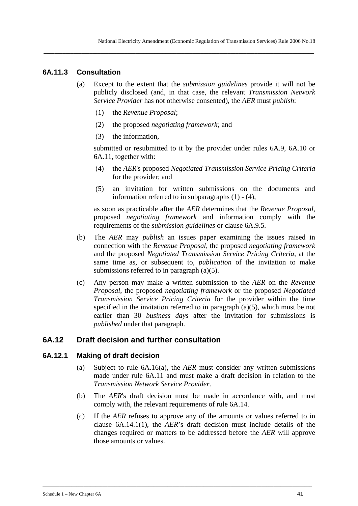## **6A.11.3 Consultation**

(a) Except to the extent that the *submission guidelines* provide it will not be publicly disclosed (and, in that case, the relevant *Transmission Network Service Provider* has not otherwise consented), the *AER* must *publish*:

**\_\_\_\_\_\_\_\_\_\_\_\_\_\_\_\_\_\_\_\_\_\_\_\_\_\_\_\_\_\_\_\_\_\_\_\_\_\_\_\_\_\_\_\_\_\_\_\_\_\_\_\_\_\_\_\_\_\_\_\_\_\_\_\_\_\_\_\_\_\_\_\_\_\_\_\_\_\_\_\_\_\_\_\_\_\_\_\_\_\_\_\_\_\_\_\_\_\_\_\_** 

- (1) the *Revenue Proposal*;
- (2) the proposed *negotiating framework;* and
- (3) the information,

submitted or resubmitted to it by the provider under rules 6A.9, 6A.10 or 6A.11, together with:

- (4) the *AER*'s proposed *Negotiated Transmission Service Pricing Criteria* for the provider; and
- (5) an invitation for written submissions on the documents and information referred to in subparagraphs (1) - (4),

as soon as practicable after the *AER* determines that the *Revenue Proposal*, proposed *negotiating framework* and information comply with the requirements of the *submission guidelines* or clause 6A.9.5.

- (b) The *AER* may *publish* an issues paper examining the issues raised in connection with the *Revenue Proposal*, the proposed *negotiating framework* and the proposed *Negotiated Transmission Service Pricing Criteria,* at the same time as, or subsequent to, *publication* of the invitation to make submissions referred to in paragraph (a)(5).
- (c) Any person may make a written submission to the *AER* on the *Revenue Proposal*, the proposed *negotiating framework* or the proposed *Negotiated Transmission Service Pricing Criteria* for the provider within the time specified in the invitation referred to in paragraph (a)(5), which must be not earlier than 30 *business days* after the invitation for submissions is *published* under that paragraph.

# **6A.12 Draft decision and further consultation**

### **6A.12.1 Making of draft decision**

- (a) Subject to rule 6A.16(a), the *AER* must consider any written submissions made under rule 6A.11 and must make a draft decision in relation to the *Transmission Network Service Provider*.
- (b) The *AER*'s draft decision must be made in accordance with, and must comply with, the relevant requirements of rule 6A.14.
- (c) If the *AER* refuses to approve any of the amounts or values referred to in clause 6A.14.1(1), the *AER*'s draft decision must include details of the changes required or matters to be addressed before the *AER* will approve those amounts or values.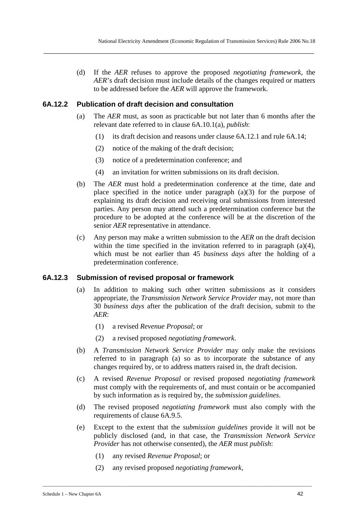(d) If the *AER* refuses to approve the proposed *negotiating framework*, the *AER*'s draft decision must include details of the changes required or matters to be addressed before the *AER* will approve the framework.

**\_\_\_\_\_\_\_\_\_\_\_\_\_\_\_\_\_\_\_\_\_\_\_\_\_\_\_\_\_\_\_\_\_\_\_\_\_\_\_\_\_\_\_\_\_\_\_\_\_\_\_\_\_\_\_\_\_\_\_\_\_\_\_\_\_\_\_\_\_\_\_\_\_\_\_\_\_\_\_\_\_\_\_\_\_\_\_\_\_\_\_\_\_\_\_\_\_\_\_\_** 

### **6A.12.2 Publication of draft decision and consultation**

- (a) The *AER* must, as soon as practicable but not later than 6 months after the relevant date referred to in clause 6A.10.1(a), *publish*:
	- (1) its draft decision and reasons under clause 6A.12.1 and rule 6A.14;
	- (2) notice of the making of the draft decision;
	- (3) notice of a predetermination conference; and
	- (4) an invitation for written submissions on its draft decision.
- (b) The *AER* must hold a predetermination conference at the time, date and place specified in the notice under paragraph (a)(3) for the purpose of explaining its draft decision and receiving oral submissions from interested parties. Any person may attend such a predetermination conference but the procedure to be adopted at the conference will be at the discretion of the senior *AER* representative in attendance.
- (c) Any person may make a written submission to the *AER* on the draft decision within the time specified in the invitation referred to in paragraph  $(a)(4)$ , which must be not earlier than 45 *business days* after the holding of a predetermination conference.

### **6A.12.3 Submission of revised proposal or framework**

- (a) In addition to making such other written submissions as it considers appropriate, the *Transmission Network Service Provider* may, not more than 30 *business days* after the publication of the draft decision, submit to the *AER*:
	- (1) a revised *Revenue Proposal*; or
	- (2) a revised proposed *negotiating framework*.
- (b) A *Transmission Network Service Provider* may only make the revisions referred to in paragraph (a) so as to incorporate the substance of any changes required by, or to address matters raised in, the draft decision.
- (c) A revised *Revenue Proposal* or revised proposed *negotiating framework*  must comply with the requirements of, and must contain or be accompanied by such information as is required by, the *submission guidelines*.
- (d) The revised proposed *negotiating framework* must also comply with the requirements of clause 6A.9.5.
- (e) Except to the extent that the *submission guidelines* provide it will not be publicly disclosed (and, in that case, the *Transmission Network Service Provider* has not otherwise consented), the *AER* must *publish*:
	- (1) any revised *Revenue Proposal*; or
	- (2) any revised proposed *negotiating framework*,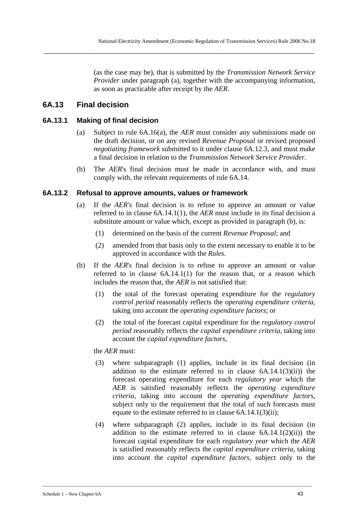(as the case may be), that is submitted by the *Transmission Network Service Provider* under paragraph (a), together with the accompanying information, as soon as practicable after receipt by the *AER*.

# **6A.13 Final decision**

# **6A.13.1 Making of final decision**

- (a) Subject to rule 6A.16(a), the *AER* must consider any submissions made on the draft decision, or on any revised *Revenue Proposal* or revised proposed *negotiating framework* submitted to it under clause 6A.12.3, and must make a final decision in relation to the *Transmission Network Service Provider*.
- (b) The *AER*'s final decision must be made in accordance with, and must comply with, the relevant requirements of rule 6A.14.

# **6A.13.2 Refusal to approve amounts, values or framework**

- (a) If the *AER's* final decision is to refuse to approve an amount or value referred to in clause 6A.14.1(1), the *AER* must include in its final decision a substitute amount or value which, except as provided in paragraph (b), is:
	- (1) determined on the basis of the current *Revenue Proposal*; and
	- (2) amended from that basis only to the extent necessary to enable it to be approved in accordance with the *Rules*.
- (b) If the *AER*'s final decision is to refuse to approve an amount or value referred to in clause 6A.14.1(1) for the reason that, or a reason which includes the reason that, the *AER* is not satisfied that:
	- (1) the total of the forecast operating expenditure for the *regulatory control period* reasonably reflects the *operating expenditure criteria*, taking into account the *operating expenditure factors*; or
	- (2) the total of the forecast capital expenditure for the *regulatory control period* reasonably reflects the *capital expenditure criteria*, taking into account the *capital expenditure factors*,

# the *AER* must:

- (3) where subparagraph (1) applies, include in its final decision (in addition to the estimate referred to in clause  $6A.14.1(3)(ii)$  the forecast operating expenditure for each *regulatory year* which the *AER* is satisfied reasonably reflects the *operating expenditure criteria*, taking into account the *operating expenditure factors*, subject only to the requirement that the total of such forecasts must equate to the estimate referred to in clause 6A.14.1(3)(ii);
- (4) where subparagraph (2) applies, include in its final decision (in addition to the estimate referred to in clause  $6A.14.1(2)(ii)$  the forecast capital expenditure for each *regulatory year* which the *AER* is satisfied reasonably reflects the *capital expenditure criteria*, taking into account the *capital expenditure factors*, subject only to the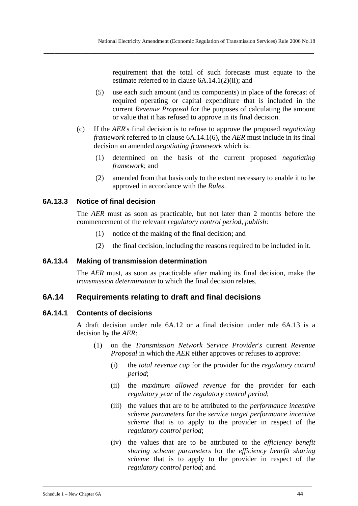requirement that the total of such forecasts must equate to the estimate referred to in clause 6A.14.1(2)(ii); and

- (5) use each such amount (and its components) in place of the forecast of required operating or capital expenditure that is included in the current *Revenue Proposal* for the purposes of calculating the amount or value that it has refused to approve in its final decision.
- (c) If the *AER*'s final decision is to refuse to approve the proposed *negotiating framework* referred to in clause 6A.14.1(6), the *AER* must include in its final decision an amended *negotiating framework* which is:
	- (1) determined on the basis of the current proposed *negotiating framework*; and
	- (2) amended from that basis only to the extent necessary to enable it to be approved in accordance with the *Rules*.

## **6A.13.3 Notice of final decision**

The *AER* must as soon as practicable, but not later than 2 months before the commencement of the relevant *regulatory control period*, *publish*:

- (1) notice of the making of the final decision; and
- (2) the final decision, including the reasons required to be included in it.

## **6A.13.4 Making of transmission determination**

The *AER* must, as soon as practicable after making its final decision, make the *transmission determination* to which the final decision relates.

# **6A.14 Requirements relating to draft and final decisions**

### **6A.14.1 Contents of decisions**

A draft decision under rule 6A.12 or a final decision under rule 6A.13 is a decision by the *AER*:

- (1) on the *Transmission Network Service Provider's* current *Revenue Proposal* in which the *AER* either approves or refuses to approve:
	- (i) the *total revenue cap* for the provider for the *regulatory control period*;
	- (ii) the *maximum allowed revenue* for the provider for each *regulatory year* of the *regulatory control period*;
	- (iii) the values that are to be attributed to the *performance incentive scheme parameters* for the *service target performance incentive scheme* that is to apply to the provider in respect of the *regulatory control period*;
	- (iv) the values that are to be attributed to the *efficiency benefit sharing scheme parameters* for the *efficiency benefit sharing scheme* that is to apply to the provider in respect of the *regulatory control period*; and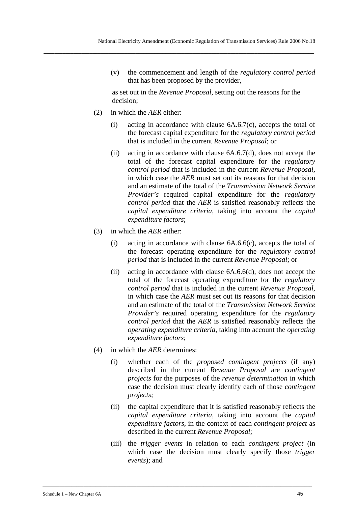(v) the commencement and length of the *regulatory control period* that has been proposed by the provider,

as set out in the *Revenue Proposal*, setting out the reasons for the decision;

- (2) in which the *AER* either:
	- (i) acting in accordance with clause  $6A.6.7(c)$ , accepts the total of the forecast capital expenditure for the *regulatory control period* that is included in the current *Revenue Proposal*; or
	- (ii) acting in accordance with clause  $6A.6.7(d)$ , does not accept the total of the forecast capital expenditure for the *regulatory control period* that is included in the current *Revenue Proposal,*  in which case the *AER* must set out its reasons for that decision and an estimate of the total of the *Transmission Network Service Provider's* required capital expenditure for the *regulatory control period* that the *AER* is satisfied reasonably reflects the *capital expenditure criteria*, taking into account the *capital expenditure factors*;
- (3) in which the *AER* either:
	- (i) acting in accordance with clause 6A.6.6(c), accepts the total of the forecast operating expenditure for the *regulatory control period* that is included in the current *Revenue Proposal*; or
	- (ii) acting in accordance with clause 6A.6.6(d), does not accept the total of the forecast operating expenditure for the *regulatory control period* that is included in the current *Revenue Proposal*, in which case the *AER* must set out its reasons for that decision and an estimate of the total of the *Transmission Network Service Provider's* required operating expenditure for the *regulatory control period* that the *AER* is satisfied reasonably reflects the *operating expenditure criteria*, taking into account the *operating expenditure factors*;
- (4) in which the *AER* determines:
	- (i) whether each of the *proposed contingent projects* (if any) described in the current *Revenue Proposal* are *contingent projects* for the purposes of the *revenue determination* in which case the decision must clearly identify each of those *contingent projects;*
	- (ii) the capital expenditure that it is satisfied reasonably reflects the *capital expenditure criteria*, taking into account the *capital expenditure factors*, in the context of each *contingent project* as described in the current *Revenue Proposal*;
	- (iii) the *trigger events* in relation to each *contingent project* (in which case the decision must clearly specify those *trigger events*); and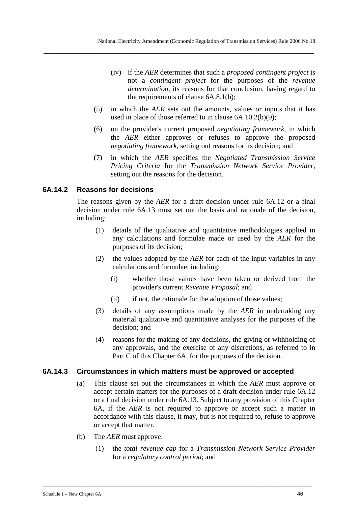- (iv) if the *AER* determines that such a *proposed contingent project* is not a *contingent project* for the purposes of the *revenue determination*, its reasons for that conclusion, having regard to the requirements of clause 6A.8.1(b);
- (5) in which the *AER* sets out the amounts, values or inputs that it has used in place of those referred to in clause 6A.10.2(b)(9);
- (6) on the provider's current proposed *negotiating framework*, in which the *AER* either approves or refuses to approve the proposed *negotiating framework*, setting out reasons for its decision; and
- (7) in which the *AER* specifies the *Negotiated Transmission Service Pricing Criteria* for the *Transmission Network Service Provider*, setting out the reasons for the decision.

## **6A.14.2 Reasons for decisions**

The reasons given by the *AER* for a draft decision under rule 6A.12 or a final decision under rule 6A.13 must set out the basis and rationale of the decision, including:

- (1) details of the qualitative and quantitative methodologies applied in any calculations and formulae made or used by the *AER* for the purposes of its decision;
- (2) the values adopted by the *AER* for each of the input variables in any calculations and formulae, including:
	- (i) whether those values have been taken or derived from the provider's current *Revenue Proposal*; and
	- (ii) if not, the rationale for the adoption of those values;
- (3) details of any assumptions made by the *AER* in undertaking any material qualitative and quantitative analyses for the purposes of the decision; and
- (4) reasons for the making of any decisions, the giving or withholding of any approvals, and the exercise of any discretions, as referred to in Part C of this Chapter 6A, for the purposes of the decision.

### **6A.14.3 Circumstances in which matters must be approved or accepted**

- (a) This clause set out the circumstances in which the *AER* must approve or accept certain matters for the purposes of a draft decision under rule 6A.12 or a final decision under rule 6A.13. Subject to any provision of this Chapter 6A, if the *AER* is not required to approve or accept such a matter in accordance with this clause, it may, but is not required to, refuse to approve or accept that matter.
- (b) The *AER* must approve:
	- (1) the *total revenue cap* for a *Transmission Network Service Provider* for a *regulatory control period*; and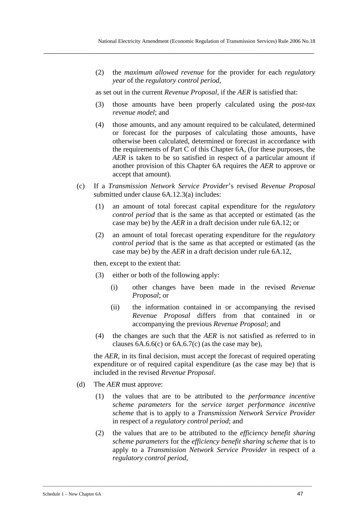(2) the *maximum allowed revenue* for the provider for each *regulatory year* of the *regulatory control period*,

as set out in the current *Revenue Proposal*, if the *AER* is satisfied that:

**\_\_\_\_\_\_\_\_\_\_\_\_\_\_\_\_\_\_\_\_\_\_\_\_\_\_\_\_\_\_\_\_\_\_\_\_\_\_\_\_\_\_\_\_\_\_\_\_\_\_\_\_\_\_\_\_\_\_\_\_\_\_\_\_\_\_\_\_\_\_\_\_\_\_\_\_\_\_\_\_\_\_\_\_\_\_\_\_\_\_\_\_\_\_\_\_\_\_\_\_** 

- (3) those amounts have been properly calculated using the *post-tax revenue model*; and
- (4) those amounts, and any amount required to be calculated, determined or forecast for the purposes of calculating those amounts, have otherwise been calculated, determined or forecast in accordance with the requirements of Part C of this Chapter 6A, (for these purposes, the *AER* is taken to be so satisfied in respect of a particular amount if another provision of this Chapter 6A requires the *AER* to approve or accept that amount).
- (c) If a *Transmission Network Service Provider*'s revised *Revenue Proposal* submitted under clause 6A.12.3(a) includes:
	- (1) an amount of total forecast capital expenditure for the *regulatory control period* that is the same as that accepted or estimated (as the case may be) by the *AER* in a draft decision under rule 6A.12; or
	- (2) an amount of total forecast operating expenditure for the *regulatory control period* that is the same as that accepted or estimated (as the case may be) by the *AER* in a draft decision under rule 6A.12,

then, except to the extent that:

- (3) either or both of the following apply:
	- (i) other changes have been made in the revised *Revenue Proposal*; or
	- (ii) the information contained in or accompanying the revised *Revenue Proposal* differs from that contained in or accompanying the previous *Revenue Proposal*; and
- (4) the changes are such that the *AER* is not satisfied as referred to in clauses  $6A.6.6(c)$  or  $6A.6.7(c)$  (as the case may be),

the *AER*, in its final decision, must accept the forecast of required operating expenditure or of required capital expenditure (as the case may be) that is included in the revised *Revenue Proposal*.

- (d) The *AER* must approve:
	- (1) the values that are to be attributed to the *performance incentive scheme parameters* for the *service target performance incentive scheme* that is to apply to a *Transmission Network Service Provider* in respect of a *regulatory control period*; and
	- (2) the values that are to be attributed to the *efficiency benefit sharing scheme parameters* for the *efficiency benefit sharing scheme* that is to apply to a *Transmission Network Service Provider* in respect of a *regulatory control period*,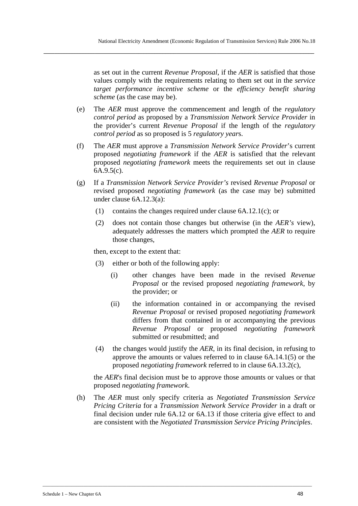as set out in the current *Revenue Proposal*, if the *AER* is satisfied that those values comply with the requirements relating to them set out in the *service target performance incentive scheme* or the *efficiency benefit sharing scheme* (as the case may be).

- (e) The *AER* must approve the commencement and length of the *regulatory control period* as proposed by a *Transmission Network Service Provider* in the provider's current *Revenue Proposal* if the length of the *regulatory control period* as so proposed is 5 *regulatory year*s.
- (f) The *AER* must approve a *Transmission Network Service Provider*'s current proposed *negotiating framework* if the *AER* is satisfied that the relevant proposed *negotiating framework* meets the requirements set out in clause 6A.9.5(c).
- (g) If a *Transmission Network Service Provider's* revised *Revenue Proposal* or revised proposed *negotiating framework* (as the case may be) submitted under clause 6A.12.3(a):
	- (1) contains the changes required under clause 6A.12.1(c); or
	- (2) does not contain those changes but otherwise (in the *AER's* view), adequately addresses the matters which prompted the *AER* to require those changes,

then, except to the extent that:

- (3) either or both of the following apply:
	- (i) other changes have been made in the revised *Revenue Proposal* or the revised proposed *negotiating framework*, by the provider; or
	- (ii) the information contained in or accompanying the revised *Revenue Proposal* or revised proposed *negotiating framework* differs from that contained in or accompanying the previous *Revenue Proposal* or proposed *negotiating framework* submitted or resubmitted; and
- (4) the changes would justify the *AER*, in its final decision, in refusing to approve the amounts or values referred to in clause 6A.14.1(5) or the proposed *negotiating framework* referred to in clause 6A.13.2(c),

the *AER*'s final decision must be to approve those amounts or values or that proposed *negotiating framework*.

(h) The *AER* must only specify criteria as *Negotiated Transmission Service Pricing Criteria* for a *Transmission Network Service Provider* in a draft or final decision under rule 6A.12 or 6A.13 if those criteria give effect to and are consistent with the *Negotiated Transmission Service Pricing Principles*.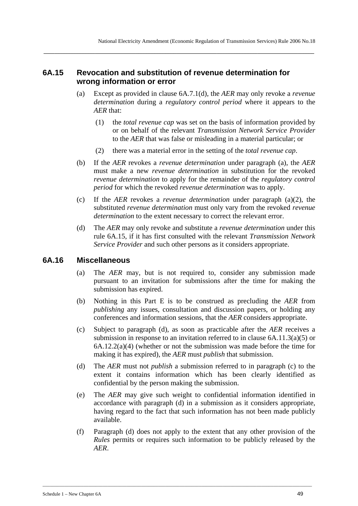# **6A.15 Revocation and substitution of revenue determination for wrong information or error**

**\_\_\_\_\_\_\_\_\_\_\_\_\_\_\_\_\_\_\_\_\_\_\_\_\_\_\_\_\_\_\_\_\_\_\_\_\_\_\_\_\_\_\_\_\_\_\_\_\_\_\_\_\_\_\_\_\_\_\_\_\_\_\_\_\_\_\_\_\_\_\_\_\_\_\_\_\_\_\_\_\_\_\_\_\_\_\_\_\_\_\_\_\_\_\_\_\_\_\_\_** 

- (a) Except as provided in clause 6A.7.1(d), the *AER* may only revoke a *revenue determination* during a *regulatory control period* where it appears to the *AER* that:
	- (1) the *total revenue cap* was set on the basis of information provided by or on behalf of the relevant *Transmission Network Service Provider* to the *AER* that was false or misleading in a material particular; or
	- (2) there was a material error in the setting of the *total revenue cap*.
- (b) If the *AER* revokes a *revenue determination* under paragraph (a), the *AER* must make a new *revenue determination* in substitution for the revoked *revenue determination* to apply for the remainder of the *regulatory control period* for which the revoked *revenue determination* was to apply.
- (c) If the *AER* revokes a *revenue determination* under paragraph (a)(2), the substituted *revenue determination* must only vary from the revoked *revenue determination* to the extent necessary to correct the relevant error.
- (d) The *AER* may only revoke and substitute a *revenue determination* under this rule 6A.15, if it has first consulted with the relevant *Transmission Network Service Provider* and such other persons as it considers appropriate.

# **6A.16 Miscellaneous**

- (a) The *AER* may, but is not required to, consider any submission made pursuant to an invitation for submissions after the time for making the submission has expired.
- (b) Nothing in this Part E is to be construed as precluding the *AER* from *publishing* any issues, consultation and discussion papers, or holding any conferences and information sessions, that the *AER* considers appropriate.
- (c) Subject to paragraph (d), as soon as practicable after the *AER* receives a submission in response to an invitation referred to in clause 6A.11.3(a)(5) or 6A.12.2(a)(4) (whether or not the submission was made before the time for making it has expired), the *AER* must *publish* that submission.
- (d) The *AER* must not *publish* a submission referred to in paragraph (c) to the extent it contains information which has been clearly identified as confidential by the person making the submission.
- (e) The *AER* may give such weight to confidential information identified in accordance with paragraph (d) in a submission as it considers appropriate, having regard to the fact that such information has not been made publicly available.
- (f) Paragraph (d) does not apply to the extent that any other provision of the *Rules* permits or requires such information to be publicly released by the *AER*.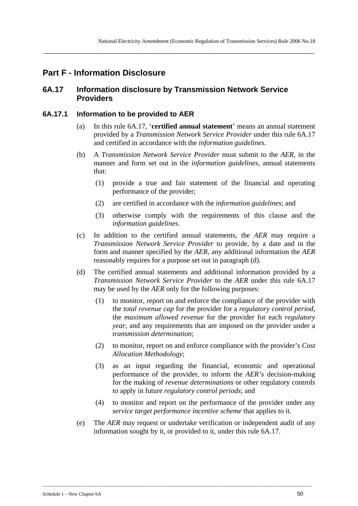# **Part F - Information Disclosure**

# **6A.17 Information disclosure by Transmission Network Service Providers**

**\_\_\_\_\_\_\_\_\_\_\_\_\_\_\_\_\_\_\_\_\_\_\_\_\_\_\_\_\_\_\_\_\_\_\_\_\_\_\_\_\_\_\_\_\_\_\_\_\_\_\_\_\_\_\_\_\_\_\_\_\_\_\_\_\_\_\_\_\_\_\_\_\_\_\_\_\_\_\_\_\_\_\_\_\_\_\_\_\_\_\_\_\_\_\_\_\_\_\_\_** 

### **6A.17.1 Information to be provided to AER**

- (a) In this rule 6A.17, '**certified annual statement**' means an annual statement provided by a *Transmission Network Service Provider* under this rule 6A.17 and certified in accordance with the *information guidelines*.
- (b) A *Transmission Network Service Provider* must submit to the *AER*, in the manner and form set out in the *information guidelines*, annual statements that:
	- (1) provide a true and fair statement of the financial and operating performance of the provider;
	- (2) are certified in accordance with the *information guidelines*; and
	- (3) otherwise comply with the requirements of this clause and the *information guidelines*.
- (c) In addition to the certified annual statements, the *AER* may require a *Transmission Network Service Provider* to provide, by a date and in the form and manner specified by the *AER*, any additional information the *AER* reasonably requires for a purpose set out in paragraph (d).
- (d) The certified annual statements and additional information provided by a *Transmission Network Service Provider* to the *AER* under this rule 6A.17 may be used by the *AER* only for the following purposes:
	- (1) to monitor, report on and enforce the compliance of the provider with the *total revenue cap* for the provider for a *regulatory control period*, the *maximum allowed revenue* for the provider for each *regulatory year*, and any requirements that are imposed on the provider under a *transmission determination*;
	- (2) to monitor, report on and enforce compliance with the provider's *Cost Allocation Methodology*;
	- (3) as an input regarding the financial, economic and operational performance of the provider, to inform the *AER's* decision-making for the making of *revenue determinations* or other regulatory controls to apply in future *regulatory control periods*; and
	- (4) to monitor and report on the performance of the provider under any *service target performance incentive scheme* that applies to it.
- (e) The *AER* may request or undertake verification or independent audit of any information sought by it, or provided to it, under this rule 6A.17.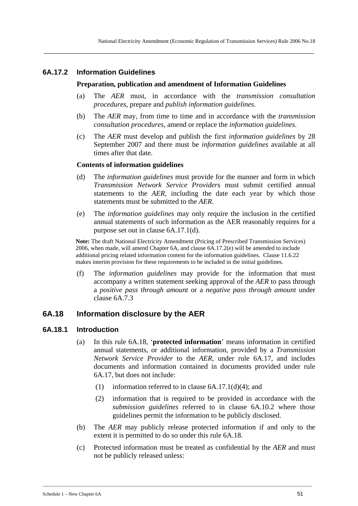## **6A.17.2 Information Guidelines**

#### **Preparation, publication and amendment of Information Guidelines**

**\_\_\_\_\_\_\_\_\_\_\_\_\_\_\_\_\_\_\_\_\_\_\_\_\_\_\_\_\_\_\_\_\_\_\_\_\_\_\_\_\_\_\_\_\_\_\_\_\_\_\_\_\_\_\_\_\_\_\_\_\_\_\_\_\_\_\_\_\_\_\_\_\_\_\_\_\_\_\_\_\_\_\_\_\_\_\_\_\_\_\_\_\_\_\_\_\_\_\_\_** 

- (a) The *AER* must, in accordance with the *transmission consultation procedures*, prepare and *publish information guidelines.*
- (b) The *AER* may, from time to time and in accordance with the *transmission consultation procedures*, amend or replace the *information guidelines*.
- (c) The *AER* must develop and publish the first *information guidelines* by 28 September 2007 and there must be *information guidelines* available at all times after that date.

#### **Contents of information guidelines**

- (d) The *information guidelines* must provide for the manner and form in which *Transmission Network Service Provider*s must submit certified annual statements to the *AER*, including the date each year by which those statements must be submitted to the *AER*.
- (e) The *information guidelines* may only require the inclusion in the certified annual statements of such information as the AER reasonably requires for a purpose set out in clause 6A.17.1(d).

**Note:** The draft National Electricity Amendment (Pricing of Prescribed Transmission Services) 2006, when made, will amend Chapter 6A, and clause 6A.17.2(e) will be amended to include additional pricing related information content for the information guidelines. Clause 11.6.22 makes interim provision for these requirements to be included in the initial guidelines.

(f) The *information guidelines* may provide for the information that must accompany a written statement seeking approval of the *AER* to pass through a *positive pass through amount* or a *negative pass through amount* under clause 6A.7.3

# **6A.18 Information disclosure by the AER**

#### **6A.18.1 Introduction**

- (a) In this rule 6A.18, '**protected information**' means information in certified annual statements, or additional information, provided by a *Transmission Network Service Provider* to the *AER,* under rule 6A.17, and includes documents and information contained in documents provided under rule 6A.17, but does not include:
	- (1) information referred to in clause 6A.17.1(d)(4); and

- (2) information that is required to be provided in accordance with the *submission guidelines* referred to in clause 6A.10.2 where those guidelines permit the information to be publicly disclosed.
- (b) The *AER* may publicly release protected information if and only to the extent it is permitted to do so under this rule 6A.18.
- (c) Protected information must be treated as confidential by the *AER* and must not be publicly released unless: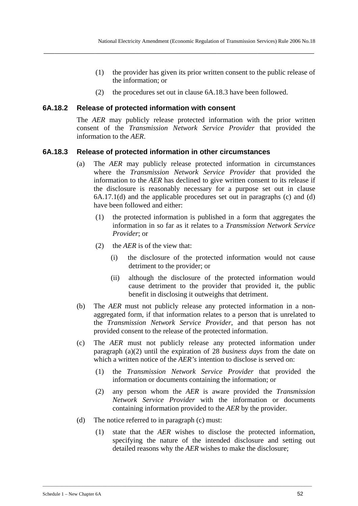- (1) the provider has given its prior written consent to the public release of the information; or
- (2) the procedures set out in clause 6A.18.3 have been followed.

### **6A.18.2 Release of protected information with consent**

The *AER* may publicly release protected information with the prior written consent of the *Transmission Network Service Provider* that provided the information to the *AER*.

### **6A.18.3 Release of protected information in other circumstances**

- (a) The *AER* may publicly release protected information in circumstances where the *Transmission Network Service Provider* that provided the information to the *AER* has declined to give written consent to its release if the disclosure is reasonably necessary for a purpose set out in clause 6A.17.1(d) and the applicable procedures set out in paragraphs (c) and (d) have been followed and either:
	- (1) the protected information is published in a form that aggregates the information in so far as it relates to a *Transmission Network Service Provider*; or
	- (2) the *AER* is of the view that:
		- (i) the disclosure of the protected information would not cause detriment to the provider; or
		- (ii) although the disclosure of the protected information would cause detriment to the provider that provided it, the public benefit in disclosing it outweighs that detriment.
- (b) The *AER* must not publicly release any protected information in a nonaggregated form, if that information relates to a person that is unrelated to the *Transmission Network Service Provider*, and that person has not provided consent to the release of the protected information.
- (c) The *AER* must not publicly release any protected information under paragraph (a)(2) until the expiration of 28 *business days* from the date on which a written notice of the *AFR's* intention to disclose is served on:
	- (1) the *Transmission Network Service Provider* that provided the information or documents containing the information; or
	- (2) any person whom the *AER* is aware provided the *Transmission Network Service Provider* with the information or documents containing information provided to the *AER* by the provider.
- (d) The notice referred to in paragraph (c) must:
	- (1) state that the *AER* wishes to disclose the protected information, specifying the nature of the intended disclosure and setting out detailed reasons why the *AER* wishes to make the disclosure;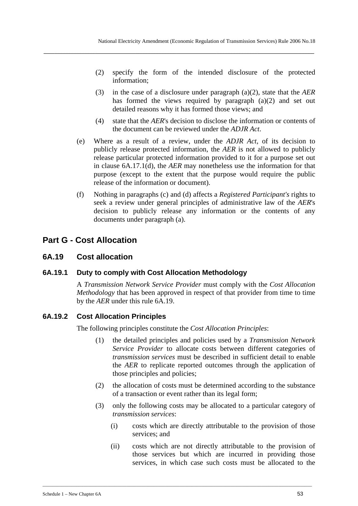- (2) specify the form of the intended disclosure of the protected information;
- (3) in the case of a disclosure under paragraph (a)(2), state that the *AER* has formed the views required by paragraph (a)(2) and set out detailed reasons why it has formed those views; and
- (4) state that the *AER*'s decision to disclose the information or contents of the document can be reviewed under the *ADJR Act*.
- (e) Where as a result of a review, under the *ADJR Act*, of its decision to publicly release protected information, the *AER* is not allowed to publicly release particular protected information provided to it for a purpose set out in clause 6A.17.1(d), the *AER* may nonetheless use the information for that purpose (except to the extent that the purpose would require the public release of the information or document).
- (f) Nothing in paragraphs (c) and (d) affects a *Registered Participant's* rights to seek a review under general principles of administrative law of the *AER*'s decision to publicly release any information or the contents of any documents under paragraph (a).

# **Part G - Cost Allocation**

# **6A.19 Cost allocation**

# **6A.19.1 Duty to comply with Cost Allocation Methodology**

A *Transmission Network Service Provider* must comply with the *Cost Allocation Methodology* that has been approved in respect of that provider from time to time by the *AER* under this rule 6A.19.

# **6A.19.2 Cost Allocation Principles**

The following principles constitute the *Cost Allocation Principles*:

- (1) the detailed principles and policies used by a *Transmission Network Service Provider* to allocate costs between different categories of *transmission services* must be described in sufficient detail to enable the *AER* to replicate reported outcomes through the application of those principles and policies;
- (2) the allocation of costs must be determined according to the substance of a transaction or event rather than its legal form;
- (3) only the following costs may be allocated to a particular category of *transmission services*:
	- (i) costs which are directly attributable to the provision of those services; and
	- (ii) costs which are not directly attributable to the provision of those services but which are incurred in providing those services, in which case such costs must be allocated to the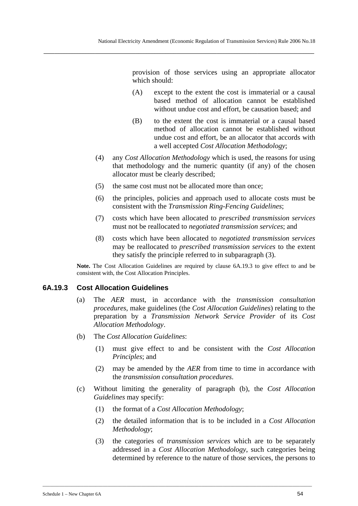provision of those services using an appropriate allocator which should:

- (A) except to the extent the cost is immaterial or a causal based method of allocation cannot be established without undue cost and effort, be causation based; and
- (B) to the extent the cost is immaterial or a causal based method of allocation cannot be established without undue cost and effort, be an allocator that accords with a well accepted *Cost Allocation Methodology*;
- (4) any *Cost Allocation Methodology* which is used, the reasons for using that methodology and the numeric quantity (if any) of the chosen allocator must be clearly described;
- (5) the same cost must not be allocated more than once;

**\_\_\_\_\_\_\_\_\_\_\_\_\_\_\_\_\_\_\_\_\_\_\_\_\_\_\_\_\_\_\_\_\_\_\_\_\_\_\_\_\_\_\_\_\_\_\_\_\_\_\_\_\_\_\_\_\_\_\_\_\_\_\_\_\_\_\_\_\_\_\_\_\_\_\_\_\_\_\_\_\_\_\_\_\_\_\_\_\_\_\_\_\_\_\_\_\_\_\_\_** 

- (6) the principles, policies and approach used to allocate costs must be consistent with the *Transmission Ring-Fencing Guidelines*;
- (7) costs which have been allocated to *prescribed transmission services* must not be reallocated to *negotiated transmission services*; and
- (8) costs which have been allocated to *negotiated transmission services* may be reallocated to *prescribed transmission services* to the extent they satisfy the principle referred to in subparagraph (3).

**Note.** The Cost Allocation Guidelines are required by clause 6A.19.3 to give effect to and be consistent with, the Cost Allocation Principles.

# **6A.19.3 Cost Allocation Guidelines**

- (a) The *AER* must, in accordance with the *transmission consultation procedures*, make guidelines (the *Cost Allocation Guidelines*) relating to the preparation by a *Transmission Network Service Provider* of its *Cost Allocation Methodology*.
- (b) The *Cost Allocation Guidelines*:
	- (1) must give effect to and be consistent with the *Cost Allocation Principles*; and
	- (2) may be amended by the *AER* from time to time in accordance with the *transmission consultation procedures*.
- (c) Without limiting the generality of paragraph (b), the *Cost Allocation Guidelines* may specify:
	- (1) the format of a *Cost Allocation Methodology*;

- (2) the detailed information that is to be included in a *Cost Allocation Methodology*;
- (3) the categories of *transmission services* which are to be separately addressed in a *Cost Allocation Methodology*, such categories being determined by reference to the nature of those services, the persons to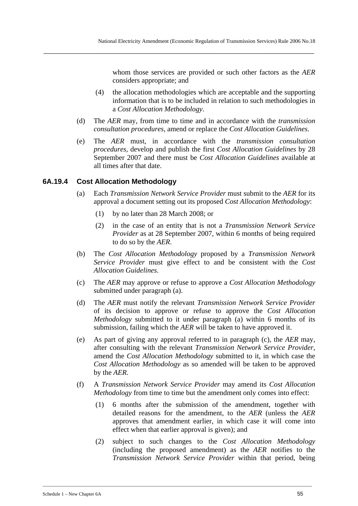whom those services are provided or such other factors as the *AER* considers appropriate; and

- (4) the allocation methodologies which are acceptable and the supporting information that is to be included in relation to such methodologies in a *Cost Allocation Methodology*.
- (d) The *AER* may, from time to time and in accordance with the *transmission consultation procedures*, amend or replace the *Cost Allocation Guidelines*.
- (e) The *AER* must, in accordance with the *transmission consultation procedures,* develop and publish the first *Cost Allocation Guidelines* by 28 September 2007 and there must be *Cost Allocation Guidelines* available at all times after that date.

### **6A.19.4 Cost Allocation Methodology**

- (a) Each *Transmission Network Service Provider* must submit to the *AER* for its approval a document setting out its proposed *Cost Allocation Methodology*:
	- (1) by no later than 28 March 2008; or
	- (2) in the case of an entity that is not a *Transmission Network Service Provider* as at 28 September 2007, within 6 months of being required to do so by the *AER*.
- (b) The *Cost Allocation Methodology* proposed by a *Transmission Network Service Provider* must give effect to and be consistent with the *Cost Allocation Guidelines*.
- (c) The *AER* may approve or refuse to approve a *Cost Allocation Methodology* submitted under paragraph (a).
- (d) The *AER* must notify the relevant *Transmission Network Service Provider* of its decision to approve or refuse to approve the *Cost Allocation Methodology* submitted to it under paragraph (a) within 6 months of its submission, failing which the *AER* will be taken to have approved it.
- (e) As part of giving any approval referred to in paragraph (c), the *AER* may, after consulting with the relevant *Transmission Network Service Provider*, amend the *Cost Allocation Methodology* submitted to it, in which case the *Cost Allocation Methodology* as so amended will be taken to be approved by the *AER*.
- (f) A *Transmission Network Service Provider* may amend its *Cost Allocation Methodology* from time to time but the amendment only comes into effect:
	- (1) 6 months after the submission of the amendment, together with detailed reasons for the amendment, to the *AER* (unless the *AER* approves that amendment earlier, in which case it will come into effect when that earlier approval is given); and
	- (2) subject to such changes to the *Cost Allocation Methodology* (including the proposed amendment) as the *AER* notifies to the *Transmission Network Service Provider* within that period, being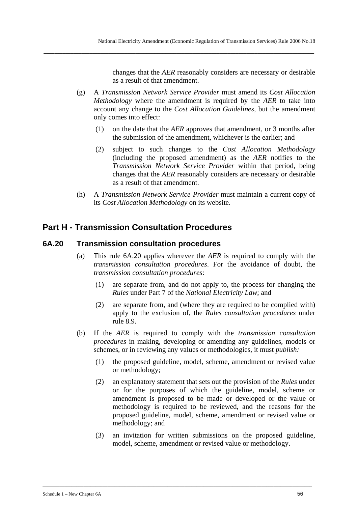changes that the *AER* reasonably considers are necessary or desirable as a result of that amendment.

(g) A *Transmission Network Service Provider* must amend its *Cost Allocation Methodology* where the amendment is required by the *AER* to take into account any change to the *Cost Allocation Guidelines,* but the amendment only comes into effect:

**\_\_\_\_\_\_\_\_\_\_\_\_\_\_\_\_\_\_\_\_\_\_\_\_\_\_\_\_\_\_\_\_\_\_\_\_\_\_\_\_\_\_\_\_\_\_\_\_\_\_\_\_\_\_\_\_\_\_\_\_\_\_\_\_\_\_\_\_\_\_\_\_\_\_\_\_\_\_\_\_\_\_\_\_\_\_\_\_\_\_\_\_\_\_\_\_\_\_\_\_** 

- (1) on the date that the *AER* approves that amendment, or 3 months after the submission of the amendment, whichever is the earlier; and
- (2) subject to such changes to the *Cost Allocation Methodology* (including the proposed amendment) as the *AER* notifies to the *Transmission Network Service Provider* within that period, being changes that the *AER* reasonably considers are necessary or desirable as a result of that amendment.
- (h) A *Transmission Network Service Provider* must maintain a current copy of its *Cost Allocation Methodology* on its website.

# **Part H - Transmission Consultation Procedures**

### **6A.20 Transmission consultation procedures**

- (a) This rule 6A.20 applies wherever the *AER* is required to comply with the *transmission consultation procedures*. For the avoidance of doubt, the *transmission consultation procedures*:
	- (1) are separate from, and do not apply to, the process for changing the *Rules* under Part 7 of the *National Electricity Law*; and
	- (2) are separate from, and (where they are required to be complied with) apply to the exclusion of, the *Rules consultation procedures* under rule 8.9.
- (b) If the *AER* is required to comply with the *transmission consultation procedures* in making, developing or amending any guidelines, models or schemes, or in reviewing any values or methodologies, it must *publish:*
	- (1) the proposed guideline, model, scheme, amendment or revised value or methodology;
	- (2) an explanatory statement that sets out the provision of the *Rules* under or for the purposes of which the guideline, model, scheme or amendment is proposed to be made or developed or the value or methodology is required to be reviewed, and the reasons for the proposed guideline, model, scheme, amendment or revised value or methodology; and
	- (3) an invitation for written submissions on the proposed guideline, model, scheme, amendment or revised value or methodology.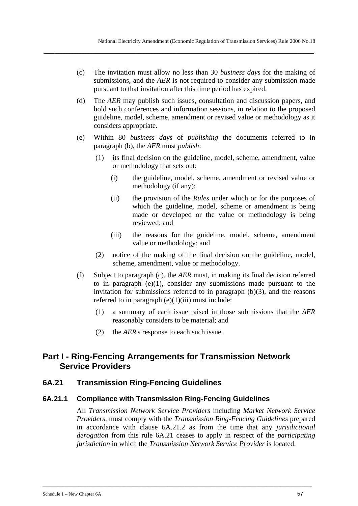(c) The invitation must allow no less than 30 *business days* for the making of submissions, and the *AER* is not required to consider any submission made pursuant to that invitation after this time period has expired.

**\_\_\_\_\_\_\_\_\_\_\_\_\_\_\_\_\_\_\_\_\_\_\_\_\_\_\_\_\_\_\_\_\_\_\_\_\_\_\_\_\_\_\_\_\_\_\_\_\_\_\_\_\_\_\_\_\_\_\_\_\_\_\_\_\_\_\_\_\_\_\_\_\_\_\_\_\_\_\_\_\_\_\_\_\_\_\_\_\_\_\_\_\_\_\_\_\_\_\_\_** 

- (d) The *AER* may publish such issues, consultation and discussion papers, and hold such conferences and information sessions, in relation to the proposed guideline, model, scheme, amendment or revised value or methodology as it considers appropriate.
- (e) Within 80 *business days* of *publishing* the documents referred to in paragraph (b), the *AER* must *publish*:
	- (1) its final decision on the guideline, model, scheme, amendment, value or methodology that sets out:
		- (i) the guideline, model, scheme, amendment or revised value or methodology (if any);
		- (ii) the provision of the *Rules* under which or for the purposes of which the guideline, model, scheme or amendment is being made or developed or the value or methodology is being reviewed; and
		- (iii) the reasons for the guideline, model, scheme, amendment value or methodology; and
	- (2) notice of the making of the final decision on the guideline, model, scheme, amendment, value or methodology.
- (f) Subject to paragraph (c), the *AER* must, in making its final decision referred to in paragraph  $(e)(1)$ , consider any submissions made pursuant to the invitation for submissions referred to in paragraph  $(b)(3)$ , and the reasons referred to in paragraph  $(e)(1)(iii)$  must include:
	- (1) a summary of each issue raised in those submissions that the *AER* reasonably considers to be material; and
	- (2) the *AER*'s response to each such issue.

# **Part I - Ring-Fencing Arrangements for Transmission Network Service Providers**

# **6A.21 Transmission Ring-Fencing Guidelines**

### **6A.21.1 Compliance with Transmission Ring-Fencing Guidelines**

All *Transmission Network Service Providers* including *Market Network Service Providers*, must comply with the *Transmission Ring-Fencing Guidelines* prepared in accordance with clause 6A.21.2 as from the time that any *jurisdictional derogation* from this rule 6A.21 ceases to apply in respect of the *participating jurisdiction* in which the *Transmission Network Service Provider* is located.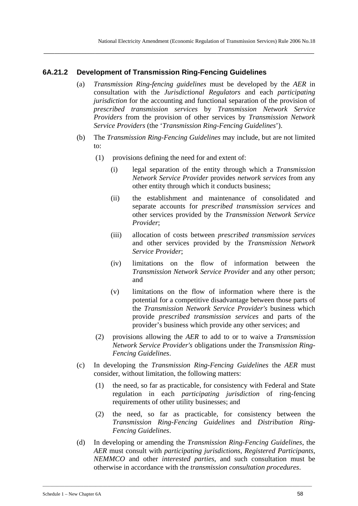## **6A.21.2 Development of Transmission Ring-Fencing Guidelines**

(a) *Transmission Ring-fencing guidelines* must be developed by the *AER* in consultation with the *Jurisdictional Regulators* and each *participating jurisdiction* for the accounting and functional separation of the provision of *prescribed transmission services* by *Transmission Network Service Providers* from the provision of other services by *Transmission Network Service Providers* (the '*Transmission Ring-Fencing Guidelines*').

**\_\_\_\_\_\_\_\_\_\_\_\_\_\_\_\_\_\_\_\_\_\_\_\_\_\_\_\_\_\_\_\_\_\_\_\_\_\_\_\_\_\_\_\_\_\_\_\_\_\_\_\_\_\_\_\_\_\_\_\_\_\_\_\_\_\_\_\_\_\_\_\_\_\_\_\_\_\_\_\_\_\_\_\_\_\_\_\_\_\_\_\_\_\_\_\_\_\_\_\_** 

- (b) The *Transmission Ring-Fencing Guidelines* may include, but are not limited to:
	- (1) provisions defining the need for and extent of:
		- (i) legal separation of the entity through which a *Transmission Network Service Provider* provides *network services* from any other entity through which it conducts business;
		- (ii) the establishment and maintenance of consolidated and separate accounts for *prescribed transmission services* and other services provided by the *Transmission Network Service Provider*;
		- (iii) allocation of costs between *prescribed transmission services* and other services provided by the *Transmission Network Service Provider*;
		- (iv) limitations on the flow of information between the *Transmission Network Service Provider* and any other person; and
		- (v) limitations on the flow of information where there is the potential for a competitive disadvantage between those parts of the *Transmission Network Service Provider's* business which provide *prescribed transmission services* and parts of the provider's business which provide any other services; and
	- (2) provisions allowing the *AER* to add to or to waive a *Transmission Network Service Provider's* obligations under the *Transmission Ring-Fencing Guidelines*.
- (c) In developing the *Transmission Ring-Fencing Guidelines* the *AER* must consider, without limitation, the following matters:
	- (1) the need, so far as practicable, for consistency with Federal and State regulation in each *participating jurisdiction* of ring-fencing requirements of other utility businesses; and
	- (2) the need, so far as practicable, for consistency between the *Transmission Ring-Fencing Guidelines* and *Distribution Ring-Fencing Guidelines*.
- (d) In developing or amending the *Transmission Ring-Fencing Guidelines*, the *AER* must consult with *participating jurisdictions*, *Registered Participants*, *NEMMCO* and other *interested parties*, and such consultation must be otherwise in accordance with the *transmission consultation procedures*.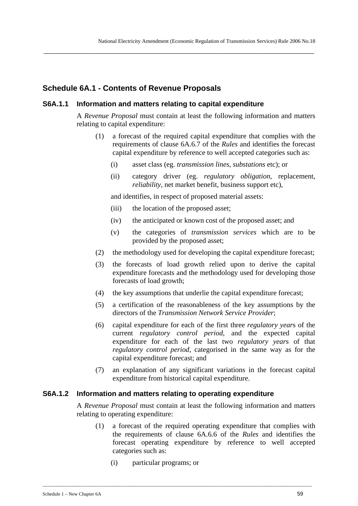# **Schedule 6A.1 - Contents of Revenue Proposals**

### **S6A.1.1 Information and matters relating to capital expenditure**

A *Revenue Proposal* must contain at least the following information and matters relating to capital expenditure:

- (1) a forecast of the required capital expenditure that complies with the requirements of clause 6A.6.7 of the *Rules* and identifies the forecast capital expenditure by reference to well accepted categories such as:
	- (i) asset class (eg. *transmission lines*, *substations* etc); or
	- (ii) category driver (eg. *regulatory obligation*, replacement, *reliability*, net market benefit, business support etc),

and identifies, in respect of proposed material assets:

- (iii) the location of the proposed asset;
- (iv) the anticipated or known cost of the proposed asset; and
- (v) the categories of *transmission services* which are to be provided by the proposed asset;
- (2) the methodology used for developing the capital expenditure forecast;
- (3) the forecasts of load growth relied upon to derive the capital expenditure forecasts and the methodology used for developing those forecasts of load growth;
- (4) the key assumptions that underlie the capital expenditure forecast;
- (5) a certification of the reasonableness of the key assumptions by the directors of the *Transmission Network Service Provider*;
- (6) capital expenditure for each of the first three *regulatory year*s of the current *regulatory control period*, and the expected capital expenditure for each of the last two *regulatory year*s of that *regulatory control period*, categorised in the same way as for the capital expenditure forecast; and
- (7) an explanation of any significant variations in the forecast capital expenditure from historical capital expenditure.

### **S6A.1.2 Information and matters relating to operating expenditure**

A *Revenue Proposal* must contain at least the following information and matters relating to operating expenditure:

- (1) a forecast of the required operating expenditure that complies with the requirements of clause 6A.6.6 of the *Rules* and identifies the forecast operating expenditure by reference to well accepted categories such as:
	- (i) particular programs; or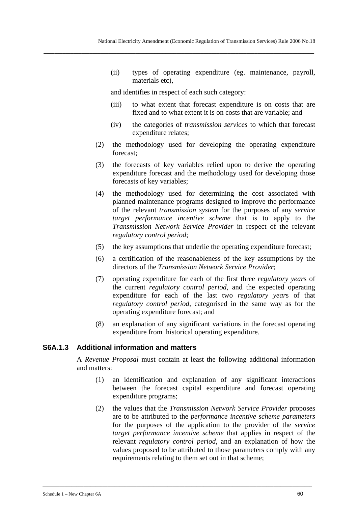(ii) types of operating expenditure (eg. maintenance, payroll, materials etc),

and identifies in respect of each such category:

**\_\_\_\_\_\_\_\_\_\_\_\_\_\_\_\_\_\_\_\_\_\_\_\_\_\_\_\_\_\_\_\_\_\_\_\_\_\_\_\_\_\_\_\_\_\_\_\_\_\_\_\_\_\_\_\_\_\_\_\_\_\_\_\_\_\_\_\_\_\_\_\_\_\_\_\_\_\_\_\_\_\_\_\_\_\_\_\_\_\_\_\_\_\_\_\_\_\_\_\_** 

- (iii) to what extent that forecast expenditure is on costs that are fixed and to what extent it is on costs that are variable; and
- (iv) the categories of *transmission services* to which that forecast expenditure relates;
- (2) the methodology used for developing the operating expenditure forecast;
- (3) the forecasts of key variables relied upon to derive the operating expenditure forecast and the methodology used for developing those forecasts of key variables;
- (4) the methodology used for determining the cost associated with planned maintenance programs designed to improve the performance of the relevant *transmission system* for the purposes of any *service target performance incentive scheme* that is to apply to the *Transmission Network Service Provider* in respect of the relevant *regulatory control period*;
- (5) the key assumptions that underlie the operating expenditure forecast;
- (6) a certification of the reasonableness of the key assumptions by the directors of the *Transmission Network Service Provider*;
- (7) operating expenditure for each of the first three *regulatory year*s of the current *regulatory control period*, and the expected operating expenditure for each of the last two *regulatory year*s of that *regulatory control period*, categorised in the same way as for the operating expenditure forecast; and
- (8) an explanation of any significant variations in the forecast operating expenditure from historical operating expenditure.

### **S6A.1.3 Additional information and matters**

A *Revenue Proposal* must contain at least the following additional information and matters:

- (1) an identification and explanation of any significant interactions between the forecast capital expenditure and forecast operating expenditure programs;
- (2) the values that the *Transmission Network Service Provider* proposes are to be attributed to the *performance incentive scheme parameters*  for the purposes of the application to the provider of the *service target performance incentive scheme* that applies in respect of the relevant *regulatory control period*, and an explanation of how the values proposed to be attributed to those parameters comply with any requirements relating to them set out in that scheme;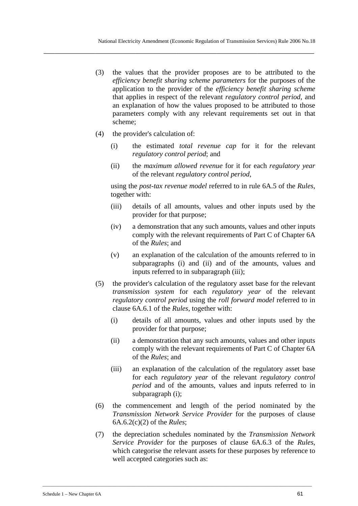- (3) the values that the provider proposes are to be attributed to the *efficiency benefit sharing scheme parameters* for the purposes of the application to the provider of the *efficiency benefit sharing scheme* that applies in respect of the relevant *regulatory control period*, and an explanation of how the values proposed to be attributed to those parameters comply with any relevant requirements set out in that scheme;
- (4) the provider's calculation of:
	- (i) the estimated *total revenue cap* for it for the relevant *regulatory control period*; and
	- (ii) the *maximum allowed revenue* for it for each *regulatory year* of the relevant *regulatory control period*,

using the *post-tax revenue model* referred to in rule 6A.5 of the *Rules*, together with:

- (iii) details of all amounts, values and other inputs used by the provider for that purpose;
- (iv) a demonstration that any such amounts, values and other inputs comply with the relevant requirements of Part C of Chapter 6A of the *Rules*; and
- (v) an explanation of the calculation of the amounts referred to in subparagraphs (i) and (ii) and of the amounts, values and inputs referred to in subparagraph (iii);
- (5) the provider's calculation of the regulatory asset base for the relevant *transmission system* for each *regulatory year* of the relevant *regulatory control period* using the *roll forward model* referred to in clause 6A.6.1 of the *Rules*, together with:
	- (i) details of all amounts, values and other inputs used by the provider for that purpose;
	- (ii) a demonstration that any such amounts, values and other inputs comply with the relevant requirements of Part C of Chapter 6A of the *Rules*; and
	- (iii) an explanation of the calculation of the regulatory asset base for each *regulatory year* of the relevant *regulatory control period* and of the amounts, values and inputs referred to in subparagraph (i);
- (6) the commencement and length of the period nominated by the *Transmission Network Service Provider* for the purposes of clause 6A.6.2(c)(2) of the *Rules*;
- (7) the depreciation schedules nominated by the *Transmission Network Service Provider* for the purposes of clause 6A.6.3 of the *Rules*, which categorise the relevant assets for these purposes by reference to well accepted categories such as: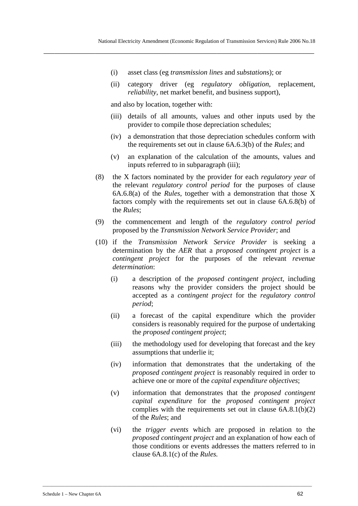(i) asset class (eg *transmission lines* and *substation*s); or

**\_\_\_\_\_\_\_\_\_\_\_\_\_\_\_\_\_\_\_\_\_\_\_\_\_\_\_\_\_\_\_\_\_\_\_\_\_\_\_\_\_\_\_\_\_\_\_\_\_\_\_\_\_\_\_\_\_\_\_\_\_\_\_\_\_\_\_\_\_\_\_\_\_\_\_\_\_\_\_\_\_\_\_\_\_\_\_\_\_\_\_\_\_\_\_\_\_\_\_\_** 

(ii) category driver (eg *regulatory obligation*, replacement, *reliability*, net market benefit, and business support),

and also by location, together with:

- (iii) details of all amounts, values and other inputs used by the provider to compile those depreciation schedules;
- (iv) a demonstration that those depreciation schedules conform with the requirements set out in clause 6A.6.3(b) of the *Rules*; and
- (v) an explanation of the calculation of the amounts, values and inputs referred to in subparagraph (iii);
- (8) the X factors nominated by the provider for each *regulatory year* of the relevant *regulatory control period* for the purposes of clause 6A.6.8(a) of the *Rules*, together with a demonstration that those X factors comply with the requirements set out in clause 6A.6.8(b) of the *Rules*;
- (9) the commencement and length of the *regulatory control period* proposed by the *Transmission Network Service Provider*; and
- (10) if the *Transmission Network Service Provider* is seeking a determination by the *AER* that a *proposed contingent project* is a *contingent project* for the purposes of the relevant *revenue determination*:
	- (i) a description of the *proposed contingent project*, including reasons why the provider considers the project should be accepted as a *contingent project* for the *regulatory control period*;
	- (ii) a forecast of the capital expenditure which the provider considers is reasonably required for the purpose of undertaking the *proposed contingent project*;
	- (iii) the methodology used for developing that forecast and the key assumptions that underlie it;
	- (iv) information that demonstrates that the undertaking of the *proposed contingent project* is reasonably required in order to achieve one or more of the *capital expenditure objectives*;
	- (v) information that demonstrates that the *proposed contingent capital expenditure* for the *proposed contingent project* complies with the requirements set out in clause  $6A.8.1(b)(2)$ of the *Rules*; and
	- (vi) the *trigger events* which are proposed in relation to the *proposed contingent project* and an explanation of how each of those conditions or events addresses the matters referred to in clause 6A.8.1(c) of the *Rules.*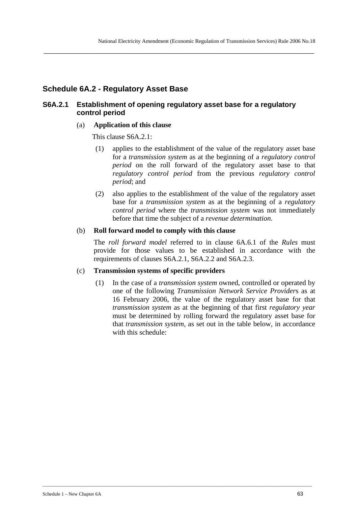# **Schedule 6A.2 - Regulatory Asset Base**

## **S6A.2.1 Establishment of opening regulatory asset base for a regulatory control period**

**\_\_\_\_\_\_\_\_\_\_\_\_\_\_\_\_\_\_\_\_\_\_\_\_\_\_\_\_\_\_\_\_\_\_\_\_\_\_\_\_\_\_\_\_\_\_\_\_\_\_\_\_\_\_\_\_\_\_\_\_\_\_\_\_\_\_\_\_\_\_\_\_\_\_\_\_\_\_\_\_\_\_\_\_\_\_\_\_\_\_\_\_\_\_\_\_\_\_\_\_** 

### (a) **Application of this clause**

This clause S6A.2.1:

- (1) applies to the establishment of the value of the regulatory asset base for a *transmission system* as at the beginning of a *regulatory control period* on the roll forward of the regulatory asset base to that *regulatory control period* from the previous *regulatory control period*; and
- (2) also applies to the establishment of the value of the regulatory asset base for a *transmission system* as at the beginning of a *regulatory control period* where the *transmission system* was not immediately before that time the subject of a *revenue determination*.

## (b) **Roll forward model to comply with this clause**

The *roll forward model* referred to in clause 6A.6.1 of the *Rules* must provide for those values to be established in accordance with the requirements of clauses S6A.2.1, S6A.2.2 and S6A.2.3.

### (c) **Transmission systems of specific providers**

(1) In the case of a *transmission system* owned, controlled or operated by one of the following *Transmission Network Service Provider*s as at 16 February 2006, the value of the regulatory asset base for that *transmission system* as at the beginning of that first *regulatory year* must be determined by rolling forward the regulatory asset base for that *transmission system*, as set out in the table below, in accordance with this schedule: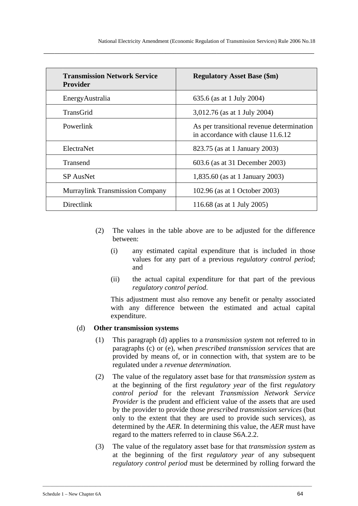| <b>Transmission Network Service</b><br><b>Provider</b> | <b>Regulatory Asset Base (\$m)</b>                                             |
|--------------------------------------------------------|--------------------------------------------------------------------------------|
| Energy Australia                                       | 635.6 (as at 1 July 2004)                                                      |
| <b>TransGrid</b>                                       | 3,012.76 (as at 1 July 2004)                                                   |
| Powerlink                                              | As per transitional revenue determination<br>in accordance with clause 11.6.12 |
| ElectraNet                                             | 823.75 (as at 1 January 2003)                                                  |
| Transend                                               | 603.6 (as at 31 December 2003)                                                 |
| <b>SP</b> AusNet                                       | 1,835.60 (as at 1 January 2003)                                                |
| <b>Murraylink Transmission Company</b>                 | 102.96 (as at 1 October 2003)                                                  |
| Directlink                                             | 116.68 (as at 1 July 2005)                                                     |

- (2) The values in the table above are to be adjusted for the difference between:
	- (i) any estimated capital expenditure that is included in those values for any part of a previous *regulatory control period*; and
	- (ii) the actual capital expenditure for that part of the previous *regulatory control period*.

This adjustment must also remove any benefit or penalty associated with any difference between the estimated and actual capital expenditure.

#### (d) **Other transmission systems**

- (1) This paragraph (d) applies to a *transmission system* not referred to in paragraphs (c) or (e), when *prescribed transmission services* that are provided by means of, or in connection with, that system are to be regulated under a *revenue determination.*
- (2) The value of the regulatory asset base for that *transmission system* as at the beginning of the first *regulatory year* of the first *regulatory control period* for the relevant *Transmission Network Service Provider* is the prudent and efficient value of the assets that are used by the provider to provide those *prescribed transmission services* (but only to the extent that they are used to provide such services), as determined by the *AER*. In determining this value, the *AER* must have regard to the matters referred to in clause S6A.2.2.
- (3) The value of the regulatory asset base for that *transmission system* as at the beginning of the first *regulatory year* of any subsequent *regulatory control period* must be determined by rolling forward the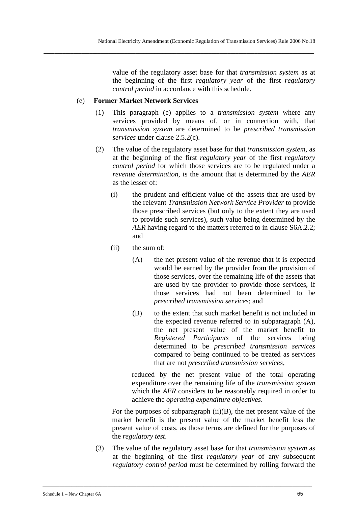value of the regulatory asset base for that *transmission system* as at the beginning of the first *regulatory year* of the first *regulatory control period* in accordance with this schedule.

## (e) **Former Market Network Services**

- (1) This paragraph (e) applies to a *transmission system* where any services provided by means of, or in connection with, that *transmission system* are determined to be *prescribed transmission services* under clause 2.5.2(c).
- (2) The value of the regulatory asset base for that *transmission system*, as at the beginning of the first *regulatory year* of the first *regulatory control period* for which those services are to be regulated under a *revenue determination*, is the amount that is determined by the *AER* as the lesser of:
	- (i) the prudent and efficient value of the assets that are used by the relevant *Transmission Network Service Provider* to provide those prescribed services (but only to the extent they are used to provide such services), such value being determined by the *AER* having regard to the matters referred to in clause S6A.2.2; and
	- (ii) the sum of:
		- (A) the net present value of the revenue that it is expected would be earned by the provider from the provision of those services, over the remaining life of the assets that are used by the provider to provide those services, if those services had not been determined to be *prescribed transmission services*; and
		- (B) to the extent that such market benefit is not included in the expected revenue referred to in subparagraph (A), the net present value of the market benefit to *Registered Participants* of the services being determined to be *prescribed transmission services* compared to being continued to be treated as services that are not *prescribed transmission services*,

reduced by the net present value of the total operating expenditure over the remaining life of the *transmission system* which the *AER* considers to be reasonably required in order to achieve the *operating expenditure objectives*.

For the purposes of subparagraph  $(ii)(B)$ , the net present value of the market benefit is the present value of the market benefit less the present value of costs, as those terms are defined for the purposes of the *regulatory test*.

(3) The value of the regulatory asset base for that *transmission system* as at the beginning of the first *regulatory year* of any subsequent *regulatory control period* must be determined by rolling forward the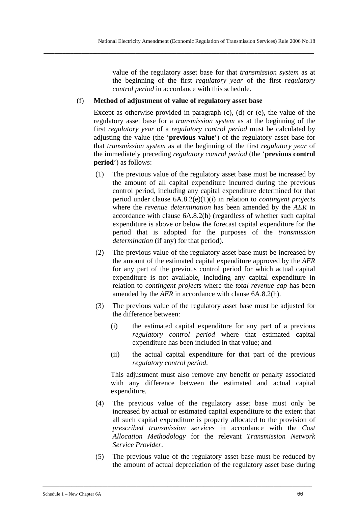value of the regulatory asset base for that *transmission system* as at the beginning of the first *regulatory year* of the first *regulatory control period* in accordance with this schedule.

## (f) **Method of adjustment of value of regulatory asset base**

**\_\_\_\_\_\_\_\_\_\_\_\_\_\_\_\_\_\_\_\_\_\_\_\_\_\_\_\_\_\_\_\_\_\_\_\_\_\_\_\_\_\_\_\_\_\_\_\_\_\_\_\_\_\_\_\_\_\_\_\_\_\_\_\_\_\_\_\_\_\_\_\_\_\_\_\_\_\_\_\_\_\_\_\_\_\_\_\_\_\_\_\_\_\_\_\_\_\_\_\_** 

Except as otherwise provided in paragraph (c), (d) or (e), the value of the regulatory asset base for a *transmission system* as at the beginning of the first *regulatory year* of a *regulatory control period* must be calculated by adjusting the value (the '**previous value**') of the regulatory asset base for that *transmission system* as at the beginning of the first *regulatory year* of the immediately preceding *regulatory control period* (the '**previous control period**') as follows:

- (1) The previous value of the regulatory asset base must be increased by the amount of all capital expenditure incurred during the previous control period, including any capital expenditure determined for that period under clause 6A.8.2(e)(1)(i) in relation to *contingent project*s where the *revenue determination* has been amended by the *AER* in accordance with clause 6A.8.2(h) (regardless of whether such capital expenditure is above or below the forecast capital expenditure for the period that is adopted for the purposes of the *transmission determination* (if any) for that period).
- (2) The previous value of the regulatory asset base must be increased by the amount of the estimated capital expenditure approved by the *AER* for any part of the previous control period for which actual capital expenditure is not available, including any capital expenditure in relation to *contingent project*s where the *total revenue cap* has been amended by the *AER* in accordance with clause 6A.8.2(h).
- (3) The previous value of the regulatory asset base must be adjusted for the difference between:
	- (i) the estimated capital expenditure for any part of a previous *regulatory control period* where that estimated capital expenditure has been included in that value; and
	- (ii) the actual capital expenditure for that part of the previous *regulatory control period*.

This adjustment must also remove any benefit or penalty associated with any difference between the estimated and actual capital expenditure.

- (4) The previous value of the regulatory asset base must only be increased by actual or estimated capital expenditure to the extent that all such capital expenditure is properly allocated to the provision of *prescribed transmission services* in accordance with the *Cost Allocation Methodology* for the relevant *Transmission Network Service Provider*.
- (5) The previous value of the regulatory asset base must be reduced by the amount of actual depreciation of the regulatory asset base during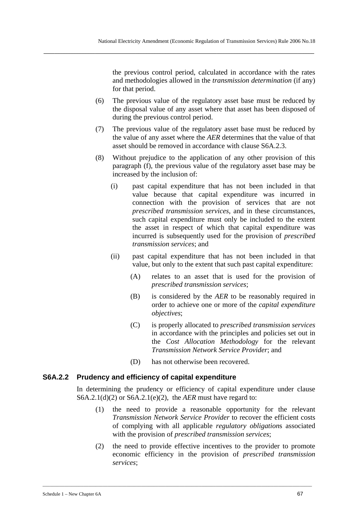the previous control period, calculated in accordance with the rates and methodologies allowed in the *transmission determination* (if any) for that period.

- (6) The previous value of the regulatory asset base must be reduced by the disposal value of any asset where that asset has been disposed of during the previous control period.
- (7) The previous value of the regulatory asset base must be reduced by the value of any asset where the *AER* determines that the value of that asset should be removed in accordance with clause S6A.2.3.
- (8) Without prejudice to the application of any other provision of this paragraph (f), the previous value of the regulatory asset base may be increased by the inclusion of:
	- (i) past capital expenditure that has not been included in that value because that capital expenditure was incurred in connection with the provision of services that are not *prescribed transmission services*, and in these circumstances, such capital expenditure must only be included to the extent the asset in respect of which that capital expenditure was incurred is subsequently used for the provision of *prescribed transmission services*; and
	- (ii) past capital expenditure that has not been included in that value, but only to the extent that such past capital expenditure:
		- (A) relates to an asset that is used for the provision of *prescribed transmission services*;
		- (B) is considered by the *AER* to be reasonably required in order to achieve one or more of the *capital expenditure objectives*;
		- (C) is properly allocated to *prescribed transmission services* in accordance with the principles and policies set out in the *Cost Allocation Methodology* for the relevant *Transmission Network Service Provider*; and
		- (D) has not otherwise been recovered.

### **S6A.2.2 Prudency and efficiency of capital expenditure**

In determining the prudency or efficiency of capital expenditure under clause S6A.2.1(d)(2) or S6A.2.1(e)(2), the *AER* must have regard to:

- (1) the need to provide a reasonable opportunity for the relevant *Transmission Network Service Provider* to recover the efficient costs of complying with all applicable *regulatory obligation*s associated with the provision of *prescribed transmission services*;
- (2) the need to provide effective incentives to the provider to promote economic efficiency in the provision of *prescribed transmission services*;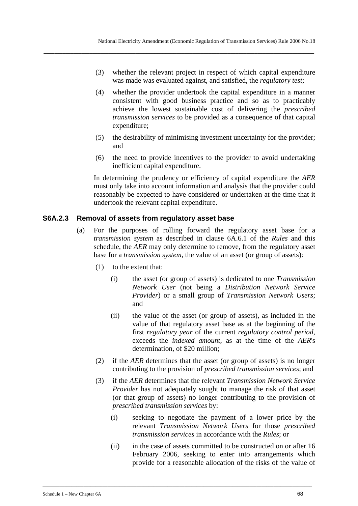- (3) whether the relevant project in respect of which capital expenditure was made was evaluated against, and satisfied, the *regulatory test*;
- (4) whether the provider undertook the capital expenditure in a manner consistent with good business practice and so as to practicably achieve the lowest sustainable cost of delivering the *prescribed transmission services* to be provided as a consequence of that capital expenditure;
- (5) the desirability of minimising investment uncertainty for the provider; and
- (6) the need to provide incentives to the provider to avoid undertaking inefficient capital expenditure.

In determining the prudency or efficiency of capital expenditure the *AER* must only take into account information and analysis that the provider could reasonably be expected to have considered or undertaken at the time that it undertook the relevant capital expenditure.

### **S6A.2.3 Removal of assets from regulatory asset base**

- (a) For the purposes of rolling forward the regulatory asset base for a *transmission system* as described in clause 6A.6.1 of the *Rules* and this schedule, the *AER* may only determine to remove, from the regulatory asset base for a *transmission system*, the value of an asset (or group of assets):
	- (1) to the extent that:
		- (i) the asset (or group of assets) is dedicated to one *Transmission Network User* (not being a *Distribution Network Service Provider*) or a small group of *Transmission Network Users*; and
		- (ii) the value of the asset (or group of assets), as included in the value of that regulatory asset base as at the beginning of the first *regulatory year* of the current *regulatory control period*, exceeds the *indexed amount*, as at the time of the *AER*'s determination, of \$20 million;
	- (2) if the *AER* determines that the asset (or group of assets) is no longer contributing to the provision of *prescribed transmission services*; and
	- (3) if the *AER* determines that the relevant *Transmission Network Service Provider* has not adequately sought to manage the risk of that asset (or that group of assets) no longer contributing to the provision of *prescribed transmission services* by:
		- (i) seeking to negotiate the payment of a lower price by the relevant *Transmission Network Users* for those *prescribed transmission services* in accordance with the *Rules*; or
		- (ii) in the case of assets committed to be constructed on or after 16 February 2006, seeking to enter into arrangements which provide for a reasonable allocation of the risks of the value of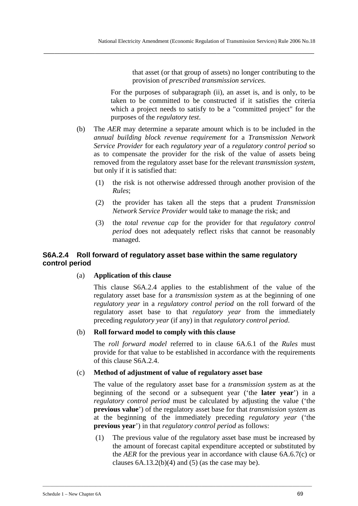that asset (or that group of assets) no longer contributing to the provision of *prescribed transmission services*.

For the purposes of subparagraph (ii), an asset is, and is only, to be taken to be committed to be constructed if it satisfies the criteria which a project needs to satisfy to be a "committed project" for the purposes of the *regulatory test*.

- (b) The *AER* may determine a separate amount which is to be included in the *annual building block revenue requirement* for a *Transmission Network Service Provider* for each *regulatory year* of a *regulatory control period* so as to compensate the provider for the risk of the value of assets being removed from the regulatory asset base for the relevant *transmission system*, but only if it is satisfied that:
	- (1) the risk is not otherwise addressed through another provision of the *Rules*;
	- (2) the provider has taken all the steps that a prudent *Transmission Network Service Provider* would take to manage the risk; and
	- (3) the *total revenue cap* for the provider for that *regulatory control period* does not adequately reflect risks that cannot be reasonably managed.

# **S6A.2.4 Roll forward of regulatory asset base within the same regulatory control period**

### (a) **Application of this clause**

This clause S6A.2.4 applies to the establishment of the value of the regulatory asset base for a *transmission system* as at the beginning of one *regulatory year* in a *regulatory control period* on the roll forward of the regulatory asset base to that *regulatory year* from the immediately preceding *regulatory year* (if any) in that *regulatory control period*.

### (b) **Roll forward model to comply with this clause**

The *roll forward model* referred to in clause 6A.6.1 of the *Rules* must provide for that value to be established in accordance with the requirements of this clause S6A.2.4.

#### (c) **Method of adjustment of value of regulatory asset base**

\_\_\_\_\_\_\_\_\_\_\_\_\_\_\_\_\_\_\_\_\_\_\_\_\_\_\_\_\_\_\_\_\_\_\_\_\_\_\_\_\_\_\_\_\_\_\_\_\_\_\_\_\_\_\_\_\_\_\_\_\_\_\_\_\_\_\_\_\_\_\_\_\_\_\_\_\_\_\_\_\_\_\_\_\_\_\_\_\_\_\_\_\_\_\_\_\_\_\_\_\_\_\_\_\_\_\_\_\_\_\_\_

The value of the regulatory asset base for a *transmission system* as at the beginning of the second or a subsequent year ('the **later year**') in a *regulatory control period* must be calculated by adjusting the value ('the **previous value**') of the regulatory asset base for that *transmission system* as at the beginning of the immediately preceding *regulatory year* ('the **previous year**') in that *regulatory control period* as follows:

(1) The previous value of the regulatory asset base must be increased by the amount of forecast capital expenditure accepted or substituted by the *AER* for the previous year in accordance with clause 6A.6.7(c) or clauses  $6A.13.2(b)(4)$  and  $(5)$  (as the case may be).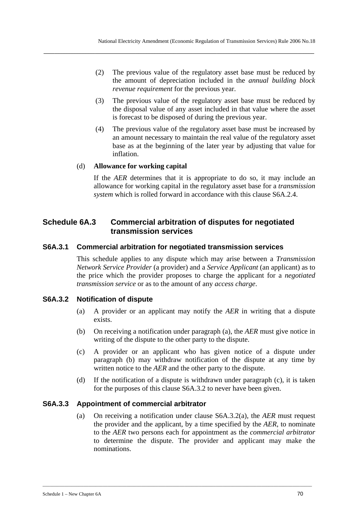**\_\_\_\_\_\_\_\_\_\_\_\_\_\_\_\_\_\_\_\_\_\_\_\_\_\_\_\_\_\_\_\_\_\_\_\_\_\_\_\_\_\_\_\_\_\_\_\_\_\_\_\_\_\_\_\_\_\_\_\_\_\_\_\_\_\_\_\_\_\_\_\_\_\_\_\_\_\_\_\_\_\_\_\_\_\_\_\_\_\_\_\_\_\_\_\_\_\_\_\_** 

- (2) The previous value of the regulatory asset base must be reduced by the amount of depreciation included in the *annual building block revenue requirement* for the previous year.
- (3) The previous value of the regulatory asset base must be reduced by the disposal value of any asset included in that value where the asset is forecast to be disposed of during the previous year.
- (4) The previous value of the regulatory asset base must be increased by an amount necessary to maintain the real value of the regulatory asset base as at the beginning of the later year by adjusting that value for inflation.

### (d) **Allowance for working capital**

If the *AER* determines that it is appropriate to do so, it may include an allowance for working capital in the regulatory asset base for a *transmission system* which is rolled forward in accordance with this clause S6A.2.4.

# **Schedule 6A.3 Commercial arbitration of disputes for negotiated transmission services**

### **S6A.3.1 Commercial arbitration for negotiated transmission services**

This schedule applies to any dispute which may arise between a *Transmission Network Service Provider* (a provider) and a *Service Applicant* (an applicant) as to the price which the provider proposes to charge the applicant for a *negotiated transmission service* or as to the amount of any *access charge*.

### **S6A.3.2 Notification of dispute**

- (a) A provider or an applicant may notify the *AER* in writing that a dispute exists.
- (b) On receiving a notification under paragraph (a), the *AER* must give notice in writing of the dispute to the other party to the dispute.
- (c) A provider or an applicant who has given notice of a dispute under paragraph (b) may withdraw notification of the dispute at any time by written notice to the *AER* and the other party to the dispute.
- (d) If the notification of a dispute is withdrawn under paragraph (c), it is taken for the purposes of this clause S6A.3.2 to never have been given.

### **S6A.3.3 Appointment of commercial arbitrator**

(a) On receiving a notification under clause S6A.3.2(a), the *AER* must request the provider and the applicant, by a time specified by the *AER*, to nominate to the *AER* two persons each for appointment as the *commercial arbitrator* to determine the dispute. The provider and applicant may make the nominations.

\_\_\_\_\_\_\_\_\_\_\_\_\_\_\_\_\_\_\_\_\_\_\_\_\_\_\_\_\_\_\_\_\_\_\_\_\_\_\_\_\_\_\_\_\_\_\_\_\_\_\_\_\_\_\_\_\_\_\_\_\_\_\_\_\_\_\_\_\_\_\_\_\_\_\_\_\_\_\_\_\_\_\_\_\_\_\_\_\_\_\_\_\_\_\_\_\_\_\_\_\_\_\_\_\_\_\_\_\_\_\_\_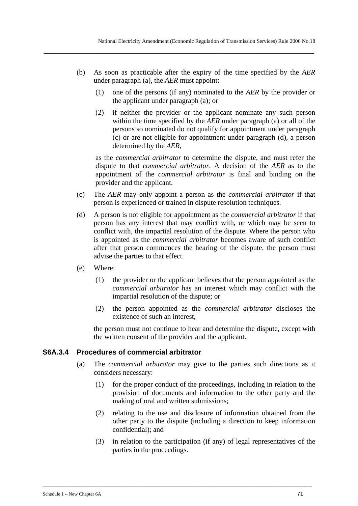(b) As soon as practicable after the expiry of the time specified by the *AER* under paragraph (a), the *AER* must appoint:

**\_\_\_\_\_\_\_\_\_\_\_\_\_\_\_\_\_\_\_\_\_\_\_\_\_\_\_\_\_\_\_\_\_\_\_\_\_\_\_\_\_\_\_\_\_\_\_\_\_\_\_\_\_\_\_\_\_\_\_\_\_\_\_\_\_\_\_\_\_\_\_\_\_\_\_\_\_\_\_\_\_\_\_\_\_\_\_\_\_\_\_\_\_\_\_\_\_\_\_\_** 

- (1) one of the persons (if any) nominated to the *AER* by the provider or the applicant under paragraph (a); or
- (2) if neither the provider or the applicant nominate any such person within the time specified by the *AER* under paragraph (a) or all of the persons so nominated do not qualify for appointment under paragraph (c) or are not eligible for appointment under paragraph (d), a person determined by the *AER*,

as the *commercial arbitrator* to determine the dispute, and must refer the dispute to that *commercial arbitrator*. A decision of the *AER* as to the appointment of the *commercial arbitrator* is final and binding on the provider and the applicant.

- (c) The *AER* may only appoint a person as the *commercial arbitrator* if that person is experienced or trained in dispute resolution techniques.
- (d) A person is not eligible for appointment as the *commercial arbitrator* if that person has any interest that may conflict with, or which may be seen to conflict with, the impartial resolution of the dispute. Where the person who is appointed as the *commercial arbitrator* becomes aware of such conflict after that person commences the hearing of the dispute, the person must advise the parties to that effect.
- (e) Where:
	- (1) the provider or the applicant believes that the person appointed as the *commercial arbitrator* has an interest which may conflict with the impartial resolution of the dispute; or
	- (2) the person appointed as the *commercial arbitrator* discloses the existence of such an interest,

the person must not continue to hear and determine the dispute, except with the written consent of the provider and the applicant.

### **S6A.3.4 Procedures of commercial arbitrator**

- (a) The *commercial arbitrator* may give to the parties such directions as it considers necessary:
	- (1) for the proper conduct of the proceedings, including in relation to the provision of documents and information to the other party and the making of oral and written submissions;
	- (2) relating to the use and disclosure of information obtained from the other party to the dispute (including a direction to keep information confidential); and
	- (3) in relation to the participation (if any) of legal representatives of the parties in the proceedings.

\_\_\_\_\_\_\_\_\_\_\_\_\_\_\_\_\_\_\_\_\_\_\_\_\_\_\_\_\_\_\_\_\_\_\_\_\_\_\_\_\_\_\_\_\_\_\_\_\_\_\_\_\_\_\_\_\_\_\_\_\_\_\_\_\_\_\_\_\_\_\_\_\_\_\_\_\_\_\_\_\_\_\_\_\_\_\_\_\_\_\_\_\_\_\_\_\_\_\_\_\_\_\_\_\_\_\_\_\_\_\_\_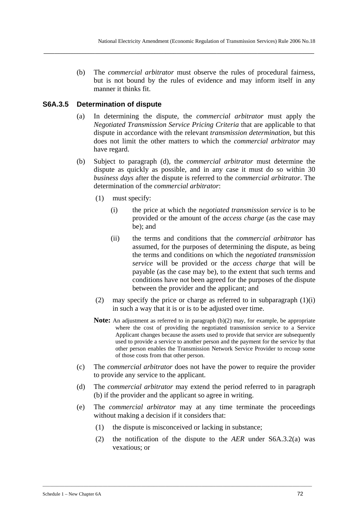(b) The *commercial arbitrator* must observe the rules of procedural fairness, but is not bound by the rules of evidence and may inform itself in any manner it thinks fit.

**\_\_\_\_\_\_\_\_\_\_\_\_\_\_\_\_\_\_\_\_\_\_\_\_\_\_\_\_\_\_\_\_\_\_\_\_\_\_\_\_\_\_\_\_\_\_\_\_\_\_\_\_\_\_\_\_\_\_\_\_\_\_\_\_\_\_\_\_\_\_\_\_\_\_\_\_\_\_\_\_\_\_\_\_\_\_\_\_\_\_\_\_\_\_\_\_\_\_\_\_** 

## **S6A.3.5 Determination of dispute**

- (a) In determining the dispute, the *commercial arbitrator* must apply the *Negotiated Transmission Service Pricing Criteria* that are applicable to that dispute in accordance with the relevant *transmission determination*, but this does not limit the other matters to which the *commercial arbitrator* may have regard.
- (b) Subject to paragraph (d), the *commercial arbitrator* must determine the dispute as quickly as possible, and in any case it must do so within 30 *business days* after the dispute is referred to the *commercial arbitrator*. The determination of the *commercial arbitrator*:
	- (1) must specify:
		- (i) the price at which the *negotiated transmission service* is to be provided or the amount of the *access charge* (as the case may be); and
		- (ii) the terms and conditions that the *commercial arbitrator* has assumed, for the purposes of determining the dispute, as being the terms and conditions on which the *negotiated transmission service* will be provided or the *access charge* that will be payable (as the case may be), to the extent that such terms and conditions have not been agreed for the purposes of the dispute between the provider and the applicant; and
	- (2) may specify the price or charge as referred to in subparagraph  $(1)(i)$ in such a way that it is or is to be adjusted over time.
	- **Note:** An adjustment as referred to in paragraph (b)(2) may, for example, be appropriate where the cost of providing the negotiated transmission service to a Service Applicant changes because the assets used to provide that service are subsequently used to provide a service to another person and the payment for the service by that other person enables the Transmission Network Service Provider to recoup some of those costs from that other person.
- (c) The *commercial arbitrator* does not have the power to require the provider to provide any service to the applicant.
- (d) The *commercial arbitrator* may extend the period referred to in paragraph (b) if the provider and the applicant so agree in writing.
- (e) The *commercial arbitrator* may at any time terminate the proceedings without making a decision if it considers that:
	- (1) the dispute is misconceived or lacking in substance;

\_\_\_\_\_\_\_\_\_\_\_\_\_\_\_\_\_\_\_\_\_\_\_\_\_\_\_\_\_\_\_\_\_\_\_\_\_\_\_\_\_\_\_\_\_\_\_\_\_\_\_\_\_\_\_\_\_\_\_\_\_\_\_\_\_\_\_\_\_\_\_\_\_\_\_\_\_\_\_\_\_\_\_\_\_\_\_\_\_\_\_\_\_\_\_\_\_\_\_\_\_\_\_\_\_\_\_\_\_\_\_\_

(2) the notification of the dispute to the *AER* under S6A.3.2(a) was vexatious; or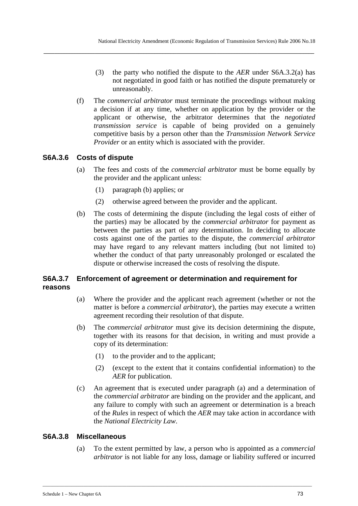**\_\_\_\_\_\_\_\_\_\_\_\_\_\_\_\_\_\_\_\_\_\_\_\_\_\_\_\_\_\_\_\_\_\_\_\_\_\_\_\_\_\_\_\_\_\_\_\_\_\_\_\_\_\_\_\_\_\_\_\_\_\_\_\_\_\_\_\_\_\_\_\_\_\_\_\_\_\_\_\_\_\_\_\_\_\_\_\_\_\_\_\_\_\_\_\_\_\_\_\_** 

- (3) the party who notified the dispute to the *AER* under S6A.3.2(a) has not negotiated in good faith or has notified the dispute prematurely or unreasonably.
- (f) The *commercial arbitrator* must terminate the proceedings without making a decision if at any time, whether on application by the provider or the applicant or otherwise, the arbitrator determines that the *negotiated transmission service* is capable of being provided on a genuinely competitive basis by a person other than the *Transmission Network Service Provider* or an entity which is associated with the provider.

# **S6A.3.6 Costs of dispute**

- (a) The fees and costs of the *commercial arbitrator* must be borne equally by the provider and the applicant unless:
	- (1) paragraph (b) applies; or
	- (2) otherwise agreed between the provider and the applicant.
- (b) The costs of determining the dispute (including the legal costs of either of the parties) may be allocated by the *commercial arbitrator* for payment as between the parties as part of any determination. In deciding to allocate costs against one of the parties to the dispute, the *commercial arbitrator* may have regard to any relevant matters including (but not limited to) whether the conduct of that party unreasonably prolonged or escalated the dispute or otherwise increased the costs of resolving the dispute.

# **S6A.3.7 Enforcement of agreement or determination and requirement for reasons**

- (a) Where the provider and the applicant reach agreement (whether or not the matter is before a *commercial arbitrator*), the parties may execute a written agreement recording their resolution of that dispute.
- (b) The *commercial arbitrator* must give its decision determining the dispute, together with its reasons for that decision, in writing and must provide a copy of its determination:
	- (1) to the provider and to the applicant;
	- (2) (except to the extent that it contains confidential information) to the *AER* for publication.
- (c) An agreement that is executed under paragraph (a) and a determination of the *commercial arbitrator* are binding on the provider and the applicant, and any failure to comply with such an agreement or determination is a breach of the *Rules* in respect of which the *AER* may take action in accordance with the *National Electricity Law*.

### **S6A.3.8 Miscellaneous**

(a) To the extent permitted by law, a person who is appointed as a *commercial arbitrator* is not liable for any loss, damage or liability suffered or incurred

\_\_\_\_\_\_\_\_\_\_\_\_\_\_\_\_\_\_\_\_\_\_\_\_\_\_\_\_\_\_\_\_\_\_\_\_\_\_\_\_\_\_\_\_\_\_\_\_\_\_\_\_\_\_\_\_\_\_\_\_\_\_\_\_\_\_\_\_\_\_\_\_\_\_\_\_\_\_\_\_\_\_\_\_\_\_\_\_\_\_\_\_\_\_\_\_\_\_\_\_\_\_\_\_\_\_\_\_\_\_\_\_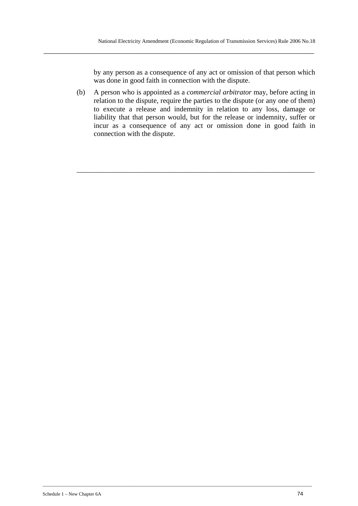by any person as a consequence of any act or omission of that person which was done in good faith in connection with the dispute.

(b) A person who is appointed as a *commercial arbitrator* may, before acting in relation to the dispute, require the parties to the dispute (or any one of them) to execute a release and indemnity in relation to any loss, damage or liability that that person would, but for the release or indemnity, suffer or incur as a consequence of any act or omission done in good faith in connection with the dispute.

\_\_\_\_\_\_\_\_\_\_\_\_\_\_\_\_\_\_\_\_\_\_\_\_\_\_\_\_\_\_\_\_\_\_\_\_\_\_\_\_\_\_\_\_\_\_\_\_\_\_\_\_\_\_\_\_\_\_\_\_\_\_\_\_\_\_

**\_\_\_\_\_\_\_\_\_\_\_\_\_\_\_\_\_\_\_\_\_\_\_\_\_\_\_\_\_\_\_\_\_\_\_\_\_\_\_\_\_\_\_\_\_\_\_\_\_\_\_\_\_\_\_\_\_\_\_\_\_\_\_\_\_\_\_\_\_\_\_\_\_\_\_\_\_\_\_\_\_\_\_\_\_\_\_\_\_\_\_\_\_\_\_\_\_\_\_\_** 

\_\_\_\_\_\_\_\_\_\_\_\_\_\_\_\_\_\_\_\_\_\_\_\_\_\_\_\_\_\_\_\_\_\_\_\_\_\_\_\_\_\_\_\_\_\_\_\_\_\_\_\_\_\_\_\_\_\_\_\_\_\_\_\_\_\_\_\_\_\_\_\_\_\_\_\_\_\_\_\_\_\_\_\_\_\_\_\_\_\_\_\_\_\_\_\_\_\_\_\_\_\_\_\_\_\_\_\_\_\_\_\_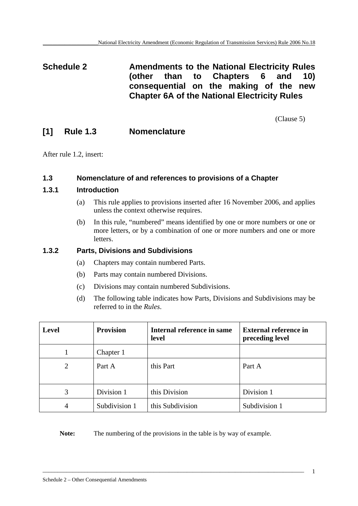**Schedule 2 Amendments to the National Electricity Rules (other than to Chapters 6 and 10) consequential on the making of the new Chapter 6A of the National Electricity Rules** 

(Clause 5)

# **[1] Rule 1.3 Nomenclature**

After rule 1.2, insert:

# **1.3 Nomenclature of and references to provisions of a Chapter**

# **1.3.1 Introduction**

- (a) This rule applies to provisions inserted after 16 November 2006, and applies unless the context otherwise requires.
- (b) In this rule, "numbered" means identified by one or more numbers or one or more letters, or by a combination of one or more numbers and one or more letters.

# **1.3.2 Parts, Divisions and Subdivisions**

- (a) Chapters may contain numbered Parts.
- (b) Parts may contain numbered Divisions.
- (c) Divisions may contain numbered Subdivisions.
- (d) The following table indicates how Parts, Divisions and Subdivisions may be referred to in the *Rules*.

| <b>Level</b>   | <b>Provision</b> | Internal reference in same<br>level | <b>External reference in</b><br>preceding level |
|----------------|------------------|-------------------------------------|-------------------------------------------------|
|                | Chapter 1        |                                     |                                                 |
| $\overline{2}$ | Part A           | this Part                           | Part A                                          |
| 3              | Division 1       | this Division                       | Division 1                                      |
| 4              | Subdivision 1    | this Subdivision                    | Subdivision 1                                   |

Note: The numbering of the provisions in the table is by way of example.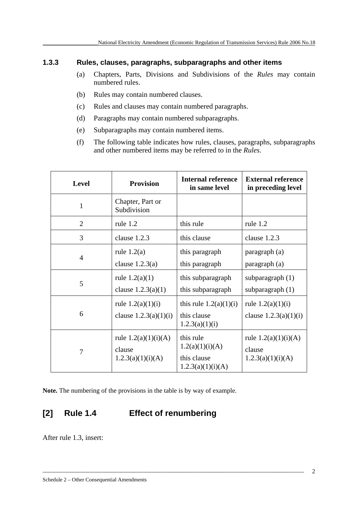# **1.3.3 Rules, clauses, paragraphs, subparagraphs and other items**

- (a) Chapters, Parts, Divisions and Subdivisions of the *Rules* may contain numbered rules.
- (b) Rules may contain numbered clauses.
- (c) Rules and clauses may contain numbered paragraphs.
- (d) Paragraphs may contain numbered subparagraphs.
- (e) Subparagraphs may contain numbered items.
- (f) The following table indicates how rules, clauses, paragraphs, subparagraphs and other numbered items may be referred to in the *Rules*.

| <b>Level</b>   | <b>Provision</b>                                      | <b>Internal reference</b><br>in same level                       | <b>External reference</b><br>in preceding level       |
|----------------|-------------------------------------------------------|------------------------------------------------------------------|-------------------------------------------------------|
| $\mathbf{1}$   | Chapter, Part or<br>Subdivision                       |                                                                  |                                                       |
| $\overline{2}$ | rule 1.2                                              | this rule                                                        | rule $1.2$                                            |
| 3              | clause 1.2.3                                          | this clause                                                      | clause 1.2.3                                          |
| $\overline{4}$ | rule $1.2(a)$<br>clause $1.2.3(a)$                    | this paragraph<br>this paragraph                                 | paragraph (a)<br>paragraph (a)                        |
| 5              | rule $1.2(a)(1)$<br>clause $1.2.3(a)(1)$              | this subparagraph<br>this subparagraph                           | subparagraph $(1)$<br>subparagraph $(1)$              |
| 6              | rule $1.2(a)(1)(i)$<br>clause $1.2.3(a)(1)(i)$        | this rule $1.2(a)(1)(i)$<br>this clause<br>1.2.3(a)(1)(i)        | rule $1.2(a)(1)(i)$<br>clause $1.2.3(a)(1)(i)$        |
| 7              | rule $1.2(a)(1)(i)(A)$<br>clause<br>1.2.3(a)(1)(i)(A) | this rule<br>1.2(a)(1)(i)(A)<br>this clause<br>1.2.3(a)(1)(i)(A) | rule $1.2(a)(1)(i)(A)$<br>clause<br>1.2.3(a)(1)(i)(A) |

\_\_\_\_\_\_\_\_\_\_\_\_\_\_\_\_\_\_\_\_\_\_\_\_\_\_\_\_\_\_\_\_\_\_\_\_\_\_\_\_\_\_\_\_\_\_\_\_\_\_\_\_\_\_\_\_\_\_\_\_\_\_\_\_\_\_\_\_\_\_\_\_\_\_\_\_\_\_\_\_\_\_\_\_\_\_\_

**Note.** The numbering of the provisions in the table is by way of example.

# **[2] Rule 1.4 Effect of renumbering**

After rule 1.3, insert: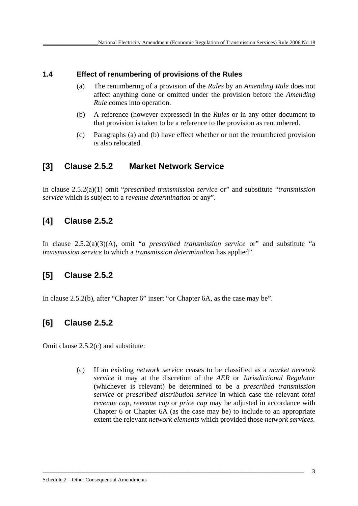# **1.4 Effect of renumbering of provisions of the Rules**

- (a) The renumbering of a provision of the *Rules* by an *Amending Rule* does not affect anything done or omitted under the provision before the *Amending Rule* comes into operation.
- (b) A reference (however expressed) in the *Rules* or in any other document to that provision is taken to be a reference to the provision as renumbered.
- (c) Paragraphs (a) and (b) have effect whether or not the renumbered provision is also relocated.

# **[3] Clause 2.5.2 Market Network Service**

In clause 2.5.2(a)(1) omit "*prescribed transmission service* or" and substitute "*transmission service* which is subject to a *revenue determination* or any".

# **[4] Clause 2.5.2**

In clause 2.5.2(a)(3)(A), omit "*a prescribed transmission service* or" and substitute "a *transmission service* to which a *transmission determination* has applied".

# **[5] Clause 2.5.2**

In clause 2.5.2(b), after "Chapter 6" insert "or Chapter 6A, as the case may be".

# **[6] Clause 2.5.2**

Omit clause 2.5.2(c) and substitute:

(c) If an existing *network service* ceases to be classified as a *market network service* it may at the discretion of the *AER* or *Jurisdictional Regulator*  (whichever is relevant) be determined to be a *prescribed transmission service* or *prescribed distribution service* in which case the relevant *total revenue cap, revenue cap* or *price cap* may be adjusted in accordance with Chapter 6 or Chapter 6A (as the case may be) to include to an appropriate extent the relevant *network elements* which provided those *network services*.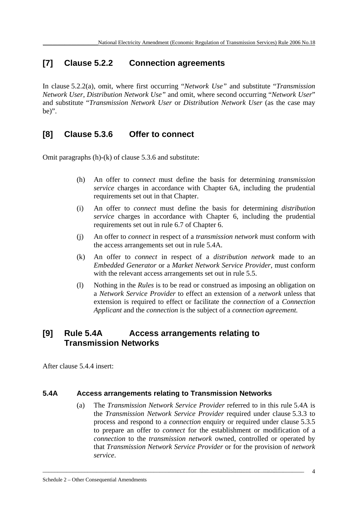# **[7] Clause 5.2.2 Connection agreements**

In clause 5.2.2(a), omit, where first occurring "*Network Use"* and substitute "*Transmission Network User*, *Distribution Network Use"* and omit, where second occurring "*Network User*" and substitute "*Transmission Network User* or *Distribution Network User* (as the case may be)".

# **[8] Clause 5.3.6 Offer to connect**

Omit paragraphs (h)-(k) of clause 5.3.6 and substitute:

- (h) An offer to *connect* must define the basis for determining *transmission service* charges in accordance with Chapter 6A, including the prudential requirements set out in that Chapter.
- (i) An offer to *connect* must define the basis for determining *distribution service* charges in accordance with Chapter 6, including the prudential requirements set out in rule 6.7 of Chapter 6.
- (j) An offer to *connect* in respect of a *transmission network* must conform with the access arrangements set out in rule 5.4A.
- (k) An offer to *connect* in respect of a *distribution network* made to an *Embedded Generator* or a *Market Network Service Provider*, must conform with the relevant access arrangements set out in rule 5.5.
- (l) Nothing in the *Rules* is to be read or construed as imposing an obligation on a *Network Service Provider* to effect an extension of a *network* unless that extension is required to effect or facilitate the *connection* of a *Connection Applicant* and the *connection* is the subject of a *connection agreement.*

# **[9] Rule 5.4A Access arrangements relating to Transmission Networks**

After clause 5.4.4 insert:

### **5.4A Access arrangements relating to Transmission Networks**

(a) The *Transmission Network Service Provider* referred to in this rule 5.4A is the *Transmission Network Service Provider* required under clause 5.3.3 to process and respond to a *connection* enquiry or required under clause 5.3.5 to prepare an offer to *connect* for the establishment or modification of a *connection* to the *transmission network* owned, controlled or operated by that *Transmission Network Service Provider* or for the provision of *network service*.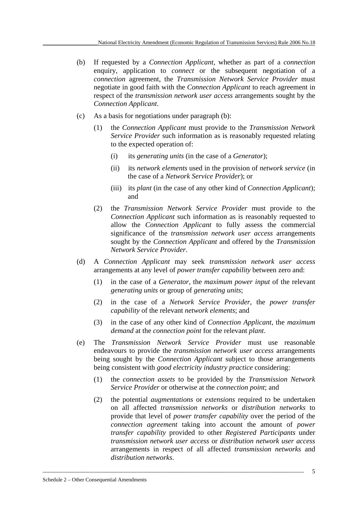- (b) If requested by a *Connection Applicant*, whether as part of a *connection*  enquiry, application to *connect* or the subsequent negotiation of a *connection* agreement, the *Transmission Network Service Provider* must negotiate in good faith with the *Connection Applicant* to reach agreement in respect of the *transmission network user access* arrangements sought by the *Connection Applicant*.
- (c) As a basis for negotiations under paragraph (b):
	- (1) the *Connection Applicant* must provide to the *Transmission Network Service Provider* such information as is reasonably requested relating to the expected operation of:
		- (i) its *generating units* (in the case of a *Generator*);
		- (ii) its *network elements* used in the provision of *network service* (in the case of a *Network Service Provider*); or
		- (iii) its *plant* (in the case of any other kind of *Connection Applicant*); and
	- (2) the *Transmission Network Service Provider* must provide to the *Connection Applicant* such information as is reasonably requested to allow the *Connection Applicant* to fully assess the commercial significance of the *transmission network user access* arrangements sought by the *Connection Applicant* and offered by the *Transmission Network Service Provider*.
- (d) A *Connection Applicant* may seek *transmission network user access* arrangements at any level of *power transfer capability* between zero and:
	- (1) in the case of a *Generator*, the *maximum power input* of the relevant *generating units* or group of *generating units*;
	- (2) in the case of a *Network Service Provider*, the *power transfer capability* of the relevant *network elements*; and
	- (3) in the case of any other kind of *Connection Applicant*, the *maximum demand* at the *connection point* for the relevant *plant*.
- (e) The *Transmission Network Service Provider* must use reasonable endeavours to provide the *transmission network user access* arrangements being sought by the *Connection Applicant* subject to those arrangements being consistent with *good electricity industry practice* considering:
	- (1) the *connection assets* to be provided by the *Transmission Network Service Provider* or otherwise at the *connection point*; and
	- (2) the potential *augmentations* or *extensions* required to be undertaken on all affected *transmission networks* or *distribution networks* to provide that level of *power transfer capability* over the period of the *connection agreement* taking into account the amount of *power transfer capability* provided to other *Registered Participants* under *transmission network user access* or *distribution network user access* arrangements in respect of all affected *transmission networks* and *distribution networks*.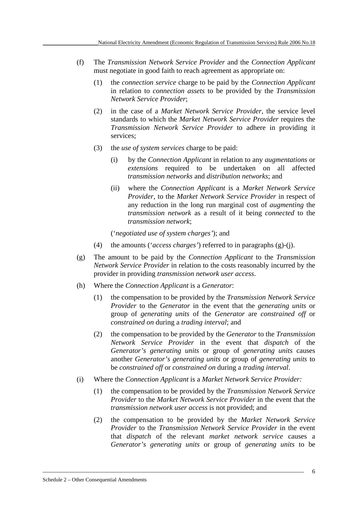- (f) The *Transmission Network Service Provider* and the *Connection Applicant*  must negotiate in good faith to reach agreement as appropriate on:
	- (1) the *connection service* charge to be paid by the *Connection Applicant* in relation to *connection assets* to be provided by the *Transmission Network Service Provider*;
	- (2) in the case of a *Market Network Service Provider*, the service level standards to which the *Market Network Service Provider* requires the *Transmission Network Service Provider* to adhere in providing it services;
	- (3) the *use of system services* charge to be paid:
		- (i) by the *Connection Applicant* in relation to any *augmentations* or *extensions* required to be undertaken on all affected *transmission networks* and *distribution networks*; and
		- (ii) where the *Connection Applicant* is a *Market Network Service Provider*, to the *Market Network Service Provider* in respect of any reduction in the long run marginal cost of *augmenting* the *transmission network* as a result of it being *connected* to the *transmission network*;

('*negotiated use of system charges'*); and

- (4) the amounts ('*access charges'*) referred to in paragraphs (g)-(j).
- (g) The amount to be paid by the *Connection Applicant* to the *Transmission Network Service Provider* in relation to the costs reasonably incurred by the provider in providing *transmission network user access*.
- (h) Where the *Connection Applicant* is a *Generator*:
	- (1) the compensation to be provided by the *Transmission Network Service Provider* to the *Generator* in the event that the *generating units* or group of *generating units* of the *Generator* are *constrained off* or *constrained on* during a *trading interval*; and
	- (2) the compensation to be provided by the *Generator* to the *Transmission Network Service Provider* in the event that *dispatch* of the *Generator's generating units* or group of *generating units* causes another *Generator's generating units* or group of *generating units* to be *constrained off* or *constrained on* during a *trading interval*.
- (i) Where the *Connection Applicant* is a *Market Network Service Provider:*

- (1) the compensation to be provided by the *Transmission Network Service Provider* to the *Market Network Service Provider* in the event that the *transmission network user access* is not provided; and
- (2) the compensation to be provided by the *Market Network Service Provider* to the *Transmission Network Service Provider* in the event that *dispatch* of the relevant *market network service* causes a *Generator's generating units* or group of *generating units* to be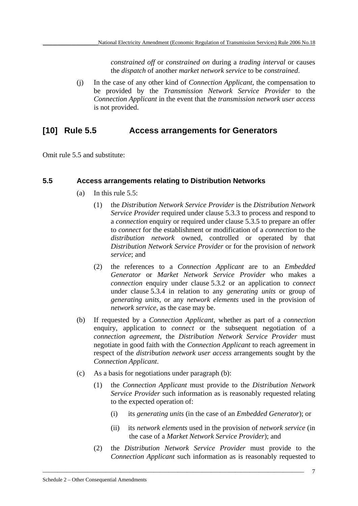*constrained off* or *constrained on* during a *trading interval* or causes the *dispatch* of another *market network service* to be *constrained*.

(j) In the case of any other kind of *Connection Applicant*, the compensation to be provided by the *Transmission Network Service Provider* to the *Connection Applicant* in the event that the *transmission network user access* is not provided.

# **[10] Rule 5.5 Access arrangements for Generators**

Omit rule 5.5 and substitute:

## **5.5 Access arrangements relating to Distribution Networks**

- (a) In this rule 5.5:
	- (1) the *Distribution Network Service Provider* is the *Distribution Network Service Provider* required under clause 5.3.3 to process and respond to a *connection* enquiry or required under clause 5.3.5 to prepare an offer to *connect* for the establishment or modification of a *connection* to the *distribution network* owned, controlled or operated by that *Distribution Network Service Provider* or for the provision of *network service*; and
	- (2) the references to a *Connection Applicant* are to an *Embedded Generator* or *Market Network Service Provider* who makes a *connection* enquiry under clause 5.3.2 or an application to *connect*  under clause 5.3.4 in relation to any *generating units* or group of *generating units*, or any *network elements* used in the provision of *network service*, as the case may be.
- (b) If requested by a *Connection Applicant*, whether as part of a *connection* enquiry, application to *connect* or the subsequent negotiation of a *connection agreement*, the *Distribution Network Service Provider* must negotiate in good faith with the *Connection Applicant* to reach agreement in respect of the *distribution network user access* arrangements sought by the *Connection Applicant*.
- (c) As a basis for negotiations under paragraph (b):
	- (1) the *Connection Applicant* must provide to the *Distribution Network Service Provider* such information as is reasonably requested relating to the expected operation of:
		- (i) its *generating units* (in the case of an *Embedded Generator*); or
		- (ii) its *network elements* used in the provision of *network service* (in the case of a *Market Network Service Provider*); and
	- (2) the *Distribution Network Service Provider* must provide to the *Connection Applicant* such information as is reasonably requested to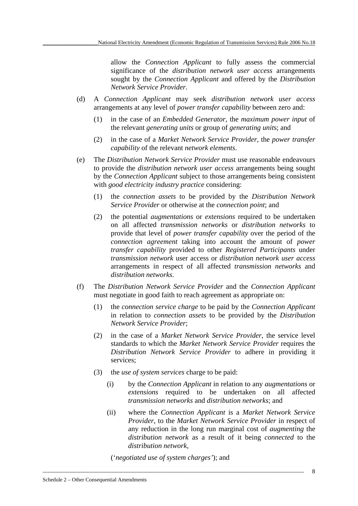allow the *Connection Applicant* to fully assess the commercial significance of the *distribution network user access* arrangements sought by the *Connection Applicant* and offered by the *Distribution Network Service Provider*.

- (d) A *Connection Applicant* may seek *distribution network user access* arrangements at any level of *power transfer capability* between zero and:
	- (1) in the case of an *Embedded Generator*, the *maximum power input* of the relevant *generating units* or group of *generating unit*s; and
	- (2) in the case of a *Market Network Service Provider*, the *power transfer capability* of the relevant *network elements*.
- (e) The *Distribution Network Service Provider* must use reasonable endeavours to provide the *distribution network user access* arrangements being sought by the *Connection Applicant* subject to those arrangements being consistent with *good electricity industry practice* considering:
	- (1) the *connection assets* to be provided by the *Distribution Network Service Provider* or otherwise at the *connection point*; and
	- (2) the potential *augmentations* or *extensions* required to be undertaken on all affected *transmission networks* or *distribution networks* to provide that level of *power transfer capability* over the period of the *connection agreement* taking into account the amount of *power transfer capability* provided to other *Registered Participants* under *transmission network* user access or *distribution network user access* arrangements in respect of all affected *transmission networks* and *distribution networks*.
- (f) The *Distribution Network Service Provider* and the *Connection Applicant*  must negotiate in good faith to reach agreement as appropriate on:
	- (1) the *connection service charge* to be paid by the *Connection Applicant* in relation to *connection assets* to be provided by the *Distribution Network Service Provider*;
	- (2) in the case of a *Market Network Service Provider*, the service level standards to which the *Market Network Service Provider* requires the *Distribution Network Service Provider* to adhere in providing it services;
	- (3) the *use of system services* charge to be paid:
		- (i) by the *Connection Applicant* in relation to any *augmentations* or *extensions* required to be undertaken on all affected *transmission networks* and *distribution networks*; and
		- (ii) where the *Connection Applicant* is a *Market Network Service Provider*, to the *Market Network Service Provider* in respect of any reduction in the long run marginal cost of *augmenting* the *distribution network* as a result of it being *connected* to the *distribution network*,

('*negotiated use of system charges'*); and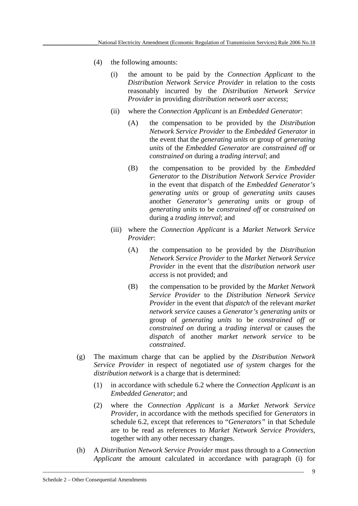- (4) the following amounts:
	- (i) the amount to be paid by the *Connection Applicant* to the *Distribution Network Service Provider* in relation to the costs reasonably incurred by the *Distribution Network Service Provider* in providing *distribution network user access*;
	- (ii) where the *Connection Applicant* is an *Embedded Generator*:
		- (A) the compensation to be provided by the *Distribution Network Service Provider* to the *Embedded Generator* in the event that the *generating units* or group of *generating units* of the *Embedded Generator* are *constrained off* or *constrained on* during a *trading interval*; and
		- (B) the compensation to be provided by the *Embedded Generator* to the *Distribution Network Service Provider* in the event that dispatch of the *Embedded Generator's generating units* or group of *generating units* causes another *Generator's generating units* or group of *generating units* to be *constrained off* or *constrained on*  during a *trading interval*; and
	- (iii) where the *Connection Applicant* is a *Market Network Service Provider*:
		- (A) the compensation to be provided by the *Distribution Network Service Provider* to the *Market Network Service Provider* in the event that the *distribution network user access* is not provided; and
		- (B) the compensation to be provided by the *Market Network Service Provider* to the *Distribution Network Service Provider* in the event that *dispatch* of the relevant *market network service* causes a *Generator's generating units* or group of *generating units* to be *constrained off* or *constrained on* during a *trading interval* or causes the *dispatch* of another *market network service* to be *constrained*.
- (g) The maximum charge that can be applied by the *Distribution Network Service Provider* in respect of negotiated *use of system* charges for the *distribution network* is a charge that is determined:
	- (1) in accordance with schedule 6.2 where the *Connection Applicant* is an *Embedded Generator*; and
	- (2) where the *Connection Applicant* is a *Market Network Service Provider*, in accordance with the methods specified for *Generators* in schedule 6.2, except that references to "*Generators"* in that Schedule are to be read as references to *Market Network Service Providers*, together with any other necessary changes.
- (h) A *Distribution Network Service Provider* must pass through to a *Connection Applicant* the amount calculated in accordance with paragraph (i) for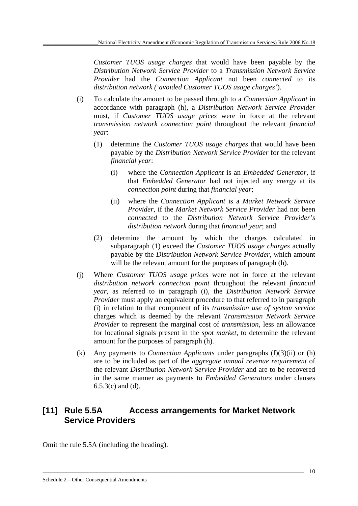*Customer TUOS usage charges* that would have been payable by the *Distribution Network Service Provider* to a *Transmission Network Service Provider* had the *Connection Applicant* not been *connected* to its *distribution network ('avoided Customer TUOS usage charges'*).

- (i) To calculate the amount to be passed through to a *Connection Applicant* in accordance with paragraph (h), a *Distribution Network Service Provider*  must, if *Customer TUOS usage prices* were in force at the relevant *transmission network connection point* throughout the relevant *financial year*:
	- (1) determine the *Customer TUOS usage charges* that would have been payable by the *Distribution Network Service Provider* for the relevant *financial year*:
		- (i) where the *Connection Applicant* is an *Embedded Generator*, if that *Embedded Generator* had not injected any *energy* at its *connection point* during that *financial year*;
		- (ii) where the *Connection Applicant* is a *Market Network Service Provider*, if the *Market Network Service Provider* had not been *connected* to the *Distribution Network Service Provider's distribution network* during that *financial year*; and
	- (2) determine the amount by which the charges calculated in subparagraph (1) exceed the *Customer TUOS usage charges* actually payable by the *Distribution Network Service Provider*, which amount will be the relevant amount for the purposes of paragraph (h).
- (j) Where *Customer TUOS usage prices* were not in force at the relevant *distribution network connection point* throughout the relevant *financial year*, as referred to in paragraph (i), the *Distribution Network Service Provider* must apply an equivalent procedure to that referred to in paragraph (i) in relation to that component of its *transmission use of system service*  charges which is deemed by the relevant *Transmission Network Service Provider* to represent the marginal cost of *transmission*, less an allowance for locational signals present in the *spot market*, to determine the relevant amount for the purposes of paragraph (h).
- (k) Any payments to *Connection Applicants* under paragraphs (f)(3)(ii) or (h) are to be included as part of the *aggregate annual revenue requirement* of the relevant *Distribution Network Service Provider* and are to be recovered in the same manner as payments to *Embedded Generators* under clauses 6.5.3(c) and (d).

# **[11] Rule 5.5A Access arrangements for Market Network Service Providers**

\_\_\_\_\_\_\_\_\_\_\_\_\_\_\_\_\_\_\_\_\_\_\_\_\_\_\_\_\_\_\_\_\_\_\_\_\_\_\_\_\_\_\_\_\_\_\_\_\_\_\_\_\_\_\_\_\_\_\_\_\_\_\_\_\_\_\_\_\_\_\_\_\_\_\_\_\_\_\_\_\_\_\_\_\_\_\_

Omit the rule 5.5A (including the heading).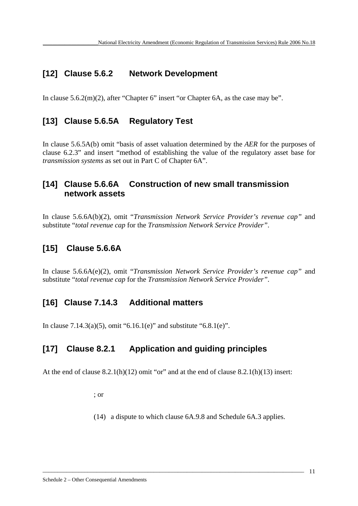# **[12] Clause 5.6.2 Network Development**

In clause 5.6.2(m)(2), after "Chapter 6" insert "or Chapter 6A, as the case may be".

# **[13] Clause 5.6.5A Regulatory Test**

In clause 5.6.5A(b) omit "basis of asset valuation determined by the *AER* for the purposes of clause 6.2.3" and insert "method of establishing the value of the regulatory asset base for *transmission systems* as set out in Part C of Chapter 6A".

# **[14] Clause 5.6.6A Construction of new small transmission network assets**

In clause 5.6.6A(b)(2), omit "*Transmission Network Service Provider's revenue cap"* and substitute "*total revenue cap* for the *Transmission Network Service Provider"*.

# **[15] Clause 5.6.6A**

In clause 5.6.6A(e)(2), omit "*Transmission Network Service Provider's revenue cap"* and substitute "*total revenue cap* for the *Transmission Network Service Provider"*.

# **[16] Clause 7.14.3 Additional matters**

In clause 7.14.3(a)(5), omit "6.16.1(e)" and substitute "6.8.1(e)".

# **[17] Clause 8.2.1 Application and guiding principles**

At the end of clause  $8.2.1(h)(12)$  omit "or" and at the end of clause  $8.2.1(h)(13)$  insert:

; or

(14) a dispute to which clause 6A.9.8 and Schedule 6A.3 applies.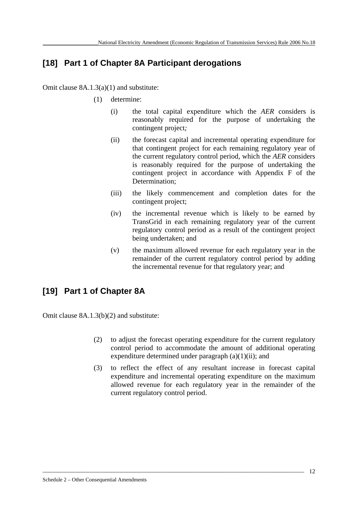# **[18] Part 1 of Chapter 8A Participant derogations**

Omit clause 8A.1.3(a)(1) and substitute:

- (1) determine:
	- (i) the total capital expenditure which the *AER* considers is reasonably required for the purpose of undertaking the contingent project*;*
	- (ii) the forecast capital and incremental operating expenditure for that contingent project for each remaining regulatory year of the current regulatory control period, which the *AER* considers is reasonably required for the purpose of undertaking the contingent project in accordance with Appendix F of the Determination;
	- (iii) the likely commencement and completion dates for the contingent project:
	- (iv) the incremental revenue which is likely to be earned by TransGrid in each remaining regulatory year of the current regulatory control period as a result of the contingent project being undertaken; and
	- (v) the maximum allowed revenue for each regulatory year in the remainder of the current regulatory control period by adding the incremental revenue for that regulatory year; and

# **[19] Part 1 of Chapter 8A**

Omit clause 8A.1.3(b)(2) and substitute:

- (2) to adjust the forecast operating expenditure for the current regulatory control period to accommodate the amount of additional operating expenditure determined under paragraph (a)(1)(ii); and
- (3) to reflect the effect of any resultant increase in forecast capital expenditure and incremental operating expenditure on the maximum allowed revenue for each regulatory year in the remainder of the current regulatory control period.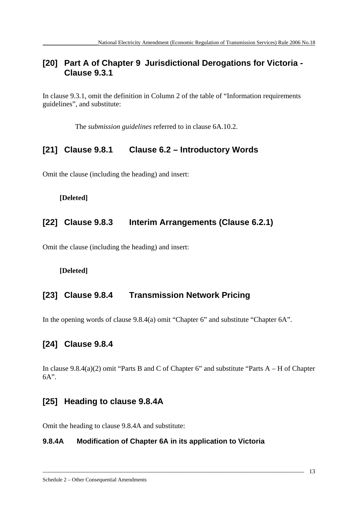# **[20] Part A of Chapter 9 Jurisdictional Derogations for Victoria - Clause 9.3.1**

In clause 9.3.1, omit the definition in Column 2 of the table of "Information requirements guidelines", and substitute:

The *submission guidelines* referred to in clause 6A.10.2.

# **[21] Clause 9.8.1 Clause 6.2 – Introductory Words**

Omit the clause (including the heading) and insert:

**[Deleted]** 

# **[22] Clause 9.8.3 Interim Arrangements (Clause 6.2.1)**

Omit the clause (including the heading) and insert:

# **[Deleted]**

# **[23] Clause 9.8.4 Transmission Network Pricing**

In the opening words of clause 9.8.4(a) omit "Chapter 6" and substitute "Chapter 6A".

# **[24] Clause 9.8.4**

In clause 9.8.4(a)(2) omit "Parts B and C of Chapter 6" and substitute "Parts A – H of Chapter 6A".

\_\_\_\_\_\_\_\_\_\_\_\_\_\_\_\_\_\_\_\_\_\_\_\_\_\_\_\_\_\_\_\_\_\_\_\_\_\_\_\_\_\_\_\_\_\_\_\_\_\_\_\_\_\_\_\_\_\_\_\_\_\_\_\_\_\_\_\_\_\_\_\_\_\_\_\_\_\_\_\_\_\_\_\_\_\_\_

# **[25] Heading to clause 9.8.4A**

Omit the heading to clause 9.8.4A and substitute:

# **9.8.4A Modification of Chapter 6A in its application to Victoria**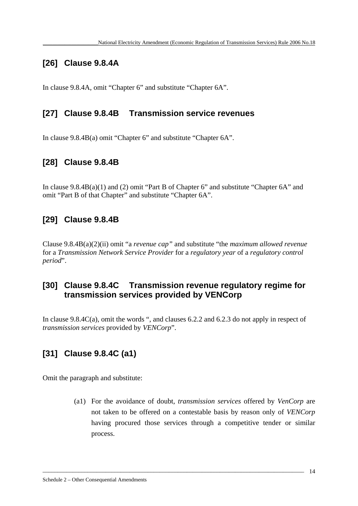# **[26] Clause 9.8.4A**

In clause 9.8.4A, omit "Chapter 6" and substitute "Chapter 6A".

# **[27] Clause 9.8.4B Transmission service revenues**

In clause 9.8.4B(a) omit "Chapter 6" and substitute "Chapter 6A".

# **[28] Clause 9.8.4B**

In clause 9.8.4B(a)(1) and (2) omit "Part B of Chapter 6" and substitute "Chapter 6A" and omit "Part B of that Chapter" and substitute "Chapter 6A".

# **[29] Clause 9.8.4B**

Clause 9.8.4B(a)(2)(ii) omit "a *revenue cap"* and substitute "the *maximum allowed revenue* for a *Transmission Network Service Provider* for a *regulatory year* of a *regulatory control period*".

# **[30] Clause 9.8.4C Transmission revenue regulatory regime for transmission services provided by VENCorp**

In clause 9.8.4C(a), omit the words ", and clauses 6.2.2 and 6.2.3 do not apply in respect of *transmission services* provided by *VENCorp*".

\_\_\_\_\_\_\_\_\_\_\_\_\_\_\_\_\_\_\_\_\_\_\_\_\_\_\_\_\_\_\_\_\_\_\_\_\_\_\_\_\_\_\_\_\_\_\_\_\_\_\_\_\_\_\_\_\_\_\_\_\_\_\_\_\_\_\_\_\_\_\_\_\_\_\_\_\_\_\_\_\_\_\_\_\_\_\_

# **[31] Clause 9.8.4C (a1)**

Omit the paragraph and substitute:

(a1) For the avoidance of doubt, *transmission services* offered by *VenCorp* are not taken to be offered on a contestable basis by reason only of *VENCorp* having procured those services through a competitive tender or similar process.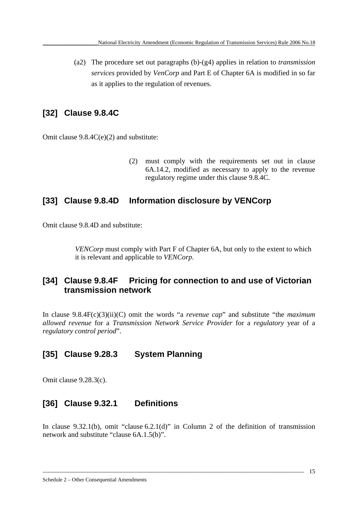(a2) The procedure set out paragraphs (b)-(g4) applies in relation to *transmission services* provided by *VenCorp* and Part E of Chapter 6A is modified in so far as it applies to the regulation of revenues.

# **[32] Clause 9.8.4C**

Omit clause 9.8.4C(e)(2) and substitute:

(2) must comply with the requirements set out in clause 6A.14.2, modified as necessary to apply to the revenue regulatory regime under this clause 9.8.4C.

# **[33] Clause 9.8.4D Information disclosure by VENCorp**

Omit clause 9.8.4D and substitute:

*VENCorp* must comply with Part F of Chapter 6A, but only to the extent to which it is relevant and applicable to *VENCorp.*

# **[34] Clause 9.8.4F Pricing for connection to and use of Victorian transmission network**

In clause 9.8.4F(c)(3)(ii)(C) omit the words "a *revenue cap*" and substitute "the *maximum allowed revenue* for a *Transmission Network Service Provider* for a *regulatory* year of a *regulatory control period*".

# **[35] Clause 9.28.3 System Planning**

Omit clause 9.28.3(c).

# **[36] Clause 9.32.1 Definitions**

In clause 9.32.1(b), omit "clause 6.2.1(d)" in Column 2 of the definition of transmission network and substitute "clause 6A.1.5(b)".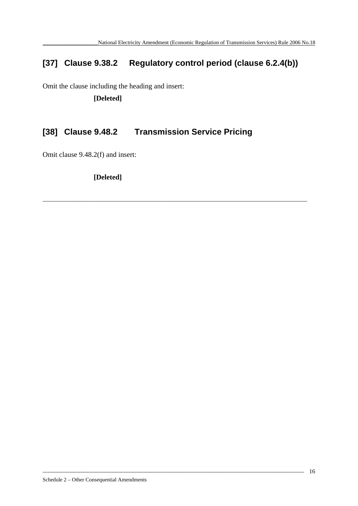# **[37] Clause 9.38.2 Regulatory control period (clause 6.2.4(b))**

\_\_\_\_\_\_\_\_\_\_\_\_\_\_\_\_\_\_\_\_\_\_\_\_\_\_\_\_\_\_\_\_\_\_\_\_\_\_\_\_\_\_\_\_\_\_\_\_\_\_\_\_\_\_\_\_\_\_\_\_\_\_\_\_\_\_\_\_\_\_\_\_\_\_\_\_\_\_\_\_\_\_\_\_\_\_\_\_

Omit the clause including the heading and insert:

 **[Deleted]** 

# **[38] Clause 9.48.2 Transmission Service Pricing**

Omit clause 9.48.2(f) and insert:

 **[Deleted]**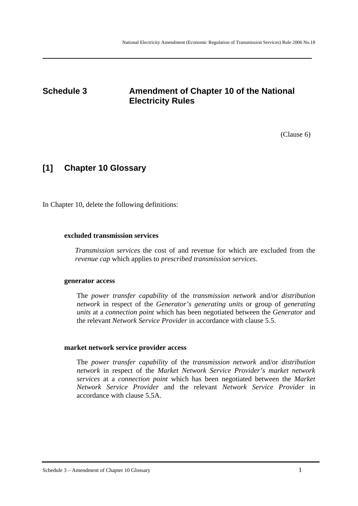# **Schedule 3** Amendment of Chapter 10 of the National **Electricity Rules**

**\_\_\_\_\_\_\_\_\_\_\_\_\_\_\_\_\_\_\_\_\_\_\_\_\_\_\_\_\_\_\_\_\_\_\_\_\_\_\_\_\_\_\_\_\_\_\_\_\_\_\_\_\_\_\_\_**

(Clause 6)

# **[1] Chapter 10 Glossary**

In Chapter 10, delete the following definitions:

### **excluded transmission services**

*Transmission services* the cost of and revenue for which are excluded from the *revenue cap* which applies to *prescribed transmission services*.

#### **generator access**

The *power transfer capability* of the *transmission network* and/or *distribution network* in respect of the *Generator's generating units* or group of *generating units* at a *connection point* which has been negotiated between the *Generator* and the relevant *Network Service Provider* in accordance with clause 5.5.

### **market network service provider access**

The *power transfer capability* of the *transmission network* and/or *distribution network* in respect of the *Market Network Service Provider's market network services* at a *connection point* which has been negotiated between the *Market Network Service Provider* and the relevant *Network Service Provider* in accordance with clause 5.5A.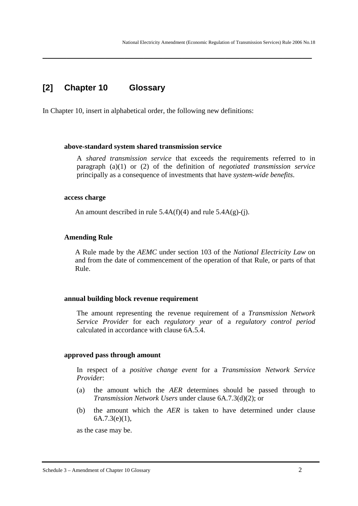# **[2] Chapter 10 Glossary**

In Chapter 10, insert in alphabetical order, the following new definitions:

**\_\_\_\_\_\_\_\_\_\_\_\_\_\_\_\_\_\_\_\_\_\_\_\_\_\_\_\_\_\_\_\_\_\_\_\_\_\_\_\_\_\_\_\_\_\_\_\_\_\_\_\_\_\_\_\_**

#### **above-standard system shared transmission service**

A *shared transmission service* that exceeds the requirements referred to in paragraph (a)(1) or (2) of the definition of *negotiated transmission service* principally as a consequence of investments that have *system-wide benefits*.

#### **access charge**

An amount described in rule  $5.4A(f)(4)$  and rule  $5.4A(g)-(i)$ .

#### **Amending Rule**

A Rule made by the *AEMC* under section 103 of the *National Electricity Law* on and from the date of commencement of the operation of that Rule, or parts of that Rule.

#### **annual building block revenue requirement**

The amount representing the revenue requirement of a *Transmission Network Service Provider* for each *regulatory year* of a *regulatory control period* calculated in accordance with clause 6A.5.4.

#### **approved pass through amount**

In respect of a *positive change event* for a *Transmission Network Service Provider*:

- (a) the amount which the *AER* determines should be passed through to *Transmission Network Users* under clause 6A.7.3(d)(2); or
- (b) the amount which the *AER* is taken to have determined under clause 6A.7.3(e)(1),

as the case may be.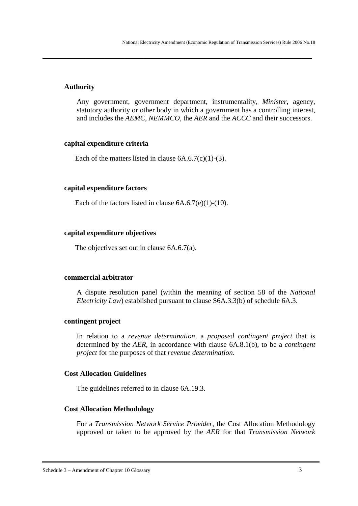### **Authority**

Any government, government department, instrumentality, *Minister*, agency, statutory authority or other body in which a government has a controlling interest, and includes the *AEMC*, *NEMMCO*, the *AER* and the *ACCC* and their successors.

**\_\_\_\_\_\_\_\_\_\_\_\_\_\_\_\_\_\_\_\_\_\_\_\_\_\_\_\_\_\_\_\_\_\_\_\_\_\_\_\_\_\_\_\_\_\_\_\_\_\_\_\_\_\_\_\_**

### **capital expenditure criteria**

Each of the matters listed in clause  $6A.6.7(c)(1)-(3)$ .

### **capital expenditure factors**

Each of the factors listed in clause  $6A.6.7(e)(1)-(10)$ .

### **capital expenditure objectives**

The objectives set out in clause 6A.6.7(a).

### **commercial arbitrator**

A dispute resolution panel (within the meaning of section 58 of the *National Electricity Law*) established pursuant to clause S6A.3.3(b) of schedule 6A.3.

### **contingent project**

In relation to a *revenue determination,* a *proposed contingent project* that is determined by the *AER*, in accordance with clause 6A.8.1(b), to be a *contingent project* for the purposes of that *revenue determination*.

### **Cost Allocation Guidelines**

The guidelines referred to in clause 6A.19.3.

### **Cost Allocation Methodology**

For a *Transmission Network Service Provider*, the Cost Allocation Methodology approved or taken to be approved by the *AER* for that *Transmission Network*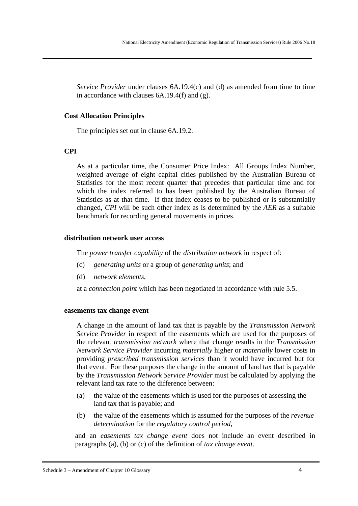*Service Provider* under clauses 6A.19.4(c) and (d) as amended from time to time in accordance with clauses 6A.19.4(f) and (g).

**\_\_\_\_\_\_\_\_\_\_\_\_\_\_\_\_\_\_\_\_\_\_\_\_\_\_\_\_\_\_\_\_\_\_\_\_\_\_\_\_\_\_\_\_\_\_\_\_\_\_\_\_\_\_\_\_**

### **Cost Allocation Principles**

The principles set out in clause 6A.19.2.

### **CPI**

As at a particular time, the Consumer Price Index: All Groups Index Number, weighted average of eight capital cities published by the Australian Bureau of Statistics for the most recent quarter that precedes that particular time and for which the index referred to has been published by the Australian Bureau of Statistics as at that time. If that index ceases to be published or is substantially changed, *CPI* will be such other index as is determined by the *AER* as a suitable benchmark for recording general movements in prices.

#### **distribution network user access**

The *power transfer capability* of the *distribution network* in respect of:

- (c) *generating units* or a group of *generating units*; and
- (d) *network elements*,

at a *connection point* which has been negotiated in accordance with rule 5.5.

#### **easements tax change event**

A change in the amount of land tax that is payable by the *Transmission Network Service Provider* in respect of the easements which are used for the purposes of the relevant *transmission network* where that change results in the *Transmission Network Service Provider* incurring *materially* higher or *materially* lower costs in providing *prescribed transmission services* than it would have incurred but for that event. For these purposes the change in the amount of land tax that is payable by the *Transmission Network Service Provider* must be calculated by applying the relevant land tax rate to the difference between:

- (a) the value of the easements which is used for the purposes of assessing the land tax that is payable; and
- (b) the value of the easements which is assumed for the purposes of the *revenue determination* for the *regulatory control period*,

and an *easements tax change event* does not include an event described in paragraphs (a), (b) or (c) of the definition of *tax change event*.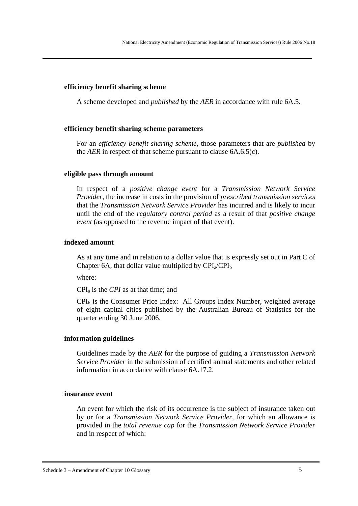### **efficiency benefit sharing scheme**

A scheme developed and *published* by the *AER* in accordance with rule 6A.5.

**\_\_\_\_\_\_\_\_\_\_\_\_\_\_\_\_\_\_\_\_\_\_\_\_\_\_\_\_\_\_\_\_\_\_\_\_\_\_\_\_\_\_\_\_\_\_\_\_\_\_\_\_\_\_\_\_**

### **efficiency benefit sharing scheme parameters**

For an *efficiency benefit sharing scheme*, those parameters that are *published* by the *AER* in respect of that scheme pursuant to clause 6A.6.5(c).

#### **eligible pass through amount**

In respect of a *positive change event* for a *Transmission Network Service Provider*, the increase in costs in the provision of *prescribed transmission services* that the *Transmission Network Service Provider* has incurred and is likely to incur until the end of the *regulatory control period* as a result of that *positive change event* (as opposed to the revenue impact of that event).

### **indexed amount**

As at any time and in relation to a dollar value that is expressly set out in Part C of Chapter 6A, that dollar value multiplied by  $\text{CPI}_a/\text{CPI}_b$ 

where:

CPIa is the *CPI* as at that time; and

 $CPI<sub>b</sub>$  is the Consumer Price Index: All Groups Index Number, weighted average of eight capital cities published by the Australian Bureau of Statistics for the quarter ending 30 June 2006.

### **information guidelines**

Guidelines made by the *AER* for the purpose of guiding a *Transmission Network Service Provider* in the submission of certified annual statements and other related information in accordance with clause 6A.17.2.

### **insurance event**

An event for which the risk of its occurrence is the subject of insurance taken out by or for a *Transmission Network Service Provider*, for which an allowance is provided in the *total revenue cap* for the *Transmission Network Service Provider* and in respect of which: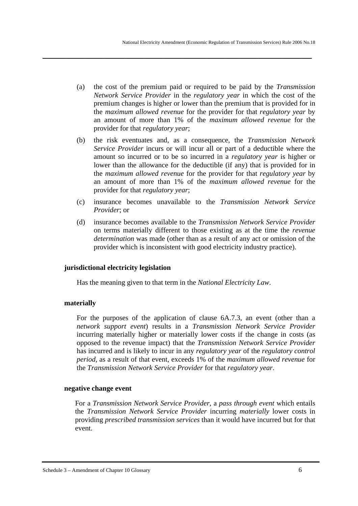(a) the cost of the premium paid or required to be paid by the *Transmission Network Service Provider* in the *regulatory year* in which the cost of the premium changes is higher or lower than the premium that is provided for in the *maximum allowed revenue* for the provider for that *regulatory year* by an amount of more than 1% of the *maximum allowed revenue* for the provider for that *regulatory year*;

**\_\_\_\_\_\_\_\_\_\_\_\_\_\_\_\_\_\_\_\_\_\_\_\_\_\_\_\_\_\_\_\_\_\_\_\_\_\_\_\_\_\_\_\_\_\_\_\_\_\_\_\_\_\_\_\_**

- (b) the risk eventuates and, as a consequence, the *Transmission Network Service Provider* incurs or will incur all or part of a deductible where the amount so incurred or to be so incurred in a *regulatory year* is higher or lower than the allowance for the deductible (if any) that is provided for in the *maximum allowed revenue* for the provider for that *regulatory year* by an amount of more than 1% of the *maximum allowed revenue* for the provider for that *regulatory year*;
- (c) insurance becomes unavailable to the *Transmission Network Service Provider*; or
- (d) insurance becomes available to the *Transmission Network Service Provider*  on terms materially different to those existing as at the time the *revenue determination* was made (other than as a result of any act or omission of the provider which is inconsistent with good electricity industry practice).

# **jurisdictional electricity legislation**

Has the meaning given to that term in the *National Electricity Law*.

# **materially**

For the purposes of the application of clause 6A.7.3, an event (other than a *network support event*) results in a *Transmission Network Service Provider* incurring materially higher or materially lower costs if the change in costs (as opposed to the revenue impact) that the *Transmission Network Service Provider* has incurred and is likely to incur in any *regulatory year* of the *regulatory control period*, as a result of that event, exceeds 1% of the *maximum allowed revenue* for the *Transmission Network Service Provider* for that *regulatory year*.

# **negative change event**

For a *Transmission Network Service Provider*, a *pass through event* which entails the *Transmission Network Service Provider* incurring *materially* lower costs in providing *prescribed transmission services* than it would have incurred but for that event.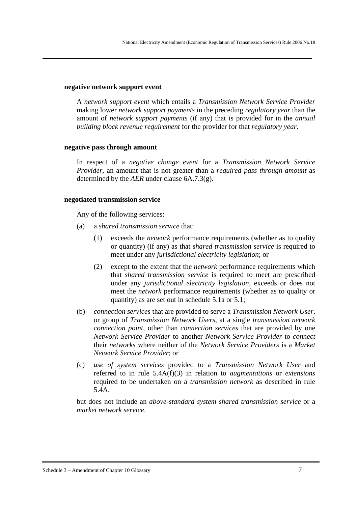#### **negative network support event**

A *network support event* which entails a *Transmission Network Service Provider* making lower *network support payments* in the preceding *regulatory year* than the amount of *network support payments* (if any) that is provided for in the *annual building block revenue requirement* for the provider for that *regulatory year*.

**\_\_\_\_\_\_\_\_\_\_\_\_\_\_\_\_\_\_\_\_\_\_\_\_\_\_\_\_\_\_\_\_\_\_\_\_\_\_\_\_\_\_\_\_\_\_\_\_\_\_\_\_\_\_\_\_**

### **negative pass through amount**

In respect of a *negative change event* for a *Transmission Network Service Provider*, an amount that is not greater than a *required pass through amount* as determined by the *AER* under clause 6A.7.3(g).

### **negotiated transmission service**

Any of the following services:

- (a) a *shared transmission service* that:
	- (1) exceeds the *network* performance requirements (whether as to quality or quantity) (if any) as that *shared transmission service* is required to meet under any *jurisdictional electricity legislation*; or
	- (2) except to the extent that the *network* performance requirements which that *shared transmission service* is required to meet are prescribed under any *jurisdictional electricity legislation*, exceeds or does not meet the *network* performance requirements (whether as to quality or quantity) as are set out in schedule 5.1a or 5.1;
- (b) *connection services* that are provided to serve a *Transmission Network User*, or group of *Transmission Network Users*, at a single *transmission network connection point*, other than *connection services* that are provided by one *Network Service Provider* to another *Network Service Provider* to *connect* their *networks* where neither of the *Network Service Providers* is a *Market Network Service Provider*; or
- (c) *use of system services* provided to a *Transmission Network User* and referred to in rule 5.4A(f)(3) in relation to *augmentations* or *extensions* required to be undertaken on a *transmission network* as described in rule 5.4A,

but does not include an *above-standard system shared transmission service* or a *market network service*.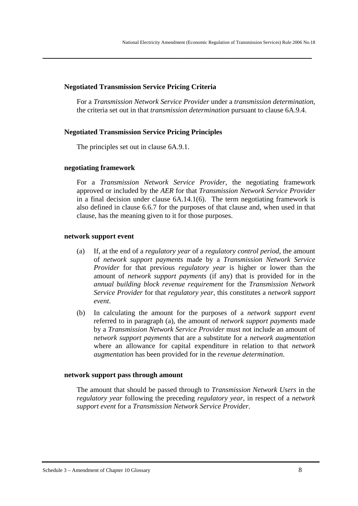### **Negotiated Transmission Service Pricing Criteria**

For a *Transmission Network Service Provider* under a *transmission determination*, the criteria set out in that *transmission determination* pursuant to clause 6A.9.4.

**\_\_\_\_\_\_\_\_\_\_\_\_\_\_\_\_\_\_\_\_\_\_\_\_\_\_\_\_\_\_\_\_\_\_\_\_\_\_\_\_\_\_\_\_\_\_\_\_\_\_\_\_\_\_\_\_**

### **Negotiated Transmission Service Pricing Principles**

The principles set out in clause 6A.9.1.

### **negotiating framework**

For a *Transmission Network Service Provider*, the negotiating framework approved or included by the *AER* for that *Transmission Network Service Provider* in a final decision under clause 6A.14.1(6). The term negotiating framework is also defined in clause 6.6.7 for the purposes of that clause and, when used in that clause, has the meaning given to it for those purposes.

#### **network support event**

- (a) If, at the end of a *regulatory year* of a *regulatory control period*, the amount of *network support payments* made by a *Transmission Network Service Provider* for that previous *regulatory year* is higher or lower than the amount of *network support payments* (if any) that is provided for in the *annual building block revenue requirement* for the *Transmission Network Service Provider* for that *regulatory year*, this constitutes a *network support event*.
- (b) In calculating the amount for the purposes of a *network support event* referred to in paragraph (a), the amount of *network support payments* made by a *Transmission Network Service Provider* must not include an amount of *network support payments* that are a substitute for a *network augmentation* where an allowance for capital expenditure in relation to that *network augmentation* has been provided for in the *revenue determination*.

#### **network support pass through amount**

The amount that should be passed through to *Transmission Network Users* in the *regulatory year* following the preceding *regulatory year*, in respect of a *network support event* for a *Transmission Network Service Provider*.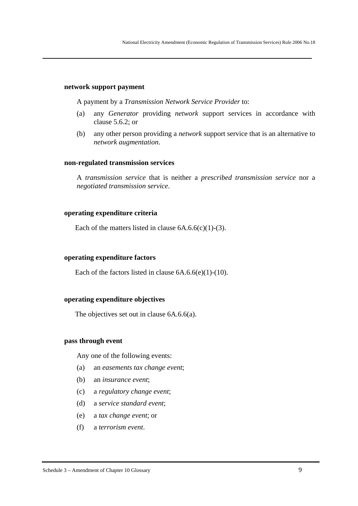#### **network support payment**

A payment by a *Transmission Network Service Provider* to:

**\_\_\_\_\_\_\_\_\_\_\_\_\_\_\_\_\_\_\_\_\_\_\_\_\_\_\_\_\_\_\_\_\_\_\_\_\_\_\_\_\_\_\_\_\_\_\_\_\_\_\_\_\_\_\_\_**

- (a) any *Generator* providing *network* support services in accordance with clause 5.6.2; or
- (b) any other person providing a *network* support service that is an alternative to *network augmentation*.

#### **non-regulated transmission services**

A *transmission service* that is neither a *prescribed transmission service* nor a *negotiated transmission service*.

### **operating expenditure criteria**

Each of the matters listed in clause  $6A.6.6(c)(1)-(3)$ .

#### **operating expenditure factors**

Each of the factors listed in clause  $6A.6.6(e)(1)-(10)$ .

### **operating expenditure objectives**

The objectives set out in clause 6A.6.6(a).

#### **pass through event**

Any one of the following events:

- (a) an *easements tax change event*;
- (b) an *insurance event*;
- (c) a *regulatory change event*;
- (d) a *service standard event*;
- (e) a *tax change event*; or
- (f) a *terrorism event*.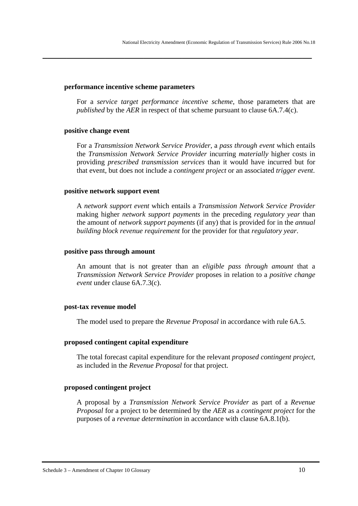#### **performance incentive scheme parameters**

For a *service target performance incentive scheme*, those parameters that are *published* by the *AER* in respect of that scheme pursuant to clause 6A.7.4(c).

**\_\_\_\_\_\_\_\_\_\_\_\_\_\_\_\_\_\_\_\_\_\_\_\_\_\_\_\_\_\_\_\_\_\_\_\_\_\_\_\_\_\_\_\_\_\_\_\_\_\_\_\_\_\_\_\_**

### **positive change event**

For a *Transmission Network Service Provider*, a *pass through event* which entails the *Transmission Network Service Provider* incurring *materially* higher costs in providing *prescribed transmission services* than it would have incurred but for that event, but does not include a *contingent project* or an associated *trigger event*.

### **positive network support event**

A *network support event* which entails a *Transmission Network Service Provider* making higher *network support payments* in the preceding *regulatory year* than the amount of *network support payments* (if any) that is provided for in the *annual building block revenue requirement* for the provider for that *regulatory year*.

#### **positive pass through amount**

An amount that is not greater than an *eligible pass through amount* that a *Transmission Network Service Provider* proposes in relation to a *positive change event* under clause 6A.7.3(c).

#### **post-tax revenue model**

The model used to prepare the *Revenue Proposal* in accordance with rule 6A.5.

#### **proposed contingent capital expenditure**

The total forecast capital expenditure for the relevant *proposed contingent project*, as included in the *Revenue Proposal* for that project.

### **proposed contingent project**

A proposal by a *Transmission Network Service Provider* as part of a *Revenue Proposal* for a project to be determined by the *AER* as a *contingent project* for the purposes of a *revenue determination* in accordance with clause 6A.8.1(b).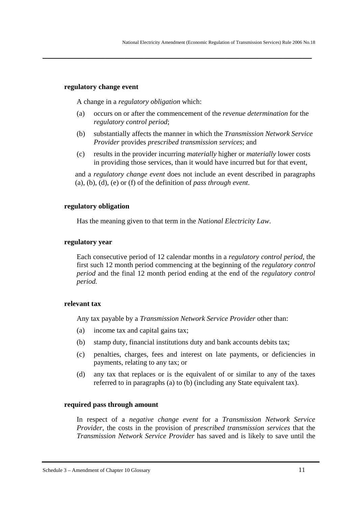### **regulatory change event**

A change in a *regulatory obligation* which:

(a) occurs on or after the commencement of the *revenue determination* for the *regulatory control period*;

**\_\_\_\_\_\_\_\_\_\_\_\_\_\_\_\_\_\_\_\_\_\_\_\_\_\_\_\_\_\_\_\_\_\_\_\_\_\_\_\_\_\_\_\_\_\_\_\_\_\_\_\_\_\_\_\_**

- (b) substantially affects the manner in which the *Transmission Network Service Provider* provides *prescribed transmission services*; and
- (c) results in the provider incurring *materially* higher or *materially* lower costs in providing those services, than it would have incurred but for that event,

and a *regulatory change event* does not include an event described in paragraphs (a), (b), (d), (e) or (f) of the definition of *pass through event*.

## **regulatory obligation**

Has the meaning given to that term in the *National Electricity Law*.

## **regulatory year**

Each consecutive period of 12 calendar months in a *regulatory control period*, the first such 12 month period commencing at the beginning of the *regulatory control period* and the final 12 month period ending at the end of the *regulatory control period.*

# **relevant tax**

Any tax payable by a *Transmission Network Service Provider* other than:

- (a) income tax and capital gains tax;
- (b) stamp duty, financial institutions duty and bank accounts debits tax;
- (c) penalties, charges, fees and interest on late payments, or deficiencies in payments, relating to any tax; or
- (d) any tax that replaces or is the equivalent of or similar to any of the taxes referred to in paragraphs (a) to (b) (including any State equivalent tax).

### **required pass through amount**

In respect of a *negative change event* for a *Transmission Network Service Provider*, the costs in the provision of *prescribed transmission services* that the *Transmission Network Service Provider* has saved and is likely to save until the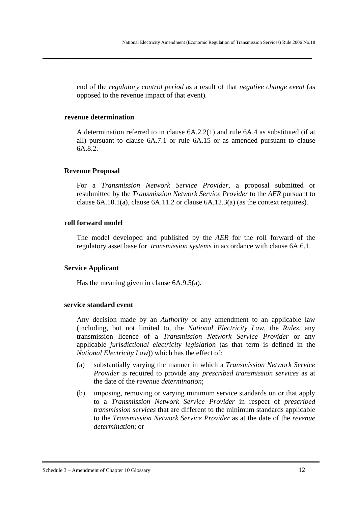end of the *regulatory control period* as a result of that *negative change event* (as opposed to the revenue impact of that event).

**\_\_\_\_\_\_\_\_\_\_\_\_\_\_\_\_\_\_\_\_\_\_\_\_\_\_\_\_\_\_\_\_\_\_\_\_\_\_\_\_\_\_\_\_\_\_\_\_\_\_\_\_\_\_\_\_**

#### **revenue determination**

A determination referred to in clause 6A.2.2(1) and rule 6A.4 as substituted (if at all) pursuant to clause 6A.7.1 or rule 6A.15 or as amended pursuant to clause 6A.8.2.

### **Revenue Proposal**

For a *Transmission Network Service Provider*, a proposal submitted or resubmitted by the *Transmission Network Service Provider* to the *AER* pursuant to clause 6A.10.1(a), clause 6A.11.2 or clause 6A.12.3(a) (as the context requires).

### **roll forward model**

The model developed and published by the *AER* for the roll forward of the regulatory asset base for *transmission systems* in accordance with clause 6A.6.1.

#### **Service Applicant**

Has the meaning given in clause 6A.9.5(a).

#### **service standard event**

Any decision made by an *Authority* or any amendment to an applicable law (including, but not limited to, the *National Electricity Law*, the *Rules*, any transmission licence of a *Transmission Network Service Provider* or any applicable *jurisdictional electricity legislation* (as that term is defined in the *National Electricity Law*)) which has the effect of:

- (a) substantially varying the manner in which a *Transmission Network Service Provider* is required to provide any *prescribed transmission services* as at the date of the *revenue determination*;
- (b) imposing, removing or varying minimum service standards on or that apply to a *Transmission Network Service Provider* in respect of *prescribed transmission services* that are different to the minimum standards applicable to the *Transmission Network Service Provider* as at the date of the *revenue determination*; or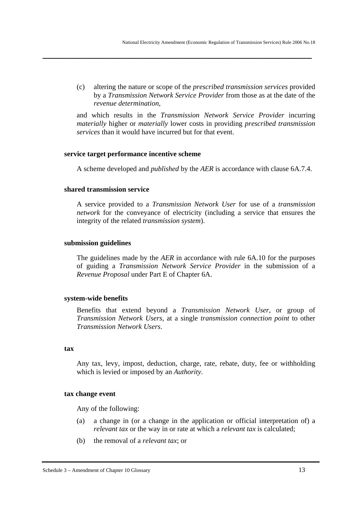(c) altering the nature or scope of the *prescribed transmission services* provided by a *Transmission Network Service Provider* from those as at the date of the *revenue determination*,

**\_\_\_\_\_\_\_\_\_\_\_\_\_\_\_\_\_\_\_\_\_\_\_\_\_\_\_\_\_\_\_\_\_\_\_\_\_\_\_\_\_\_\_\_\_\_\_\_\_\_\_\_\_\_\_\_**

and which results in the *Transmission Network Service Provider* incurring *materially* higher or *materially* lower costs in providing *prescribed transmission services* than it would have incurred but for that event.

### **service target performance incentive scheme**

A scheme developed and *published* by the *AER* is accordance with clause 6A.7.4.

### **shared transmission service**

A service provided to a *Transmission Network User* for use of a *transmission network* for the conveyance of electricity (including a service that ensures the integrity of the related *transmission system*).

### **submission guidelines**

The guidelines made by the *AER* in accordance with rule 6A.10 for the purposes of guiding a *Transmission Network Service Provider* in the submission of a *Revenue Proposal* under Part E of Chapter 6A.

#### **system-wide benefits**

Benefits that extend beyond a *Transmission Network User*, or group of *Transmission Network Users*, at a single *transmission connection point* to other *Transmission Network Users*.

#### **tax**

Any tax, levy, impost, deduction, charge, rate, rebate, duty, fee or withholding which is levied or imposed by an *Authority*.

#### **tax change event**

Any of the following:

- (a) a change in (or a change in the application or official interpretation of) a *relevant tax* or the way in or rate at which a *relevant tax* is calculated;
- (b) the removal of a *relevant tax*; or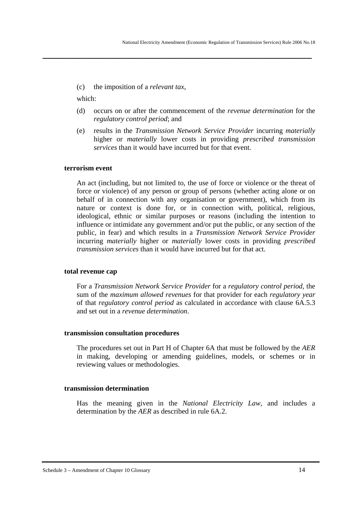(c) the imposition of a *relevant tax*,

which:

(d) occurs on or after the commencement of the *revenue determination* for the *regulatory control period*; and

**\_\_\_\_\_\_\_\_\_\_\_\_\_\_\_\_\_\_\_\_\_\_\_\_\_\_\_\_\_\_\_\_\_\_\_\_\_\_\_\_\_\_\_\_\_\_\_\_\_\_\_\_\_\_\_\_**

(e) results in the *Transmission Network Service Provider* incurring *materially* higher or *materially* lower costs in providing *prescribed transmission services* than it would have incurred but for that event.

### **terrorism event**

An act (including, but not limited to, the use of force or violence or the threat of force or violence) of any person or group of persons (whether acting alone or on behalf of in connection with any organisation or government), which from its nature or context is done for, or in connection with, political, religious, ideological, ethnic or similar purposes or reasons (including the intention to influence or intimidate any government and/or put the public, or any section of the public, in fear) and which results in a *Transmission Network Service Provider* incurring *materially* higher or *materially* lower costs in providing *prescribed transmission services* than it would have incurred but for that act.

#### **total revenue cap**

For a *Transmission Network Service Provider* for a *regulatory control period*, the sum of the *maximum allowed revenues* for that provider for each *regulatory year* of that *regulatory control period* as calculated in accordance with clause 6A.5.3 and set out in a *revenue determination*.

#### **transmission consultation procedures**

The procedures set out in Part H of Chapter 6A that must be followed by the *AER* in making, developing or amending guidelines, models, or schemes or in reviewing values or methodologies.

#### **transmission determination**

Has the meaning given in the *National Electricity Law,* and includes a determination by the *AER* as described in rule 6A.2.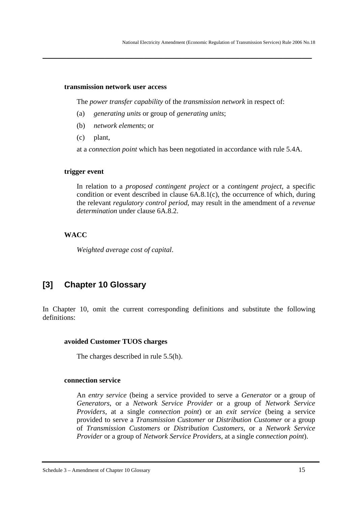#### **transmission network user access**

The *power transfer capability* of the *transmission network* in respect of:

**\_\_\_\_\_\_\_\_\_\_\_\_\_\_\_\_\_\_\_\_\_\_\_\_\_\_\_\_\_\_\_\_\_\_\_\_\_\_\_\_\_\_\_\_\_\_\_\_\_\_\_\_\_\_\_\_**

- (a) *generating units* or group of *generating units*;
- (b) *network elements*; or
- (c) plant,

at a *connection point* which has been negotiated in accordance with rule 5.4A.

### **trigger event**

In relation to a *proposed contingent project* or a *contingent project*, a specific condition or event described in clause 6A.8.1(c), the occurrence of which, during the relevant *regulatory control period*, may result in the amendment of a *revenue determination* under clause 6A.8.2.

### **WACC**

*Weighted average cost of capital*.

# **[3] Chapter 10 Glossary**

In Chapter 10, omit the current corresponding definitions and substitute the following definitions:

#### **avoided Customer TUOS charges**

The charges described in rule 5.5(h).

### **connection service**

An *entry service* (being a service provided to serve a *Generator* or a group of *Generators*, or a *Network Service Provider* or a group of *Network Service Providers*, at a single *connection point*) or an *exit service* (being a service provided to serve a *Transmission Customer* or *Distribution Customer* or a group of *Transmission Customers* or *Distribution Customers*, or a *Network Service Provider* or a group of *Network Service Providers*, at a single *connection point*).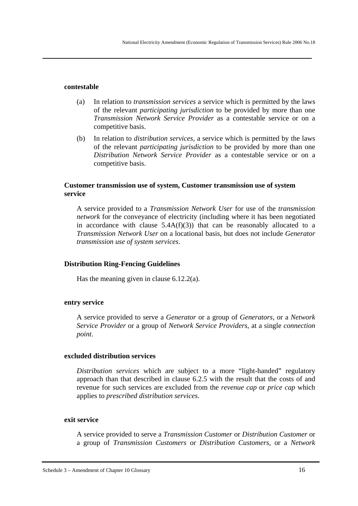#### **contestable**

- (a) In relation to *transmission services* a service which is permitted by the laws of the relevant *participating jurisdiction* to be provided by more than one *Transmission Network Service Provider* as a contestable service or on a competitive basis.
- (b) In relation to *distribution services,* a service which is permitted by the laws of the relevant *participating jurisdiction* to be provided by more than one *Distribution Network Service Provider* as a contestable service or on a competitive basis.

### **Customer transmission use of system, Customer transmission use of system service**

**\_\_\_\_\_\_\_\_\_\_\_\_\_\_\_\_\_\_\_\_\_\_\_\_\_\_\_\_\_\_\_\_\_\_\_\_\_\_\_\_\_\_\_\_\_\_\_\_\_\_\_\_\_\_\_\_**

A service provided to a *Transmission Network User* for use of the *transmission network* for the conveyance of electricity (including where it has been negotiated in accordance with clause  $5.4A(f)(3)$  that can be reasonably allocated to a *Transmission Network User* on a locational basis, but does not include *Generator transmission use of system services*.

#### **Distribution Ring-Fencing Guidelines**

Has the meaning given in clause 6.12.2(a).

#### **entry service**

A service provided to serve a *Generator* or a group of *Generators*, or a *Network Service Provider* or a group of *Network Service Providers*, at a single *connection point*.

#### **excluded distribution services**

*Distribution services* which are subject to a more "light-handed" regulatory approach than that described in clause 6.2.5 with the result that the costs of and revenue for such services are excluded from the *revenue cap* or *price cap* which applies to *prescribed distribution services.*

#### **exit service**

A service provided to serve a *Transmission Customer* or *Distribution Customer* or a group of *Transmission Customers* or *Distribution Customers*, or a *Network*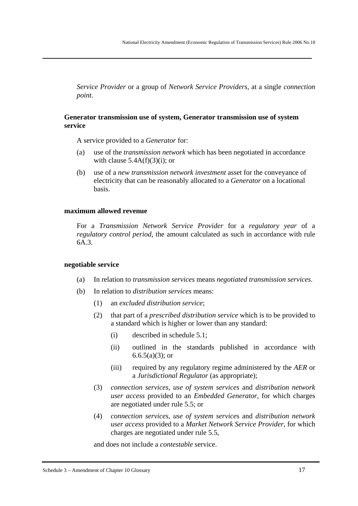*Service Provider* or a group of *Network Service Providers*, at a single *connection point*.

#### **Generator transmission use of system, Generator transmission use of system service**

**\_\_\_\_\_\_\_\_\_\_\_\_\_\_\_\_\_\_\_\_\_\_\_\_\_\_\_\_\_\_\_\_\_\_\_\_\_\_\_\_\_\_\_\_\_\_\_\_\_\_\_\_\_\_\_\_**

A service provided to a *Generator* for:

- (a) use of the *transmission network* which has been negotiated in accordance with clause  $5.4A(f)(3)(i)$ ; or
- (b) use of a *new transmission network investment* asset for the conveyance of electricity that can be reasonably allocated to a *Generator* on a locational basis.

#### **maximum allowed revenue**

For a *Transmission Network Service Provider* for a *regulatory year* of a *regulatory control period*, the amount calculated as such in accordance with rule 6A.3.

#### **negotiable service**

- (a) In relation to *transmission services* means *negotiated transmission services*.
- (b) In relation to *distribution services* means:
	- (1) an *excluded distribution service*;
	- (2) that part of a *prescribed distribution service* which is to be provided to a standard which is higher or lower than any standard:
		- (i) described in schedule 5.1;
		- (ii) outlined in the standards published in accordance with  $6.6.5(a)(3)$ ; or
		- (iii) required by any regulatory regime administered by the *AER* or a *Jurisdictional Regulator* (as appropriate);
	- (3) *connection services*, *use of system services* and *distribution network user access* provided to an *Embedded Generator*, for which charges are negotiated under rule 5.5; or
	- (4) *connection services*, *use of system service*s and *distribution network user access* provided to a *Market Network Service Provider*, for which charges are negotiated under rule 5.5,

and does not include a *contestable* service.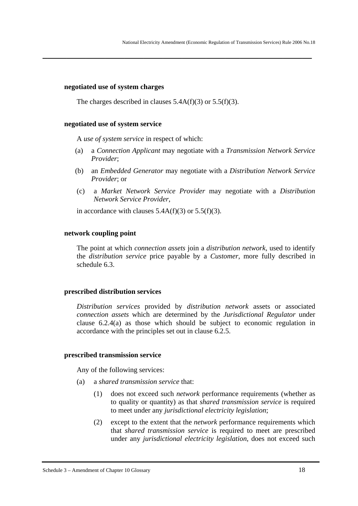#### **negotiated use of system charges**

The charges described in clauses  $5.4A(f)(3)$  or  $5.5(f)(3)$ .

**\_\_\_\_\_\_\_\_\_\_\_\_\_\_\_\_\_\_\_\_\_\_\_\_\_\_\_\_\_\_\_\_\_\_\_\_\_\_\_\_\_\_\_\_\_\_\_\_\_\_\_\_\_\_\_\_**

#### **negotiated use of system service**

A *use of system service* in respect of which:

- (a) a *Connection Applicant* may negotiate with a *Transmission Network Service Provider*;
- (b) an *Embedded Generator* may negotiate with a *Distribution Network Service Provider*; or
- (c) a *Market Network Service Provider* may negotiate with a *Distribution Network Service Provider*,

in accordance with clauses  $5.4A(f)(3)$  or  $5.5(f)(3)$ .

#### **network coupling point**

The point at which *connection assets* join a *distribution network*, used to identify the *distribution service* price payable by a *Customer*, more fully described in schedule 6.3.

#### **prescribed distribution services**

*Distribution services* provided by *distribution network* assets or associated *connection assets* which are determined by the *Jurisdictional Regulator* under clause 6.2.4(a) as those which should be subject to economic regulation in accordance with the principles set out in clause 6.2.5.

#### **prescribed transmission service**

Any of the following services:

- (a) a *shared transmission service* that:
	- (1) does not exceed such *network* performance requirements (whether as to quality or quantity) as that *shared transmission service* is required to meet under any *jurisdictional electricity legislation*;
	- (2) except to the extent that the *network* performance requirements which that *shared transmission service* is required to meet are prescribed under any *jurisdictional electricity legislation*, does not exceed such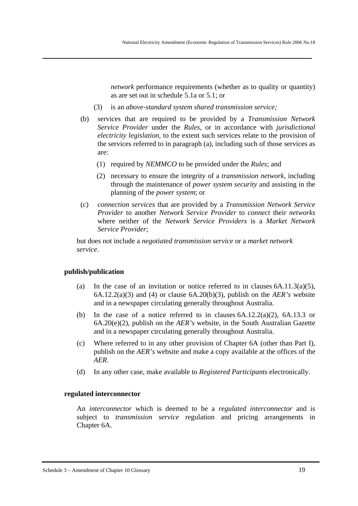*network* performance requirements (whether as to quality or quantity) as are set out in schedule 5.1a or 5.1; or

(3) is an *above-standard system shared transmission service;*

**\_\_\_\_\_\_\_\_\_\_\_\_\_\_\_\_\_\_\_\_\_\_\_\_\_\_\_\_\_\_\_\_\_\_\_\_\_\_\_\_\_\_\_\_\_\_\_\_\_\_\_\_\_\_\_\_**

- (b) services that are required to be provided by a *Transmission Network Service Provider* under the *Rules*, or in accordance with *jurisdictional electricity legislation*, to the extent such services relate to the provision of the services referred to in paragraph (a), including such of those services as are:
	- (1) required by *NEMMCO* to be provided under the *Rules*; and
	- (2) necessary to ensure the integrity of a *transmission network*, including through the maintenance of *power system security* and assisting in the planning of the *power system*; or
- (c) *connection services* that are provided by a *Transmission Network Service Provider* to another *Network Service Provider* to *connect* their *networks* where neither of the *Network Service Providers* is a *Market Network Service Provider*;

but does not include a *negotiated transmission service* or a *market network service*.

#### **publish/publication**

- (a) In the case of an invitation or notice referred to in clauses  $6A.11.3(a)(5)$ , 6A.12.2(a)(3) and (4) or clause 6A.20(b)(3), publish on the *AER's* website and in a newspaper circulating generally throughout Australia.
- (b) In the case of a notice referred to in clauses  $6A.12.2(a)(2)$ ,  $6A.13.3$  or 6A.20(e)(2), publish on the *AER's* website, in the South Australian Gazette and in a newspaper circulating generally throughout Australia.
- (c) Where referred to in any other provision of Chapter 6A (other than Part I), publish on the *AER's* website and make a copy available at the offices of the *AER*.
- (d) In any other case, make available to *Registered Participants* electronically.

#### **regulated interconnector**

An *interconnector* which is deemed to be a *regulated interconnector* and is subject to *transmission service* regulation and pricing arrangements in Chapter 6A.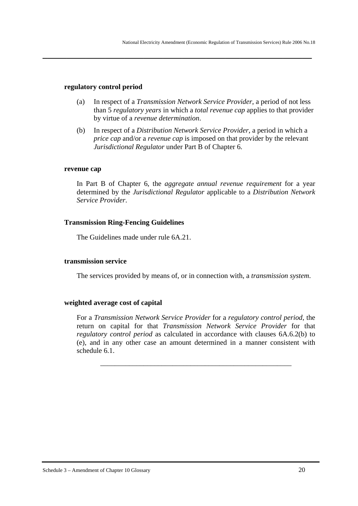#### **regulatory control period**

(a) In respect of a *Transmission Network Service Provider*, a period of not less than 5 *regulatory years* in which a *total revenue cap* applies to that provider by virtue of a *revenue determination*.

**\_\_\_\_\_\_\_\_\_\_\_\_\_\_\_\_\_\_\_\_\_\_\_\_\_\_\_\_\_\_\_\_\_\_\_\_\_\_\_\_\_\_\_\_\_\_\_\_\_\_\_\_\_\_\_\_**

(b) In respect of a *Distribution Network Service Provider*, a period in which a *price cap* and/or a *revenue cap* is imposed on that provider by the relevant *Jurisdictional Regulator* under Part B of Chapter 6.

#### **revenue cap**

In Part B of Chapter 6, the *aggregate annual revenue requirement* for a year determined by the *Jurisdictional Regulator* applicable to a *Distribution Network Service Provider*.

#### **Transmission Ring-Fencing Guidelines**

The Guidelines made under rule 6A.21.

#### **transmission service**

The services provided by means of, or in connection with, a *transmission system*.

#### **weighted average cost of capital**

For a *Transmission Network Service Provider* for a *regulatory control period*, the return on capital for that *Transmission Network Service Provider* for that *regulatory control period* as calculated in accordance with clauses 6A.6.2(b) to (e), and in any other case an amount determined in a manner consistent with schedule 6.1.

\_\_\_\_\_\_\_\_\_\_\_\_\_\_\_\_\_\_\_\_\_\_\_\_\_\_\_\_\_\_\_\_\_\_\_\_\_\_\_\_\_\_\_\_\_\_\_\_\_\_\_\_\_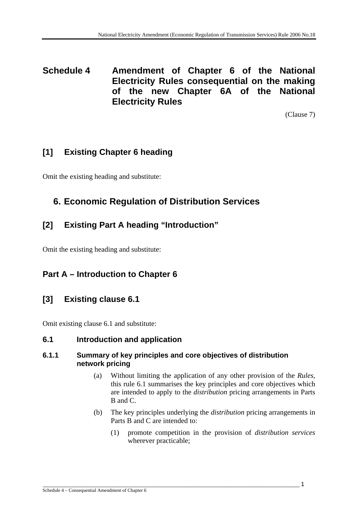**Schedule 4 Amendment of Chapter 6 of the National Electricity Rules consequential on the making of the new Chapter 6A of the National Electricity Rules** 

(Clause 7)

# **[1] Existing Chapter 6 heading**

Omit the existing heading and substitute:

# **6. Economic Regulation of Distribution Services**

## **[2] Existing Part A heading "Introduction"**

Omit the existing heading and substitute:

## **Part A – Introduction to Chapter 6**

## **[3] Existing clause 6.1**

Omit existing clause 6.1 and substitute:

## **6.1 Introduction and application**

## **6.1.1 Summary of key principles and core objectives of distribution network pricing**

- (a) Without limiting the application of any other provision of the *Rules*, this rule 6.1 summarises the key principles and core objectives which are intended to apply to the *distribution* pricing arrangements in Parts B and C.
- (b) The key principles underlying the *distribution* pricing arrangements in Parts B and C are intended to:
	- (1) promote competition in the provision of *distribution services* wherever practicable;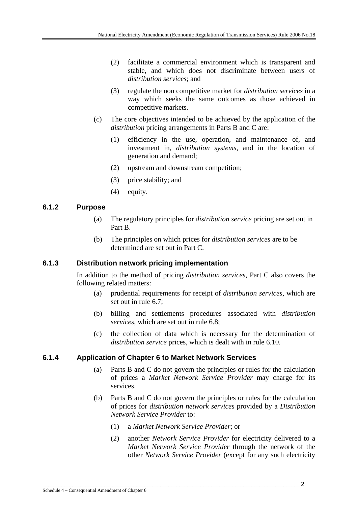- (2) facilitate a commercial environment which is transparent and stable, and which does not discriminate between users of *distribution services*; and
- (3) regulate the non competitive market for *distribution services* in a way which seeks the same outcomes as those achieved in competitive markets.
- (c) The core objectives intended to be achieved by the application of the *distribution* pricing arrangements in Parts B and C are:
	- (1) efficiency in the use, operation, and maintenance of, and investment in, *distribution systems*, and in the location of generation and demand;
	- (2) upstream and downstream competition;
	- (3) price stability; and
	- (4) equity.

## **6.1.2 Purpose**

- (a) The regulatory principles for *distribution service* pricing are set out in Part B.
- (b) The principles on which prices for *distribution services* are to be determined are set out in Part C.

## **6.1.3 Distribution network pricing implementation**

In addition to the method of pricing *distribution services*, Part C also covers the following related matters:

- (a) prudential requirements for receipt of *distribution services*, which are set out in rule 6.7;
- (b) billing and settlements procedures associated with *distribution services*, which are set out in rule 6.8;
- (c) the collection of data which is necessary for the determination of *distribution service* prices, which is dealt with in rule 6.10.

## **6.1.4 Application of Chapter 6 to Market Network Services**

- (a) Parts B and C do not govern the principles or rules for the calculation of prices a *Market Network Service Provider* may charge for its services.
- (b) Parts B and C do not govern the principles or rules for the calculation of prices for *distribution network services* provided by a *Distribution Network Service Provider* to:
	- (1) a *Market Network Service Provider*; or
	- (2) another *Network Service Provider* for electricity delivered to a *Market Network Service Provider* through the network of the other *Network Service Provider* (except for any such electricity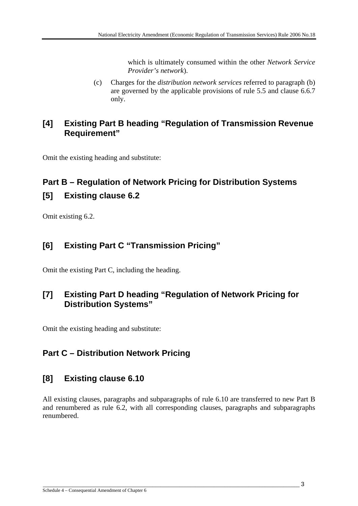which is ultimately consumed within the other *Network Service Provider's network*).

(c) Charges for the *distribution network services* referred to paragraph (b) are governed by the applicable provisions of rule 5.5 and clause 6.6.7 only.

## **[4] Existing Part B heading "Regulation of Transmission Revenue Requirement"**

Omit the existing heading and substitute:

# **Part B – Regulation of Network Pricing for Distribution Systems [5] Existing clause 6.2**

Omit existing 6.2.

## **[6] Existing Part C "Transmission Pricing"**

Omit the existing Part C, including the heading.

## **[7] Existing Part D heading "Regulation of Network Pricing for Distribution Systems"**

Omit the existing heading and substitute:

## **Part C – Distribution Network Pricing**

## **[8] Existing clause 6.10**

All existing clauses, paragraphs and subparagraphs of rule 6.10 are transferred to new Part B and renumbered as rule 6.2, with all corresponding clauses, paragraphs and subparagraphs renumbered.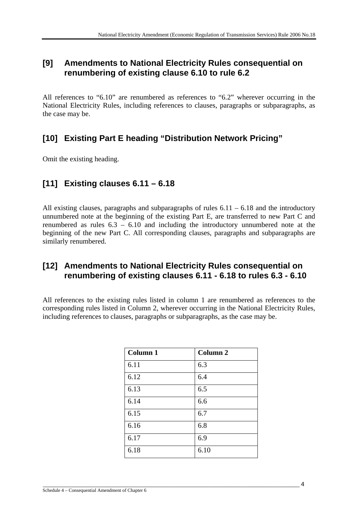## **[9] Amendments to National Electricity Rules consequential on renumbering of existing clause 6.10 to rule 6.2**

All references to "6.10" are renumbered as references to "6.2" wherever occurring in the National Electricity Rules, including references to clauses, paragraphs or subparagraphs, as the case may be.

# **[10] Existing Part E heading "Distribution Network Pricing"**

Omit the existing heading.

## **[11] Existing clauses 6.11 – 6.18**

All existing clauses, paragraphs and subparagraphs of rules  $6.11 - 6.18$  and the introductory unnumbered note at the beginning of the existing Part E, are transferred to new Part C and renumbered as rules 6.3 – 6.10 and including the introductory unnumbered note at the beginning of the new Part C. All corresponding clauses, paragraphs and subparagraphs are similarly renumbered.

## **[12] Amendments to National Electricity Rules consequential on renumbering of existing clauses 6.11 - 6.18 to rules 6.3 - 6.10**

All references to the existing rules listed in column 1 are renumbered as references to the corresponding rules listed in Column 2, wherever occurring in the National Electricity Rules, including references to clauses, paragraphs or subparagraphs, as the case may be.

| Column 1 | Column <sub>2</sub> |
|----------|---------------------|
| 6.11     | 6.3                 |
| 6.12     | 6.4                 |
| 6.13     | 6.5                 |
| 6.14     | 6.6                 |
| 6.15     | 6.7                 |
| 6.16     | 6.8                 |
| 6.17     | 6.9                 |
| 6.18     | 6.10                |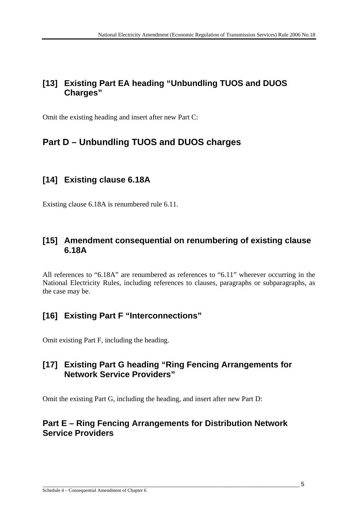## **[13] Existing Part EA heading "Unbundling TUOS and DUOS Charges"**

Omit the existing heading and insert after new Part C:

# **Part D – Unbundling TUOS and DUOS charges**

## **[14] Existing clause 6.18A**

Existing clause 6.18A is renumbered rule 6.11.

## **[15] Amendment consequential on renumbering of existing clause 6.18A**

All references to "6.18A" are renumbered as references to "6.11" wherever occurring in the National Electricity Rules, including references to clauses, paragraphs or subparagraphs, as the case may be.

## **[16] Existing Part F "Interconnections"**

Omit existing Part F, including the heading.

## **[17] Existing Part G heading "Ring Fencing Arrangements for Network Service Providers"**

Omit the existing Part G, including the heading, and insert after new Part D:

## **Part E – Ring Fencing Arrangements for Distribution Network Service Providers**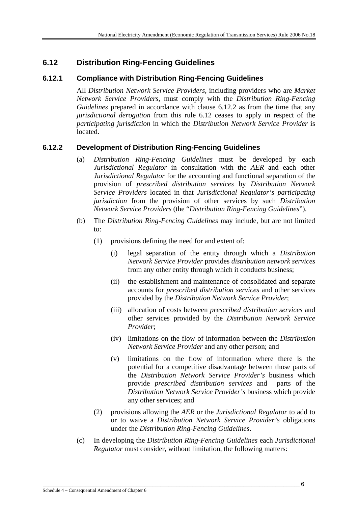## **6.12 Distribution Ring-Fencing Guidelines**

## **6.12.1 Compliance with Distribution Ring-Fencing Guidelines**

All *Distribution Network Service Providers*, including providers who are *Market Network Service Providers*, must comply with the *Distribution Ring-Fencing Guidelines* prepared in accordance with clause 6.12.2 as from the time that any *jurisdictional derogation* from this rule 6.12 ceases to apply in respect of the *participating jurisdiction* in which the *Distribution Network Service Provider* is located.

## **6.12.2 Development of Distribution Ring-Fencing Guidelines**

- (a) *Distribution Ring-Fencing Guidelines* must be developed by each *Jurisdictional Regulator* in consultation with the *AER* and each other *Jurisdictional Regulator* for the accounting and functional separation of the provision of *prescribed distribution services* by *Distribution Network Service Providers* located in that *Jurisdictional Regulator's participating jurisdiction* from the provision of other services by such *Distribution Network Service Providers* (the "*Distribution Ring-Fencing Guidelines*").
- (b) The *Distribution Ring-Fencing Guidelines* may include, but are not limited to:
	- (1) provisions defining the need for and extent of:
		- (i) legal separation of the entity through which a *Distribution Network Service Provider* provides *distribution network services* from any other entity through which it conducts business;
		- (ii) the establishment and maintenance of consolidated and separate accounts for *prescribed distribution services* and other services provided by the *Distribution Network Service Provider*;
		- (iii) allocation of costs between *prescribed distribution services* and other services provided by the *Distribution Network Service Provider*;
		- (iv) limitations on the flow of information between the *Distribution Network Service Provider* and any other person; and
		- (v) limitations on the flow of information where there is the potential for a competitive disadvantage between those parts of the *Distribution Network Service Provider's* business which provide *prescribed distribution services* and parts of the *Distribution Network Service Provider's* business which provide any other services; and
	- (2) provisions allowing the *AER* or the *Jurisdictional Regulator* to add to or to waive a *Distribution Network Service Provider's* obligations under the *Distribution Ring-Fencing Guidelines*.
- (c) In developing the *Distribution Ring-Fencing Guidelines* each *Jurisdictional Regulator* must consider, without limitation, the following matters: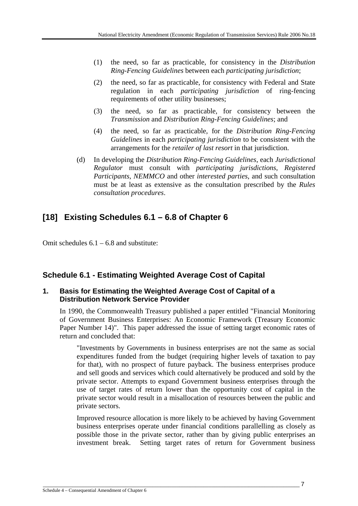- (1) the need, so far as practicable, for consistency in the *Distribution Ring-Fencing Guidelines* between each *participating jurisdiction*;
- (2) the need, so far as practicable, for consistency with Federal and State regulation in each *participating jurisdiction* of ring-fencing requirements of other utility businesses;
- (3) the need, so far as practicable, for consistency between the *Transmission* and *Distribution Ring-Fencing Guidelines*; and
- (4) the need, so far as practicable, for the *Distribution Ring-Fencing Guidelines* in each *participating jurisdiction* to be consistent with the arrangements for the *retailer of last resort* in that jurisdiction.
- (d) In developing the *Distribution Ring-Fencing Guidelines*, each *Jurisdictional Regulator* must consult with *participating jurisdictions*, *Registered Participants*, *NEMMCO* and other *interested parties*, and such consultation must be at least as extensive as the consultation prescribed by the *Rules consultation procedures*.

# **[18] Existing Schedules 6.1 – 6.8 of Chapter 6**

Omit schedules  $6.1 - 6.8$  and substitute:

## **Schedule 6.1 - Estimating Weighted Average Cost of Capital**

## **1. Basis for Estimating the Weighted Average Cost of Capital of a Distribution Network Service Provider**

In 1990, the Commonwealth Treasury published a paper entitled "Financial Monitoring of Government Business Enterprises: An Economic Framework (Treasury Economic Paper Number 14)". This paper addressed the issue of setting target economic rates of return and concluded that:

"Investments by Governments in business enterprises are not the same as social expenditures funded from the budget (requiring higher levels of taxation to pay for that), with no prospect of future payback. The business enterprises produce and sell goods and services which could alternatively be produced and sold by the private sector. Attempts to expand Government business enterprises through the use of target rates of return lower than the opportunity cost of capital in the private sector would result in a misallocation of resources between the public and private sectors.

Improved resource allocation is more likely to be achieved by having Government business enterprises operate under financial conditions parallelling as closely as possible those in the private sector, rather than by giving public enterprises an investment break. Setting target rates of return for Government business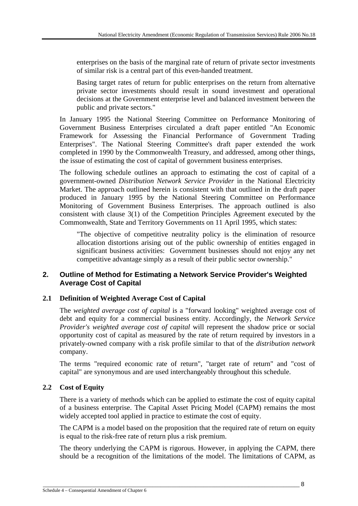enterprises on the basis of the marginal rate of return of private sector investments of similar risk is a central part of this even-handed treatment.

Basing target rates of return for public enterprises on the return from alternative private sector investments should result in sound investment and operational decisions at the Government enterprise level and balanced investment between the public and private sectors."

In January 1995 the National Steering Committee on Performance Monitoring of Government Business Enterprises circulated a draft paper entitled "An Economic Framework for Assessing the Financial Performance of Government Trading Enterprises". The National Steering Committee's draft paper extended the work completed in 1990 by the Commonwealth Treasury, and addressed, among other things, the issue of estimating the cost of capital of government business enterprises.

The following schedule outlines an approach to estimating the cost of capital of a government-owned *Distribution Network Service Provider* in the National Electricity Market. The approach outlined herein is consistent with that outlined in the draft paper produced in January 1995 by the National Steering Committee on Performance Monitoring of Government Business Enterprises. The approach outlined is also consistent with clause 3(1) of the Competition Principles Agreement executed by the Commonwealth, State and Territory Governments on 11 April 1995, which states:

"The objective of competitive neutrality policy is the elimination of resource allocation distortions arising out of the public ownership of entities engaged in significant business activities: Government businesses should not enjoy any net competitive advantage simply as a result of their public sector ownership."

## **2. Outline of Method for Estimating a Network Service Provider's Weighted Average Cost of Capital**

## **2.1 Definition of Weighted Average Cost of Capital**

The *weighted average cost of capital* is a "forward looking" weighted average cost of debt and equity for a commercial business entity. Accordingly, the *Network Service Provider's weighted average cost of capital* will represent the shadow price or social opportunity cost of capital as measured by the rate of return required by investors in a privately-owned company with a risk profile similar to that of the *distribution network*  company.

The terms "required economic rate of return", "target rate of return" and "cost of capital" are synonymous and are used interchangeably throughout this schedule.

## **2.2 Cost of Equity**

There is a variety of methods which can be applied to estimate the cost of equity capital of a business enterprise. The Capital Asset Pricing Model (CAPM) remains the most widely accepted tool applied in practice to estimate the cost of equity.

The CAPM is a model based on the proposition that the required rate of return on equity is equal to the risk-free rate of return plus a risk premium.

The theory underlying the CAPM is rigorous. However, in applying the CAPM, there should be a recognition of the limitations of the model. The limitations of CAPM, as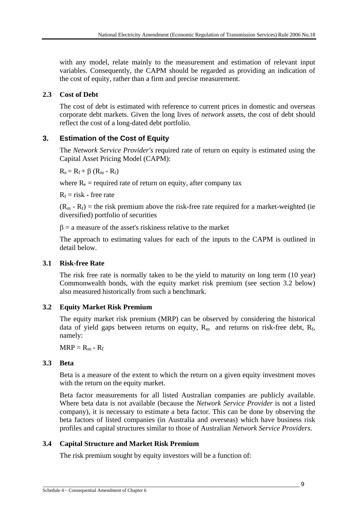with any model, relate mainly to the measurement and estimation of relevant input variables. Consequently, the CAPM should be regarded as providing an indication of the cost of equity, rather than a firm and precise measurement.

### **2.3 Cost of Debt**

The cost of debt is estimated with reference to current prices in domestic and overseas corporate debt markets. Given the long lives of *network* assets, the cost of debt should reflect the cost of a long-dated debt portfolio.

## **3. Estimation of the Cost of Equity**

The *Network Service Provider's* required rate of return on equity is estimated using the Capital Asset Pricing Model (CAPM):

 $R_e = R_f + \beta (R_m - R_f)$ 

where  $R_e$  = required rate of return on equity, after company tax

 $R_f$  = risk - free rate

 $(R_m - R_f)$  = the risk premium above the risk-free rate required for a market-weighted (ie diversified) portfolio of securities

 $\beta$  = a measure of the asset's riskiness relative to the market

The approach to estimating values for each of the inputs to the CAPM is outlined in detail below.

## **3.1 Risk-free Rate**

The risk free rate is normally taken to be the yield to maturity on long term (10 year) Commonwealth bonds, with the equity market risk premium (see section 3.2 below) also measured historically from such a benchmark.

## **3.2 Equity Market Risk Premium**

The equity market risk premium (MRP) can be observed by considering the historical data of yield gaps between returns on equity,  $R_m$  and returns on risk-free debt,  $R_f$ , namely:

 $MRP = R_m - R_f$ 

## **3.3 Beta**

Beta is a measure of the extent to which the return on a given equity investment moves with the return on the equity market.

Beta factor measurements for all listed Australian companies are publicly available. Where beta data is not available (because the *Network Service Provider* is not a listed company), it is necessary to estimate a beta factor. This can be done by observing the beta factors of listed companies (in Australia and overseas) which have business risk profiles and capital structures similar to those of Australian *Network Service Providers*.

## **3.4 Capital Structure and Market Risk Premium**

The risk premium sought by equity investors will be a function of: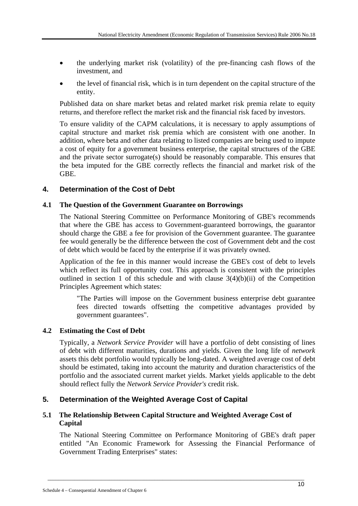- the underlying market risk (volatility) of the pre-financing cash flows of the investment, and
- the level of financial risk, which is in turn dependent on the capital structure of the entity.

Published data on share market betas and related market risk premia relate to equity returns, and therefore reflect the market risk and the financial risk faced by investors.

To ensure validity of the CAPM calculations, it is necessary to apply assumptions of capital structure and market risk premia which are consistent with one another. In addition, where beta and other data relating to listed companies are being used to impute a cost of equity for a government business enterprise, the capital structures of the GBE and the private sector surrogate(s) should be reasonably comparable. This ensures that the beta imputed for the GBE correctly reflects the financial and market risk of the GBE.

## **4. Determination of the Cost of Debt**

### **4.1 The Question of the Government Guarantee on Borrowings**

The National Steering Committee on Performance Monitoring of GBE's recommends that where the GBE has access to Government-guaranteed borrowings, the guarantor should charge the GBE a fee for provision of the Government guarantee. The guarantee fee would generally be the difference between the cost of Government debt and the cost of debt which would be faced by the enterprise if it was privately owned.

Application of the fee in this manner would increase the GBE's cost of debt to levels which reflect its full opportunity cost. This approach is consistent with the principles outlined in section 1 of this schedule and with clause  $3(4)(b)(ii)$  of the Competition Principles Agreement which states:

"The Parties will impose on the Government business enterprise debt guarantee fees directed towards offsetting the competitive advantages provided by government guarantees".

#### **4.2 Estimating the Cost of Debt**

Typically, a *Network Service Provider* will have a portfolio of debt consisting of lines of debt with different maturities, durations and yields. Given the long life of *network*  assets this debt portfolio would typically be long-dated. A weighted average cost of debt should be estimated, taking into account the maturity and duration characteristics of the portfolio and the associated current market yields. Market yields applicable to the debt should reflect fully the *Network Service Provider's* credit risk.

## **5. Determination of the Weighted Average Cost of Capital**

### **5.1 The Relationship Between Capital Structure and Weighted Average Cost of Capital**

The National Steering Committee on Performance Monitoring of GBE's draft paper entitled "An Economic Framework for Assessing the Financial Performance of Government Trading Enterprises" states: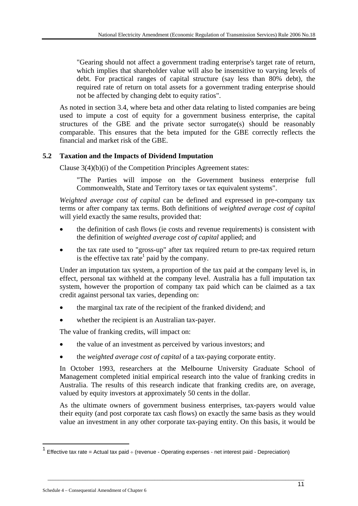"Gearing should not affect a government trading enterprise's target rate of return, which implies that shareholder value will also be insensitive to varying levels of debt. For practical ranges of capital structure (say less than 80% debt), the required rate of return on total assets for a government trading enterprise should not be affected by changing debt to equity ratios".

As noted in section 3.4, where beta and other data relating to listed companies are being used to impute a cost of equity for a government business enterprise, the capital structures of the GBE and the private sector surrogate(s) should be reasonably comparable. This ensures that the beta imputed for the GBE correctly reflects the financial and market risk of the GBE.

## **5.2 Taxation and the Impacts of Dividend Imputation**

Clause 3(4)(b)(i) of the Competition Principles Agreement states:

"The Parties will impose on the Government business enterprise full Commonwealth, State and Territory taxes or tax equivalent systems".

*Weighted average cost of capital* can be defined and expressed in pre-company tax terms or after company tax terms. Both definitions of *weighted average cost of capital* will yield exactly the same results, provided that:

- the definition of cash flows (ie costs and revenue requirements) is consistent with the definition of *weighted average cost of capital* applied; and
- the tax rate used to "gross-up" after tax required return to pre-tax required return is the effective tax rate<sup>1</sup> paid by the company.

Under an imputation tax system, a proportion of the tax paid at the company level is, in effect, personal tax withheld at the company level. Australia has a full imputation tax system, however the proportion of company tax paid which can be claimed as a tax credit against personal tax varies, depending on:

- the marginal tax rate of the recipient of the franked dividend; and
- whether the recipient is an Australian tax-payer.

The value of franking credits, will impact on:

- the value of an investment as perceived by various investors; and
- the *weighted average cost of capital* of a tax-paying corporate entity.

In October 1993, researchers at the Melbourne University Graduate School of Management completed initial empirical research into the value of franking credits in Australia. The results of this research indicate that franking credits are, on average, valued by equity investors at approximately 50 cents in the dollar.

As the ultimate owners of government business enterprises, tax-payers would value their equity (and post corporate tax cash flows) on exactly the same basis as they would value an investment in any other corporate tax-paying entity. On this basis, it would be

 $\_$  , and the set of the set of the set of the set of the set of the set of the set of the set of the set of the set of the set of the set of the set of the set of the set of the set of the set of the set of the set of th

1

<sup>&</sup>lt;sup>1</sup> Effective tax rate = Actual tax paid  $\div$  (revenue - Operating expenses - net interest paid - Depreciation)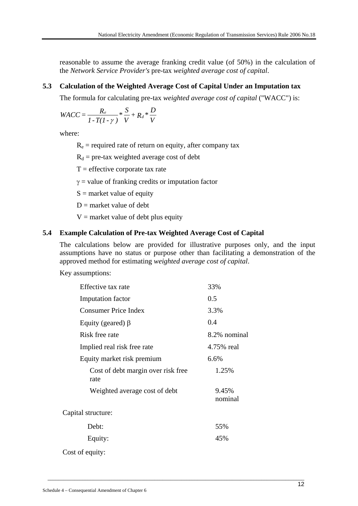reasonable to assume the average franking credit value (of 50%) in the calculation of the *Network Service Provider's* pre-tax *weighted average cost of capital*.

## **5.3 Calculation of the Weighted Average Cost of Capital Under an Imputation tax**

The formula for calculating pre-tax *weighted average cost of capital* ("WACC") is:

$$
WACC = \frac{R_e}{I - T(I - \gamma)} * \frac{S}{V} + R_d * \frac{D}{V}
$$

where:

 $R_e$  = required rate of return on equity, after company tax

 $R_d$  = pre-tax weighted average cost of debt

 $T =$  effective corporate tax rate

 $\gamma$  = value of franking credits or imputation factor

 $S =$  market value of equity

 $D =$  market value of debt

 $V =$  market value of debt plus equity

#### **5.4 Example Calculation of Pre-tax Weighted Average Cost of Capital**

The calculations below are provided for illustrative purposes only, and the input assumptions have no status or purpose other than facilitating a demonstration of the approved method for estimating *weighted average cost of capital*.

Key assumptions:

| Effective tax rate                         | 33%              |
|--------------------------------------------|------------------|
| Imputation factor                          | 0.5              |
| Consumer Price Index                       | 3.3%             |
| Equity (geared) $\beta$                    | 0.4              |
| Risk free rate                             | 8.2% nominal     |
| Implied real risk free rate                | 4.75% real       |
| Equity market risk premium                 | 6.6%             |
| Cost of debt margin over risk free<br>rate | 1.25%            |
| Weighted average cost of debt              | 9.45%<br>nominal |
| Capital structure:                         |                  |
| Debt:                                      | 55%              |
| Equity:                                    | 45%              |
| Cost of equity:                            |                  |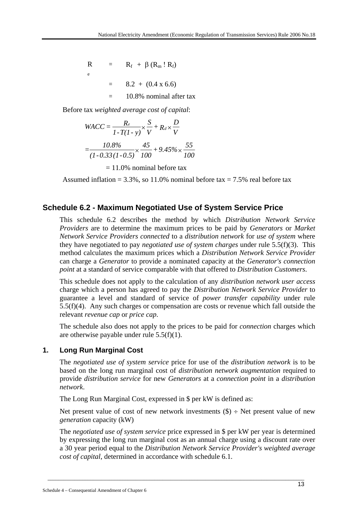R e  $=$  R<sub>f</sub> + β (R<sub>m</sub> ! R<sub>f</sub>)  $=$  8.2 + (0.4 x 6.6)  $=$  10.8% nominal after tax

Before tax *weighted average cost of capital*:

$$
WACC = \frac{R_e}{1 - T(1 - y)} \times \frac{S}{V} + R_d \times \frac{D}{V}
$$

$$
= \frac{10.8\%}{(1 - 0.33(1 - 0.5))} \times \frac{45}{100} + 9.45\% \times \frac{55}{100}
$$

 $= 11.0\%$  nominal before tax

Assumed inflation =  $3.3\%$ , so 11.0% nominal before tax =  $7.5\%$  real before tax

## **Schedule 6.2 - Maximum Negotiated Use of System Service Price**

This schedule 6.2 describes the method by which *Distribution Network Service Providers* are to determine the maximum prices to be paid by *Generators* or *Market Network Service Providers connected* to a *distribution network* for *use of system* where they have negotiated to pay *negotiated use of system charges* under rule 5.5(f)(3). This method calculates the maximum prices which a *Distribution Network Service Provider* can charge a *Generator* to provide a nominated capacity at the *Generator's connection point* at a standard of service comparable with that offered to *Distribution Customers*.

This schedule does not apply to the calculation of any *distribution network user access*  charge which a person has agreed to pay the *Distribution Network Service Provider* to guarantee a level and standard of service of *power transfer capability* under rule 5.5(f)(4). Any such charges or compensation are costs or revenue which fall outside the relevant *revenue cap* or *price cap*.

The schedule also does not apply to the prices to be paid for *connection* charges which are otherwise payable under rule  $5.5(f)(1)$ .

## **1. Long Run Marginal Cost**

The *negotiated use of system service* price for use of the *distribution network* is to be based on the long run marginal cost of *distribution network augmentation* required to provide *distribution service* for new *Generators* at a *connection point* in a *distribution network*.

The Long Run Marginal Cost, expressed in \$ per kW is defined as:

Net present value of cost of new network investments  $(\$) \div$  Net present value of new *generation* capacity (kW)

The *negotiated use of system service* price expressed in \$ per kW per year is determined by expressing the long run marginal cost as an annual charge using a discount rate over a 30 year period equal to the *Distribution Network Service Provider's weighted average cost of capital*, determined in accordance with schedule 6.1.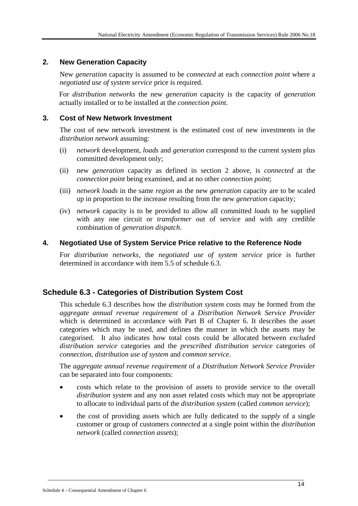## **2. New Generation Capacity**

New *generation* capacity is assumed to be *connected* at each *connection point* where a *negotiated use of system service* price is required.

For *distribution networks* the new *generation* capacity is the capacity of *generation* actually installed or to be installed at the *connection point*.

### **3. Cost of New Network Investment**

The cost of new network investment is the estimated cost of new investments in the *distribution network* assuming:

- (i) *network* development, *loads* and *generation* correspond to the current system plus committed development only;
- (ii) new *generation* capacity as defined in section 2 above, is *connected* at the *connection point* being examined, and at no other *connection point*;
- (iii) *network loads* in the same *region* as the new *generation* capacity are to be scaled up in proportion to the increase resulting from the new *generation* capacity;
- (iv) *network* capacity is to be provided to allow all committed *loads* to be supplied with any one circuit or *transformer* out of service and with any credible combination of *generation dispatch*.

### **4. Negotiated Use of System Service Price relative to the Reference Node**

For *distribution networks,* the *negotiated use of system service* price is further determined in accordance with item 5.5 of schedule 6.3.

## **Schedule 6.3 - Categories of Distribution System Cost**

This schedule 6.3 describes how the *distribution system* costs may be formed from the *aggregate annual revenue requirement* of a *Distribution Network Service Provider* which is determined in accordance with Part B of Chapter 6. It describes the asset categories which may be used, and defines the manner in which the assets may be categorised. It also indicates how total costs could be allocated between *excluded distribution service* categories and the *prescribed distribution service* categories of *connection*, *distribution use of system* and *common service*.

The *aggregate annual revenue requirement* of a *Distribution Network Service Provider*  can be separated into four components:

- costs which relate to the provision of assets to provide service to the overall *distribution system* and any non asset related costs which may not be appropriate to allocate to individual parts of the *distribution system* (called *common service*);
- the cost of providing assets which are fully dedicated to the *supply* of a single customer or group of customers *connected* at a single point within the *distribution network* (called *connection assets*);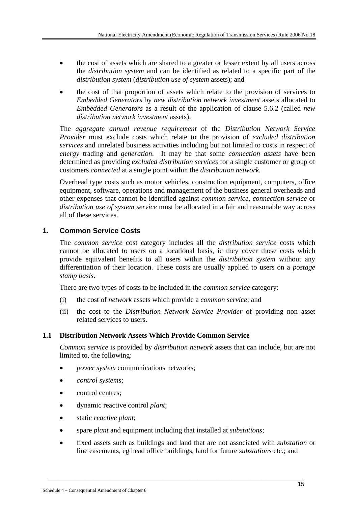- the cost of assets which are shared to a greater or lesser extent by all users across the *distribution system* and can be identified as related to a specific part of the *distribution system* (*distribution use of system* assets); and
- the cost of that proportion of assets which relate to the provision of services to *Embedded Generators* by *new distribution network investment* assets allocated to *Embedded Generators* as a result of the application of clause 5.6.2 (called *new distribution network investment* assets).

The *aggregate annual revenue requirement* of the *Distribution Network Service Provider* must exclude costs which relate to the provision of *excluded distribution services* and unrelated business activities including but not limited to costs in respect of *energy* trading and *generation*. It may be that some *connection assets* have been determined as providing *excluded distribution services* for a single customer or group of customers *connected* at a single point within the *distribution network.*

Overhead type costs such as motor vehicles, construction equipment, computers, office equipment, software, operations and management of the business general overheads and other expenses that cannot be identified against *common service*, *connection service* or *distribution use of system service* must be allocated in a fair and reasonable way across all of these services.

## **1. Common Service Costs**

The *common service* cost category includes all the *distribution service* costs which cannot be allocated to users on a locational basis, ie they cover those costs which provide equivalent benefits to all users within the *distribution system* without any differentiation of their location. These costs are usually applied to users on a *postage stamp basis*.

There are two types of costs to be included in the *common service* category:

- (i) the cost of *network* assets which provide a *common service*; and
- (ii) the cost to the *Distribution Network Service Provider* of providing non asset related services to users.

#### **1.1 Distribution Network Assets Which Provide Common Service**

*Common service* is provided by *distribution network* assets that can include, but are not limited to, the following:

- *power system* communications networks;
- *control systems*;
- control centres:
- dynamic reactive control *plant*;
- static *reactive plant*;
- spare *plant* and equipment including that installed at *substations*;
- fixed assets such as buildings and land that are not associated with *substation* or line easements, eg head office buildings, land for future *substations* etc.; and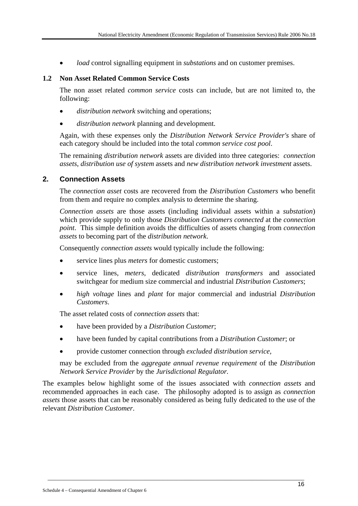• *load* control signalling equipment in *substations* and on customer premises.

#### **1.2 Non Asset Related Common Service Costs**

The non asset related *common service* costs can include, but are not limited to, the following:

- *distribution network* switching and operations;
- *distribution network* planning and development.

Again, with these expenses only the *Distribution Network Service Provider's* share of each category should be included into the total *common service cost pool*.

The remaining *distribution network* assets are divided into three categories: *connection assets*, *distribution use of system* assets and *new distribution network investment* assets.

#### **2. Connection Assets**

The *connection asset* costs are recovered from the *Distribution Customers* who benefit from them and require no complex analysis to determine the sharing.

*Connection assets* are those assets (including individual assets within a *substation*) which provide supply to only those *Distribution Customers connected* at the *connection point*. This simple definition avoids the difficulties of assets changing from *connection assets* to becoming part of the *distribution network*.

Consequently *connection assets* would typically include the following:

- service lines plus *meters* for domestic customers;
- service lines, *meters*, dedicated *distribution transformers* and associated switchgear for medium size commercial and industrial *Distribution Customers*;
- *high voltage* lines and *plant* for major commercial and industrial *Distribution Customers*.

The asset related costs of *connection assets* that:

- have been provided by a *Distribution Customer*;
- have been funded by capital contributions from a *Distribution Customer*; or
- provide customer connection through *excluded distribution service,*

may be excluded from the *aggregate annual revenue requirement* of the *Distribution Network Service Provider* by the *Jurisdictional Regulator.*

The examples below highlight some of the issues associated with *connection assets* and recommended approaches in each case. The philosophy adopted is to assign as *connection assets* those assets that can be reasonably considered as being fully dedicated to the use of the relevant *Distribution Customer*.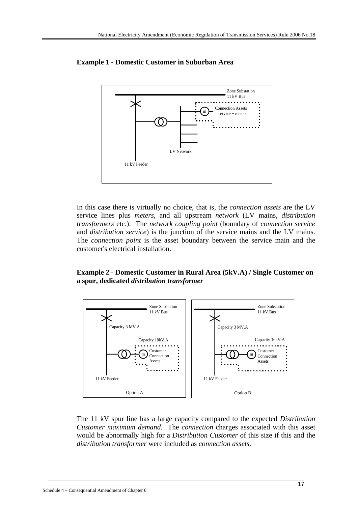

**Example 1 - Domestic Customer in Suburban Area** 

In this case there is virtually no choice, that is, the *connection assets* are the LV service lines plus *meters*, and all upstream *network* (LV mains, *distribution transformers* etc.). The *network coupling point* (boundary of *connection service*  and *distribution service*) is the junction of the service mains and the LV mains. The *connection point* is the asset boundary between the service main and the customer's electrical installation.

#### **Example 2 - Domestic Customer in Rural Area (5kV.A) / Single Customer on a spur, dedicated** *distribution transformer*



The 11 kV spur line has a large capacity compared to the expected *Distribution Customer maximum demand*. The *connection* charges associated with this asset would be abnormally high for a *Distribution Customer* of this size if this and the *distribution transformer* were included as *connection assets*.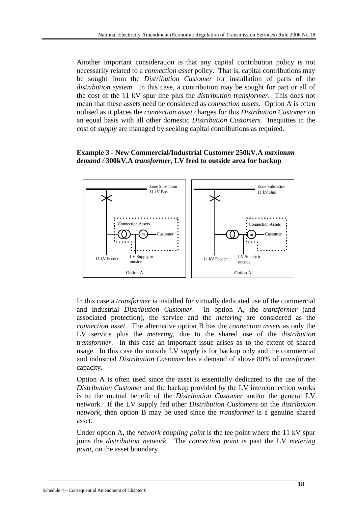Another important consideration is that any capital contribution policy is not necessarily related to a *connection asset* policy. That is, capital contributions may be sought from the *Distribution Customer* for installation of parts of the *distribution system*. In this case, a contribution may be sought for part or all of the cost of the 11 kV spur line plus the *distribution transformer*. This does not mean that these assets need be considered as *connection assets*. Option A is often utilised as it places the *connection asset* charges for this *Distribution Customer* on an equal basis with all other domestic *Distribution Customers.* Inequities in the cost of *supply* are managed by seeking capital contributions as required.

#### **Example 3 - New Commercial/Industrial Customer 250kV.A** *maximum demand /* **300kV.A** *transformer***, LV feed to outside area for backup**



In this case a *transformer* is installed for virtually dedicated use of the commercial and industrial *Distribution Customer*. In option A, the *transformer* (and associated protection), the service and the *metering* are considered as the *connection asset*. The alternative option B has the *connection assets* as only the LV service plus the *metering*, due to the shared use of the *distribution transformer*. In this case an important issue arises as to the extent of shared usage. In this case the outside LV *supply* is for backup only and the commercial and industrial *Distribution Customer* has a demand of above 80% of *transformer* capacity.

Option A is often used since the asset is essentially dedicated to the use of the *Distribution Customer* and the backup provided by the LV interconnection works is to the mutual benefit of the *Distribution Customer* and*/*or the general LV network. If the LV supply fed other *Distribution Customers* on the *distribution network*, then option B may be used since the *transformer* is a genuine shared asset.

Under option A, the *network coupling point* is the tee point where the 11 kV spur joins the *distribution network*. The *connection point* is past the LV *metering point*, on the asset boundary.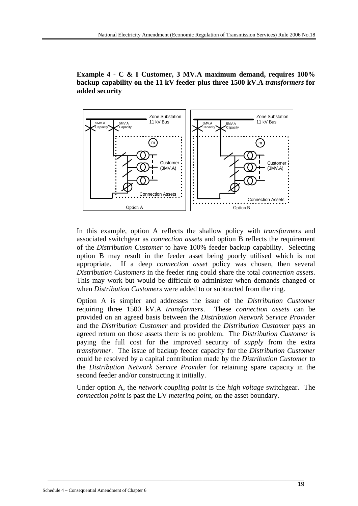**Example 4 - C & I Customer, 3 MV.A maximum demand, requires 100% backup capability on the 11 kV feeder plus three 1500 kV.A** *transformers* **for added security** 



In this example, option A reflects the shallow policy with *transformers* and associated switchgear as *connection assets* and option B reflects the requirement of the *Distribution Customer* to have 100% feeder backup capability. Selecting option B may result in the feeder asset being poorly utilised which is not appropriate. If a deep *connection asset* policy was chosen, then several *Distribution Customers* in the feeder ring could share the total *connection assets*. This may work but would be difficult to administer when demands changed or when *Distribution Customers* were added to or subtracted from the ring.

Option A is simpler and addresses the issue of the *Distribution Customer* requiring three 1500 kV.A *transformers*. These *connection assets* can be provided on an agreed basis between the *Distribution Network Service Provider*  and the *Distribution Customer* and provided the *Distribution Customer* pays an agreed return on those assets there is no problem. The *Distribution Customer* is paying the full cost for the improved security of *supply* from the extra *transformer*. The issue of backup feeder capacity for the *Distribution Customer*  could be resolved by a capital contribution made by the *Distribution Customer* to the *Distribution Network Service Provider* for retaining spare capacity in the second feeder and/or constructing it initially.

Under option A, the *network coupling point* is the *high voltage* switchgear. The *connection point* is past the LV *metering point*, on the asset boundary.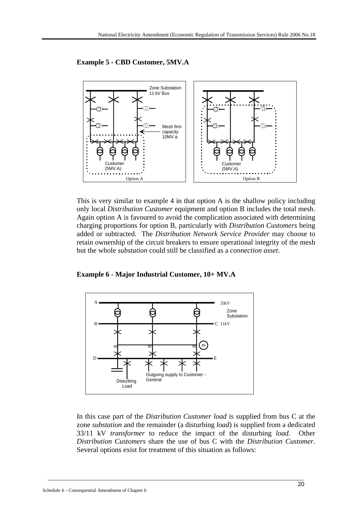

**Example 5 - CBD Customer, 5MV.A** 

This is very similar to example 4 in that option A is the shallow policy including only local *Distribution Customer* equipment and option B includes the total mesh. Again option A is favoured to avoid the complication associated with determining charging proportions for option B, particularly with *Distribution Customers* being added or subtracted. The *Distribution Network Service Provider* may choose to retain ownership of the circuit breakers to ensure operational integrity of the mesh but the whole *substation* could still be classified as a *connection asset*.

**Example 6 - Major Industrial Customer, 10+ MV.A** 



In this case part of the *Distribution Customer load* is supplied from bus C at the zone *substation* and the remainder (a disturbing *load*) is supplied from a dedicated 33/11 kV *transformer* to reduce the impact of the disturbing *load*. Other *Distribution Customers* share the use of bus C with the *Distribution Customer*. Several options exist for treatment of this situation as follows: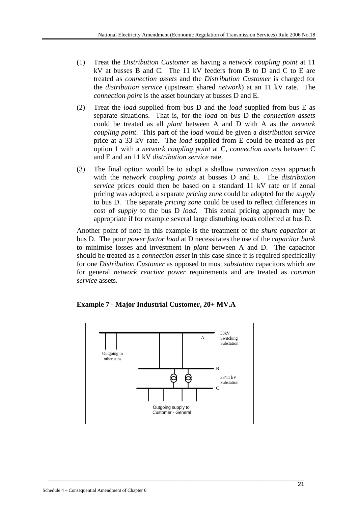- (1) Treat the *Distribution Customer* as having a *network coupling point* at 11 kV at busses B and C. The 11 kV feeders from B to D and C to E are treated as *connection assets* and the *Distribution Customer* is charged for the *distribution service* (upstream shared *network*) at an 11 kV rate. The *connection point* is the asset boundary at busses D and E.
- (2) Treat the *load* supplied from bus D and the *load* supplied from bus E as separate situations. That is, for the *load* on bus D the *connection assets*  could be treated as all *plant* between A and D with A as the *network coupling point*. This part of the *load* would be given a *distribution service*  price at a 33 kV rate. The *load* supplied from E could be treated as per option 1 with a *network coupling point* at C, *connection assets* between C and E and an 11 kV *distribution service* rate.
- (3) The final option would be to adopt a shallow *connection asset* approach with the *network coupling points* at busses D and E. The *distribution service* prices could then be based on a standard 11 kV rate or if zonal pricing was adopted, a separate *pricing zone* could be adopted for the *supply* to bus D. The separate *pricing zone* could be used to reflect differences in cost of *supply* to the bus D *load*. This zonal pricing approach may be appropriate if for example several large disturbing *loads* collected at bus D.

Another point of note in this example is the treatment of the *shunt capacitor* at bus D. The poor *power factor load* at D necessitates the use of the *capacitor bank* to minimise losses and investment in *plant* between A and D. The capacitor should be treated as a *connection asset* in this case since it is required specifically for one *Distribution Customer* as opposed to most *substation* capacitors which are for general *network reactive power* requirements and are treated as *common service* assets.



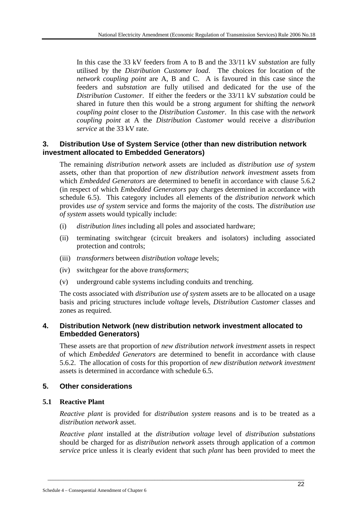In this case the 33 kV feeders from A to B and the 33/11 kV *substation* are fully utilised by the *Distribution Customer load*. The choices for location of the *network coupling point* are A, B and C. A is favoured in this case since the feeders and *substation* are fully utilised and dedicated for the use of the *Distribution Customer*. If either the feeders or the 33/11 kV *substation* could be shared in future then this would be a strong argument for shifting the *network coupling point* closer to the *Distribution Customer*. In this case with the *network coupling point* at A the *Distribution Customer* would receive a *distribution service* at the 33 kV rate.

## **3. Distribution Use of System Service (other than new distribution network investment allocated to Embedded Generators)**

The remaining *distribution network* assets are included as *distribution use of system*  assets, other than that proportion of *new distribution network investment* assets from which *Embedded Generators* are determined to benefit in accordance with clause 5.6.2 (in respect of which *Embedded Generators* pay charges determined in accordance with schedule 6.5). This category includes all elements of the *distribution network* which provides *use of system* service and forms the majority of the costs. The *distribution use of system* assets would typically include:

- (i) *distribution lines* including all poles and associated hardware;
- (ii) terminating switchgear (circuit breakers and isolators) including associated protection and controls;
- (iii) *transformers* between *distribution voltage* levels;
- (iv) switchgear for the above *transformers*;
- (v) underground cable systems including conduits and trenching.

The costs associated with *distribution use of system* assets are to be allocated on a usage basis and pricing structures include *voltage* levels, *Distribution Customer* classes and zones as required.

## **4. Distribution Network (new distribution network investment allocated to Embedded Generators)**

These assets are that proportion of *new distribution network investment* assets in respect of which *Embedded Generators* are determined to benefit in accordance with clause 5.6.2. The allocation of costs for this proportion of *new distribution network investment* assets is determined in accordance with schedule 6.5.

## **5. Other considerations**

## **5.1 Reactive Plant**

*Reactive plant* is provided for *distribution system* reasons and is to be treated as a *distribution network* asset.

*Reactive plant* installed at the *distribution voltage* level of *distribution substations* should be charged for as *distribution network* assets through application of a *common service* price unless it is clearly evident that such *plant* has been provided to meet the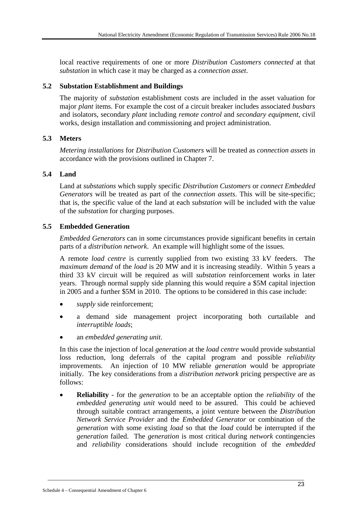local reactive requirements of one or more *Distribution Customers connected* at that *substation* in which case it may be charged as a *connection asset*.

### **5.2 Substation Establishment and Buildings**

The majority of *substation* establishment costs are included in the asset valuation for major *plant* items. For example the cost of a circuit breaker includes associated *busbars*  and isolators, secondary *plant* including *remote control* and *secondary equipment*, civil works, design installation and commissioning and project administration.

### **5.3 Meters**

*Metering installations* for *Distribution Customers* will be treated as *connection assets* in accordance with the provisions outlined in Chapter 7.

#### **5.4 Land**

Land at *substations* which supply specific *Distribution Customers* or *connect Embedded Generators* will be treated as part of the *connection assets*. This will be site-specific; that is, the specific value of the land at each *substation* will be included with the value of the *substation* for charging purposes.

### **5.5 Embedded Generation**

*Embedded Generators* can in some circumstances provide significant benefits in certain parts of a *distribution network*. An example will highlight some of the issues.

A remote *load centre* is currently supplied from two existing 33 kV feeders. The *maximum demand* of the *load* is 20 MW and it is increasing steadily. Within 5 years a third 33 kV circuit will be required as will *substation* reinforcement works in later years. Through normal supply side planning this would require a \$5M capital injection in 2005 and a further \$5M in 2010. The options to be considered in this case include:

- supply side reinforcement;
- a demand side management project incorporating both curtailable and *interruptible loads*;
- an *embedded generating unit*.

In this case the injection of local *generation* at the *load centre* would provide substantial loss reduction, long deferrals of the capital program and possible *reliability* improvements. An injection of 10 MW reliable *generation* would be appropriate initially. The key considerations from a *distribution network* pricing perspective are as follows:

• **Reliability** - for the *generation* to be an acceptable option the *reliability* of the *embedded generating unit* would need to be assured. This could be achieved through suitable contract arrangements, a joint venture between the *Distribution Network Service Provider* and the *Embedded Generator* or combination of the *generation* with some existing *load* so that the *load* could be interrupted if the *generation* failed. The *generation* is most critical during *network* contingencies and *reliability* considerations should include recognition of the *embedded*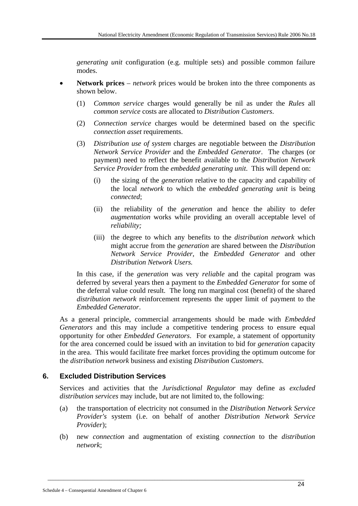*generating unit* configuration (e.g. multiple sets) and possible common failure modes.

- **Network prices** *network* prices would be broken into the three components as shown below.
	- (1) *Common service* charges would generally be nil as under the *Rules* all *common service* costs are allocated to *Distribution Customers*.
	- (2) *Connection service* charges would be determined based on the specific *connection asset* requirements.
	- (3) *Distribution use of system* charges are negotiable between the *Distribution Network Service Provider* and the *Embedded Generator*. The charges (or payment) need to reflect the benefit available to the *Distribution Network Service Provider* from the *embedded generating unit*. This will depend on:
		- (i) the sizing of the *generation* relative to the capacity and capability of the local *network* to which the *embedded generating unit* is being *connected*;
		- (ii) the reliability of the *generation* and hence the ability to defer *augmentation* works while providing an overall acceptable level of *reliability;*
		- (iii) the degree to which any benefits to the *distribution network* which might accrue from the *generation* are shared between the *Distribution Network Service Provider*, the *Embedded Generator* and other *Distribution Network Users.*

In this case, if the *generation* was very *reliable* and the capital program was deferred by several years then a payment to the *Embedded Generator* for some of the deferral value could result. The long run marginal cost (benefit) of the shared *distribution network* reinforcement represents the upper limit of payment to the *Embedded Generator*.

As a general principle, commercial arrangements should be made with *Embedded Generators* and this may include a competitive tendering process to ensure equal opportunity for other *Embedded Generators*. For example, a statement of opportunity for the area concerned could be issued with an invitation to bid for *generation* capacity in the area. This would facilitate free market forces providing the optimum outcome for the *distribution network* business and existing *Distribution Customers*.

## **6. Excluded Distribution Services**

Services and activities that the *Jurisdictional Regulator* may define as *excluded distribution services* may include, but are not limited to, the following:

- (a) the transportation of electricity not consumed in the *Distribution Network Service Provider's* system (i.e. on behalf of another *Distribution Network Service Provider*);
- (b) new *connection* and augmentation of existing *connection* to the *distribution network*;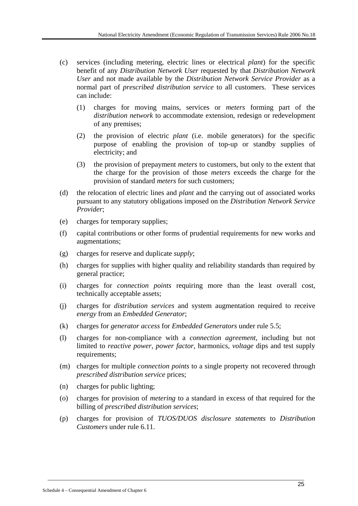- (c) services (including metering, electric lines or electrical *plant*) for the specific benefit of any *Distribution Network User* requested by that *Distribution Network User* and not made available by the *Distribution Network Service Provider* as a normal part of *prescribed distribution service* to all customers. These services can include:
	- (1) charges for moving mains, services or *meters* forming part of the *distribution network* to accommodate extension, redesign or redevelopment of any premises;
	- (2) the provision of electric *plant* (i.e. mobile generators) for the specific purpose of enabling the provision of top-up or standby supplies of electricity; and
	- (3) the provision of prepayment *meters* to customers, but only to the extent that the charge for the provision of those *meters* exceeds the charge for the provision of standard *meters* for such customers;
- (d) the relocation of electric lines and *plant* and the carrying out of associated works pursuant to any statutory obligations imposed on the *Distribution Network Service Provider*;
- (e) charges for temporary supplies;
- (f) capital contributions or other forms of prudential requirements for new works and augmentations;
- (g) charges for reserve and duplicate *supply*;
- (h) charges for supplies with higher quality and reliability standards than required by general practice;
- (i) charges for *connection points* requiring more than the least overall cost, technically acceptable assets;
- (j) charges for *distribution services* and system augmentation required to receive *energy* from an *Embedded Generator*;
- (k) charges for *generator access* for *Embedded Generators* under rule 5.5;
- (l) charges for non-compliance with a *connection agreement*, including but not limited to *reactive power*, *power factor*, harmonics, *voltage* dips and test supply requirements;
- (m) charges for multiple *connection points* to a single property not recovered through *prescribed distribution service* prices;
- (n) charges for public lighting;
- (o) charges for provision of *metering* to a standard in excess of that required for the billing of *prescribed distribution services*;
- (p) charges for provision of *TUOS/DUOS disclosure statements* to *Distribution Customers* under rule 6.11.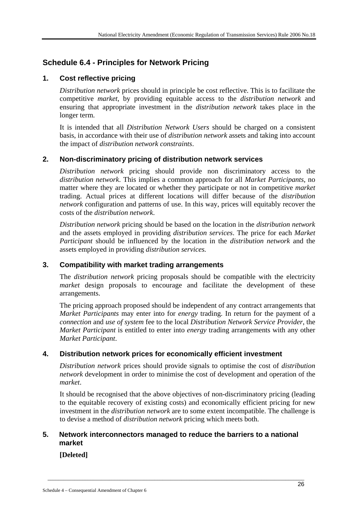## **Schedule 6.4 - Principles for Network Pricing**

## **1. Cost reflective pricing**

*Distribution network* prices should in principle be cost reflective. This is to facilitate the competitive *market*, by providing equitable access to the *distribution network* and ensuring that appropriate investment in the *distribution network* takes place in the longer term.

It is intended that all *Distribution Network Users* should be charged on a consistent basis, in accordance with their use of *distribution network* assets and taking into account the impact of *distribution network constraints*.

## **2. Non-discriminatory pricing of distribution network services**

*Distribution network* pricing should provide non discriminatory access to the *distribution network*. This implies a common approach for all *Market Participants*, no matter where they are located or whether they participate or not in competitive *market* trading. Actual prices at different locations will differ because of the *distribution network* configuration and patterns of use. In this way, prices will equitably recover the costs of the *distribution network*.

*Distribution network* pricing should be based on the location in the *distribution network*  and the assets employed in providing *distribution services*. The price for each *Market Participant* should be influenced by the location in the *distribution network* and the assets employed in providing *distribution services.*

## **3. Compatibility with market trading arrangements**

The *distribution network* pricing proposals should be compatible with the electricity *market* design proposals to encourage and facilitate the development of these arrangements.

The pricing approach proposed should be independent of any contract arrangements that *Market Participants* may enter into for *energy* trading. In return for the payment of a *connection* and *use of system* fee to the local *Distribution Network Service Provider*, the *Market Participant* is entitled to enter into *energy* trading arrangements with any other *Market Participant*.

## **4. Distribution network prices for economically efficient investment**

*Distribution network* prices should provide signals to optimise the cost of *distribution network* development in order to minimise the cost of development and operation of the *market*.

It should be recognised that the above objectives of non-discriminatory pricing (leading to the equitable recovery of existing costs) and economically efficient pricing for new investment in the *distribution network* are to some extent incompatible. The challenge is to devise a method of *distribution network* pricing which meets both.

## **5. Network interconnectors managed to reduce the barriers to a national market**

 $\_$  , and the set of the set of the set of the set of the set of the set of the set of the set of the set of the set of the set of the set of the set of the set of the set of the set of the set of the set of the set of th

## **[Deleted]**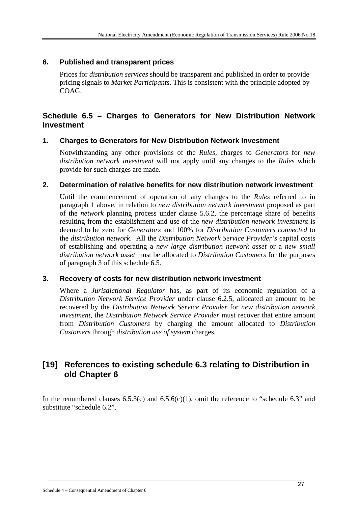## **6. Published and transparent prices**

Prices for *distribution services* should be transparent and published in order to provide pricing signals to *Market Participants*. This is consistent with the principle adopted by COAG.

## **Schedule 6.5 – Charges to Generators for New Distribution Network Investment**

## **1. Charges to Generators for New Distribution Network Investment**

Notwithstanding any other provisions of the *Rules*, charges to *Generators* for *new distribution network investment* will not apply until any changes to the *Rules* which provide for such charges are made.

### **2. Determination of relative benefits for new distribution network investment**

Until the commencement of operation of any changes to the *Rules* referred to in paragraph 1 above, in relation to *new distribution network investment* proposed as part of the *network* planning process under clause 5.6.2, the percentage share of benefits resulting from the establishment and use of the *new distribution network investment* is deemed to be zero for *Generators* and 100% for *Distribution Customers connected* to the *distribution network*. All the *Distribution Network Service Provider's* capital costs of establishing and operating a *new large distribution network asset* or a *new small distribution network asset* must be allocated to *Distribution Customers* for the purposes of paragraph 3 of this schedule 6.5.

## **3. Recovery of costs for new distribution network investment**

Where a *Jurisdictional Regulator* has, as part of its economic regulation of a *Distribution Network Service Provider* under clause 6.2.5, allocated an amount to be recovered by the *Distribution Network Service Provider* for *new distribution network investment*, the *Distribution Network Service Provider* must recover that entire amount from *Distribution Customers* by charging the amount allocated to *Distribution Customers* through *distribution use of system* charges.

## **[19] References to existing schedule 6.3 relating to Distribution in old Chapter 6**

In the renumbered clauses  $6.5.3(c)$  and  $6.5.6(c)(1)$ , omit the reference to "schedule 6.3" and substitute "schedule 6.2".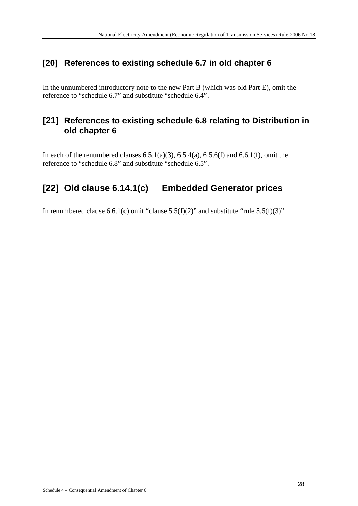## **[20] References to existing schedule 6.7 in old chapter 6**

In the unnumbered introductory note to the new Part B (which was old Part E), omit the reference to "schedule 6.7" and substitute "schedule 6.4".

## **[21] References to existing schedule 6.8 relating to Distribution in old chapter 6**

In each of the renumbered clauses  $6.5.1(a)(3)$ ,  $6.5.4(a)$ ,  $6.5.6(f)$  and  $6.6.1(f)$ , omit the reference to "schedule 6.8" and substitute "schedule 6.5".

# **[22] Old clause 6.14.1(c) Embedded Generator prices**

In renumbered clause 6.6.1(c) omit "clause 5.5(f)(2)" and substitute "rule 5.5(f)(3)".

\_\_\_\_\_\_\_\_\_\_\_\_\_\_\_\_\_\_\_\_\_\_\_\_\_\_\_\_\_\_\_\_\_\_\_\_\_\_\_\_\_\_\_\_\_\_\_\_\_\_\_\_\_\_\_\_\_\_\_\_\_\_\_\_\_\_\_\_\_\_\_\_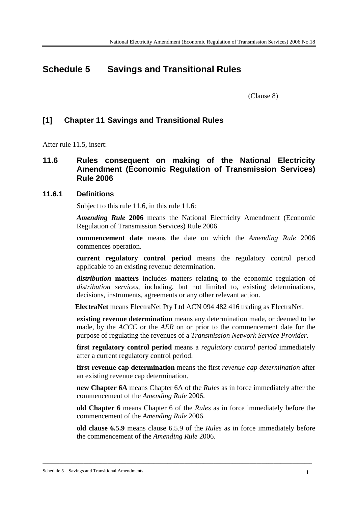# **Schedule 5 Savings and Transitional Rules**

(Clause 8)

## **[1] Chapter 11 Savings and Transitional Rules**

After rule 11.5, insert:

## **11.6 Rules consequent on making of the National Electricity Amendment (Economic Regulation of Transmission Services) Rule 2006**

### **11.6.1 Definitions**

Subject to this rule 11.6, in this rule 11.6:

*Amending Rule* **2006** means the National Electricity Amendment (Economic Regulation of Transmission Services) Rule 2006.

**commencement date** means the date on which the *Amending Rule* 2006 commences operation.

**current regulatory control period** means the regulatory control period applicable to an existing revenue determination.

*distribution* **matters** includes matters relating to the economic regulation of *distribution services*, including, but not limited to, existing determinations, decisions, instruments, agreements or any other relevant action.

**ElectraNet** means ElectraNet Pty Ltd ACN 094 482 416 trading as ElectraNet.

**existing revenue determination** means any determination made, or deemed to be made, by the *ACCC* or the *AER* on or prior to the commencement date for the purpose of regulating the revenues of a *Transmission Network Service Provider*.

**first regulatory control period** means a *regulatory control period* immediately after a current regulatory control period.

**first revenue cap determination** means the first *revenue cap determination* after an existing revenue cap determination.

**new Chapter 6A** means Chapter 6A of the *Rule*s as in force immediately after the commencement of the *Amending Rule* 2006.

**old Chapter 6** means Chapter 6 of the *Rules* as in force immediately before the commencement of the *Amending Rule* 2006.

**old clause 6.5.9** means clause 6.5.9 of the *Rules* as in force immediately before the commencement of the *Amending Rule* 2006.

\_\_\_\_\_\_\_\_\_\_\_\_\_\_\_\_\_\_\_\_\_\_\_\_\_\_\_\_\_\_\_\_\_\_\_\_\_\_\_\_\_\_\_\_\_\_\_\_\_\_\_\_\_\_\_\_\_\_\_\_\_\_\_\_\_\_\_\_\_\_\_\_\_\_\_\_\_\_\_\_\_\_\_\_\_\_\_\_\_\_\_\_\_\_\_\_\_\_\_\_\_\_\_\_\_\_\_\_\_\_\_\_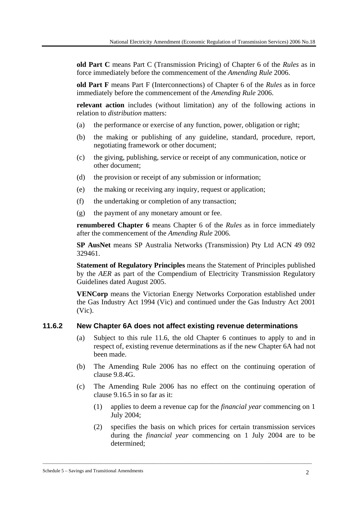**old Part C** means Part C (Transmission Pricing) of Chapter 6 of the *Rules* as in force immediately before the commencement of the *Amending Rule* 2006.

**old Part F** means Part F (Interconnections) of Chapter 6 of the *Rules* as in force immediately before the commencement of the *Amending Rule* 2006.

**relevant action** includes (without limitation) any of the following actions in relation to *distribution* matters:

- (a) the performance or exercise of any function, power, obligation or right;
- (b) the making or publishing of any guideline, standard, procedure, report, negotiating framework or other document;
- (c) the giving, publishing, service or receipt of any communication, notice or other document;
- (d) the provision or receipt of any submission or information;
- (e) the making or receiving any inquiry, request or application;
- (f) the undertaking or completion of any transaction;
- (g) the payment of any monetary amount or fee.

**renumbered Chapter 6** means Chapter 6 of the *Rules* as in force immediately after the commencement of the *Amending Rule* 2006.

**SP AusNet** means SP Australia Networks (Transmission) Pty Ltd ACN 49 092 329461.

**Statement of Regulatory Principles** means the Statement of Principles published by the *AER* as part of the Compendium of Electricity Transmission Regulatory Guidelines dated August 2005.

**VENCorp** means the Victorian Energy Networks Corporation established under the Gas Industry Act 1994 (Vic) and continued under the Gas Industry Act 2001 (Vic).

### **11.6.2 New Chapter 6A does not affect existing revenue determinations**

- (a) Subject to this rule 11.6, the old Chapter 6 continues to apply to and in respect of, existing revenue determinations as if the new Chapter 6A had not been made.
- (b) The Amending Rule 2006 has no effect on the continuing operation of clause 9.8.4G.
- (c) The Amending Rule 2006 has no effect on the continuing operation of clause 9.16.5 in so far as it:
	- (1) applies to deem a revenue cap for the *financial year* commencing on 1 July 2004;
	- (2) specifies the basis on which prices for certain transmission services during the *financial year* commencing on 1 July 2004 are to be determined;

\_\_\_\_\_\_\_\_\_\_\_\_\_\_\_\_\_\_\_\_\_\_\_\_\_\_\_\_\_\_\_\_\_\_\_\_\_\_\_\_\_\_\_\_\_\_\_\_\_\_\_\_\_\_\_\_\_\_\_\_\_\_\_\_\_\_\_\_\_\_\_\_\_\_\_\_\_\_\_\_\_\_\_\_\_\_\_\_\_\_\_\_\_\_\_\_\_\_\_\_\_\_\_\_\_\_\_\_\_\_\_\_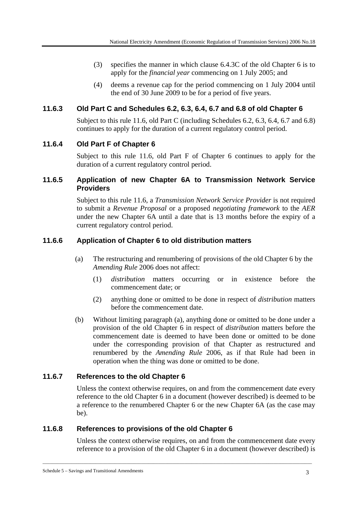- (3) specifies the manner in which clause 6.4.3C of the old Chapter 6 is to apply for the *financial year* commencing on 1 July 2005; and
- (4) deems a revenue cap for the period commencing on 1 July 2004 until the end of 30 June 2009 to be for a period of five years.

## **11.6.3 Old Part C and Schedules 6.2, 6.3, 6.4, 6.7 and 6.8 of old Chapter 6**

Subject to this rule 11.6, old Part C (including Schedules 6.2, 6.3, 6.4, 6.7 and 6.8) continues to apply for the duration of a current regulatory control period.

## **11.6.4 Old Part F of Chapter 6**

Subject to this rule 11.6, old Part F of Chapter 6 continues to apply for the duration of a current regulatory control period.

### **11.6.5 Application of new Chapter 6A to Transmission Network Service Providers**

Subject to this rule 11.6, a *Transmission Network Service Provider* is not required to submit a *Revenue Proposal* or a proposed *negotiating framework* to the *AER* under the new Chapter 6A until a date that is 13 months before the expiry of a current regulatory control period.

## **11.6.6 Application of Chapter 6 to old distribution matters**

- (a) The restructuring and renumbering of provisions of the old Chapter 6 by the *Amending Rule* 2006 does not affect:
	- (1) *distribution* matters occurring or in existence before the commencement date; or
	- (2) anything done or omitted to be done in respect of *distribution* matters before the commencement date.
- (b) Without limiting paragraph (a), anything done or omitted to be done under a provision of the old Chapter 6 in respect of *distribution* matters before the commencement date is deemed to have been done or omitted to be done under the corresponding provision of that Chapter as restructured and renumbered by the *Amending Rule* 2006, as if that Rule had been in operation when the thing was done or omitted to be done.

## **11.6.7 References to the old Chapter 6**

Unless the context otherwise requires, on and from the commencement date every reference to the old Chapter 6 in a document (however described) is deemed to be a reference to the renumbered Chapter 6 or the new Chapter 6A (as the case may be).

## **11.6.8 References to provisions of the old Chapter 6**

Unless the context otherwise requires, on and from the commencement date every reference to a provision of the old Chapter 6 in a document (however described) is

\_\_\_\_\_\_\_\_\_\_\_\_\_\_\_\_\_\_\_\_\_\_\_\_\_\_\_\_\_\_\_\_\_\_\_\_\_\_\_\_\_\_\_\_\_\_\_\_\_\_\_\_\_\_\_\_\_\_\_\_\_\_\_\_\_\_\_\_\_\_\_\_\_\_\_\_\_\_\_\_\_\_\_\_\_\_\_\_\_\_\_\_\_\_\_\_\_\_\_\_\_\_\_\_\_\_\_\_\_\_\_\_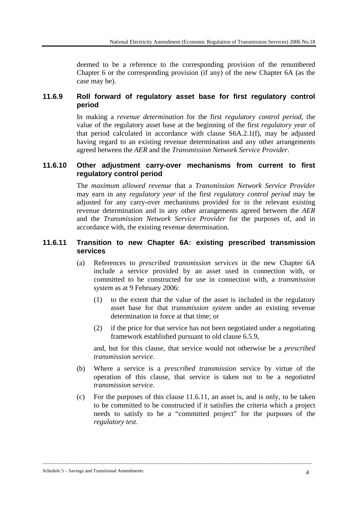deemed to be a reference to the corresponding provision of the renumbered Chapter 6 or the corresponding provision (if any) of the new Chapter 6A (as the case may be).

# **11.6.9 Roll forward of regulatory asset base for first regulatory control period**

In making a *revenue determination* for the first *regulatory control period*, the value of the regulatory asset base at the beginning of the first *regulatory year* of that period calculated in accordance with clause S6A.2.1(f), may be adjusted having regard to an existing revenue determination and any other arrangements agreed between the *AER* and the *Transmission Network Service Provider.*

# **11.6.10 Other adjustment carry-over mechanisms from current to first regulatory control period**

The *maximum allowed revenue* that a *Transmission Network Service Provider*  may earn in any *regulatory year* of the first *regulatory control period* may be adjusted for any carry-over mechanisms provided for in the relevant existing revenue determination and in any other arrangements agreed between the *AER* and the *Transmission Network Service Provider* for the purposes of, and in accordance with, the existing revenue determination.

### **11.6.11 Transition to new Chapter 6A: existing prescribed transmission services**

- (a) References to *prescribed transmission services* in the new Chapter 6A include a service provided by an asset used in connection with, or committed to be constructed for use in connection with, a *transmission system* as at 9 February 2006:
	- (1) to the extent that the value of the asset is included in the regulatory asset base for that *transmission system* under an existing revenue determination in force at that time; or
	- (2) if the price for that service has not been negotiated under a negotiating framework established pursuant to old clause 6.5.9,

and, but for this clause, that service would not otherwise be a *prescribed transmission service*.

- (b) Where a service is a *prescribed transmission* service by virtue of the operation of this clause, that service is taken not to be a *negotiated transmission service*.
- (c) For the purposes of this clause 11.6.11, an asset is, and is only, to be taken to be committed to be constructed if it satisfies the criteria which a project needs to satisfy to be a "committed project" for the purposes of the *regulatory test*.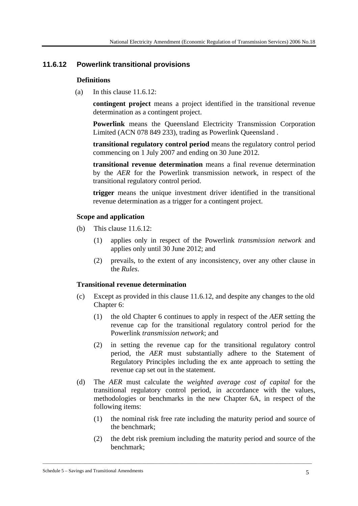# **11.6.12 Powerlink transitional provisions**

#### **Definitions**

(a) In this clause  $11.6.12$ :

**contingent project** means a project identified in the transitional revenue determination as a contingent project.

**Powerlink** means the Queensland Electricity Transmission Corporation Limited (ACN 078 849 233), trading as Powerlink Queensland .

**transitional regulatory control period** means the regulatory control period commencing on 1 July 2007 and ending on 30 June 2012.

**transitional revenue determination** means a final revenue determination by the *AER* for the Powerlink transmission network, in respect of the transitional regulatory control period.

**trigger** means the unique investment driver identified in the transitional revenue determination as a trigger for a contingent project.

#### **Scope and application**

- (b) This clause 11.6.12:
	- (1) applies only in respect of the Powerlink *transmission network* and applies only until 30 June 2012; and
	- (2) prevails, to the extent of any inconsistency, over any other clause in the *Rules*.

#### **Transitional revenue determination**

- (c) Except as provided in this clause 11.6.12, and despite any changes to the old Chapter 6:
	- (1) the old Chapter 6 continues to apply in respect of the *AER* setting the revenue cap for the transitional regulatory control period for the Powerlink *transmission network*; and
	- (2) in setting the revenue cap for the transitional regulatory control period, the *AER* must substantially adhere to the Statement of Regulatory Principles including the ex ante approach to setting the revenue cap set out in the statement.
- (d) The *AER* must calculate the *weighted average cost of capital* for the transitional regulatory control period, in accordance with the values, methodologies or benchmarks in the new Chapter 6A, in respect of the following items:
	- (1) the nominal risk free rate including the maturity period and source of the benchmark;
	- (2) the debt risk premium including the maturity period and source of the benchmark;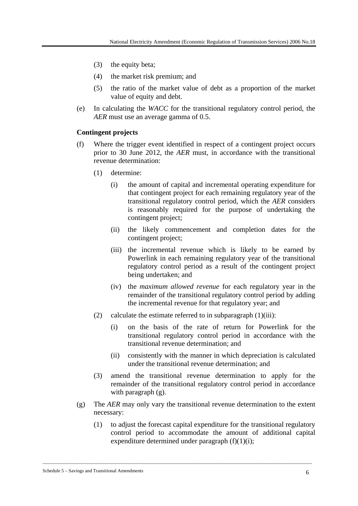- (3) the equity beta;
- (4) the market risk premium; and
- (5) the ratio of the market value of debt as a proportion of the market value of equity and debt.
- (e) In calculating the *WACC* for the transitional regulatory control period, the *AER* must use an average gamma of 0.5.

#### **Contingent projects**

- (f) Where the trigger event identified in respect of a contingent project occurs prior to 30 June 2012, the *AER* must, in accordance with the transitional revenue determination:
	- (1) determine:
		- (i) the amount of capital and incremental operating expenditure for that contingent project for each remaining regulatory year of the transitional regulatory control period, which the *AER* considers is reasonably required for the purpose of undertaking the contingent project;
		- (ii) the likely commencement and completion dates for the contingent project;
		- (iii) the incremental revenue which is likely to be earned by Powerlink in each remaining regulatory year of the transitional regulatory control period as a result of the contingent project being undertaken; and
		- (iv) the *maximum allowed revenue* for each regulatory year in the remainder of the transitional regulatory control period by adding the incremental revenue for that regulatory year; and
	- (2) calculate the estimate referred to in subparagraph  $(1)(iii)$ :
		- (i) on the basis of the rate of return for Powerlink for the transitional regulatory control period in accordance with the transitional revenue determination; and
		- (ii) consistently with the manner in which depreciation is calculated under the transitional revenue determination; and
	- (3) amend the transitional revenue determination to apply for the remainder of the transitional regulatory control period in accordance with paragraph  $(g)$ .
- (g) The *AER* may only vary the transitional revenue determination to the extent necessary:

\_\_\_\_\_\_\_\_\_\_\_\_\_\_\_\_\_\_\_\_\_\_\_\_\_\_\_\_\_\_\_\_\_\_\_\_\_\_\_\_\_\_\_\_\_\_\_\_\_\_\_\_\_\_\_\_\_\_\_\_\_\_\_\_\_\_\_\_\_\_\_\_\_\_\_\_\_\_\_\_\_\_\_\_\_\_\_\_\_\_\_\_\_\_\_\_\_\_\_\_\_\_\_\_\_\_\_\_\_\_\_\_

(1) to adjust the forecast capital expenditure for the transitional regulatory control period to accommodate the amount of additional capital expenditure determined under paragraph  $(f)(1)(i)$ ;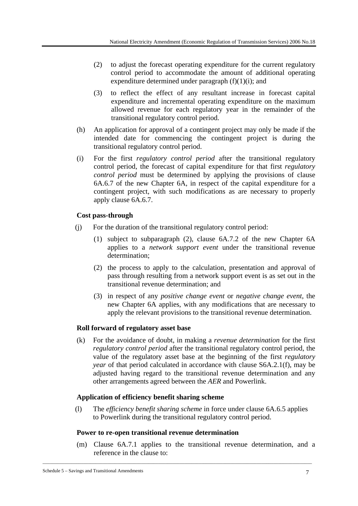- (2) to adjust the forecast operating expenditure for the current regulatory control period to accommodate the amount of additional operating expenditure determined under paragraph  $(f)(1)(i)$ ; and
- (3) to reflect the effect of any resultant increase in forecast capital expenditure and incremental operating expenditure on the maximum allowed revenue for each regulatory year in the remainder of the transitional regulatory control period.
- (h) An application for approval of a contingent project may only be made if the intended date for commencing the contingent project is during the transitional regulatory control period.
- (i) For the first *regulatory control period* after the transitional regulatory control period, the forecast of capital expenditure for that first *regulatory control period* must be determined by applying the provisions of clause 6A.6.7 of the new Chapter 6A, in respect of the capital expenditure for a contingent project, with such modifications as are necessary to properly apply clause 6A.6.7.

# **Cost pass-through**

- (j) For the duration of the transitional regulatory control period:
	- (1) subject to subparagraph (2), clause 6A.7.2 of the new Chapter 6A applies to a *network support event* under the transitional revenue determination;
	- (2) the process to apply to the calculation, presentation and approval of pass through resulting from a network support event is as set out in the transitional revenue determination; and
	- (3) in respect of any *positive change event* or *negative change event*, the new Chapter 6A applies, with any modifications that are necessary to apply the relevant provisions to the transitional revenue determination.

# **Roll forward of regulatory asset base**

(k) For the avoidance of doubt, in making a *revenue determination* for the first *regulatory control period* after the transitional regulatory control period, the value of the regulatory asset base at the beginning of the first *regulatory year* of that period calculated in accordance with clause S6A.2.1(f), may be adjusted having regard to the transitional revenue determination and any other arrangements agreed between the *AER* and Powerlink.

### **Application of efficiency benefit sharing scheme**

(l) The *efficiency benefit sharing scheme* in force under clause 6A.6.5 applies to Powerlink during the transitional regulatory control period.

### **Power to re-open transitional revenue determination**

(m) Clause 6A.7.1 applies to the transitional revenue determination, and a reference in the clause to: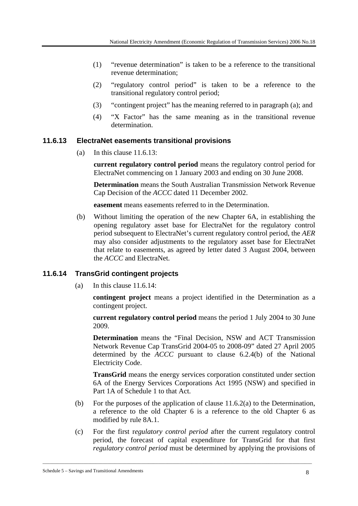- (1) "revenue determination" is taken to be a reference to the transitional revenue determination;
- (2) "regulatory control period" is taken to be a reference to the transitional regulatory control period;
- (3) "contingent project" has the meaning referred to in paragraph (a); and
- (4) "X Factor" has the same meaning as in the transitional revenue determination.

### **11.6.13 ElectraNet easements transitional provisions**

(a) In this clause 11.6.13:

**current regulatory control period** means the regulatory control period for ElectraNet commencing on 1 January 2003 and ending on 30 June 2008.

**Determination** means the South Australian Transmission Network Revenue Cap Decision of the *ACCC* dated 11 December 2002.

**easement** means easements referred to in the Determination.

(b) Without limiting the operation of the new Chapter 6A, in establishing the opening regulatory asset base for ElectraNet for the regulatory control period subsequent to ElectraNet's current regulatory control period, the *AER* may also consider adjustments to the regulatory asset base for ElectraNet that relate to easements, as agreed by letter dated 3 August 2004, between the *ACCC* and ElectraNet.

### **11.6.14 TransGrid contingent projects**

(a) In this clause 11.6.14:

**contingent project** means a project identified in the Determination as a contingent project.

**current regulatory control period** means the period 1 July 2004 to 30 June 2009.

**Determination** means the "Final Decision, NSW and ACT Transmission Network Revenue Cap TransGrid 2004-05 to 2008-09" dated 27 April 2005 determined by the *ACCC* pursuant to clause 6.2.4(b) of the National Electricity Code.

**TransGrid** means the energy services corporation constituted under section 6A of the Energy Services Corporations Act 1995 (NSW) and specified in Part 1A of Schedule 1 to that Act.

- (b) For the purposes of the application of clause  $11.6.2(a)$  to the Determination, a reference to the old Chapter 6 is a reference to the old Chapter 6 as modified by rule 8A.1.
- (c) For the first r*egulatory control period* after the current regulatory control period, the forecast of capital expenditure for TransGrid for that first *regulatory control period* must be determined by applying the provisions of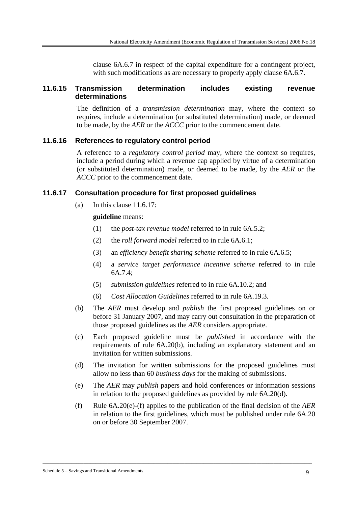clause 6A.6.7 in respect of the capital expenditure for a contingent project, with such modifications as are necessary to properly apply clause  $6A.6.7$ .

### **11.6.15 Transmission determination includes existing revenue determinations**

The definition of a *transmission determination* may, where the context so requires, include a determination (or substituted determination) made, or deemed to be made, by the *AER* or the *ACCC* prior to the commencement date.

#### **11.6.16 References to regulatory control period**

A reference to a *regulatory control period* may, where the context so requires, include a period during which a revenue cap applied by virtue of a determination (or substituted determination) made, or deemed to be made, by the *AER* or the *ACCC* prior to the commencement date.

### **11.6.17 Consultation procedure for first proposed guidelines**

(a) In this clause  $11.6.17$ :

**guideline** means:

- (1) the *post-tax revenue model* referred to in rule 6A.5.2;
- (2) the *roll forward model* referred to in rule 6A.6.1;
- (3) an *efficiency benefit sharing scheme* referred to in rule 6A.6.5;
- (4) a *service target performance incentive scheme* referred to in rule 6A.7.4;
- (5) *submission guidelines* referred to in rule 6A.10.2; and
- (6) *Cost Allocation Guidelines* referred to in rule 6A.19.3.
- (b) The *AER* must develop and *publish* the first proposed guidelines on or before 31 January 2007, and may carry out consultation in the preparation of those proposed guidelines as the *AER* considers appropriate.
- (c) Each proposed guideline must be *published* in accordance with the requirements of rule 6A.20(b), including an explanatory statement and an invitation for written submissions.
- (d) The invitation for written submissions for the proposed guidelines must allow no less than 60 *business days* for the making of submissions.
- (e) The *AER* may *publish* papers and hold conferences or information sessions in relation to the proposed guidelines as provided by rule 6A.20(d).
- (f) Rule 6A.20(e)-(f) applies to the publication of the final decision of the *AER* in relation to the first guidelines, which must be published under rule 6A.20 on or before 30 September 2007.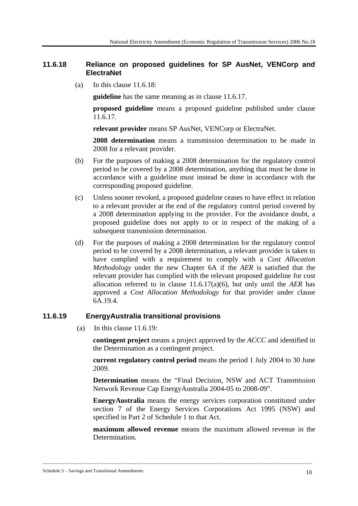### **11.6.18 Reliance on proposed guidelines for SP AusNet, VENCorp and ElectraNet**

(a) In this clause 11.6.18:

**guideline** has the same meaning as in clause 11.6.17.

**proposed guideline** means a proposed guideline published under clause 11.6.17.

**relevant provider** means SP AusNet, VENCorp or ElectraNet.

**2008 determination** means a transmission determination to be made in 2008 for a relevant provider.

- (b) For the purposes of making a 2008 determination for the regulatory control period to be covered by a 2008 determination, anything that must be done in accordance with a guideline must instead be done in accordance with the corresponding proposed guideline.
- (c) Unless sooner revoked, a proposed guideline ceases to have effect in relation to a relevant provider at the end of the regulatory control period covered by a 2008 determination applying to the provider. For the avoidance doubt, a proposed guideline does not apply to or in respect of the making of a subsequent transmission determination.
- (d) For the purposes of making a 2008 determination for the regulatory control period to be covered by a 2008 determination, a relevant provider is taken to have complied with a requirement to comply with a *Cost Allocation Methodology* under the new Chapter 6A if the *AER* is satisfied that the relevant provider has complied with the relevant proposed guideline for cost allocation referred to in clause 11.6.17(a)(6), but only until the *AER* has approved a *Cost Allocation Methodology* for that provider under clause 6A.19.4.

### **11.6.19 EnergyAustralia transitional provisions**

(a) In this clause 11.6.19:

**contingent project** means a project approved by the *ACCC* and identified in the Determination as a contingent project.

**current regulatory control period** means the period 1 July 2004 to 30 June 2009.

**Determination** means the "Final Decision, NSW and ACT Transmission Network Revenue Cap EnergyAustralia 2004-05 to 2008-09".

**EnergyAustralia** means the energy services corporation constituted under section 7 of the Energy Services Corporations Act 1995 (NSW) and specified in Part 2 of Schedule 1 to that Act.

**maximum allowed revenue** means the maximum allowed revenue in the Determination.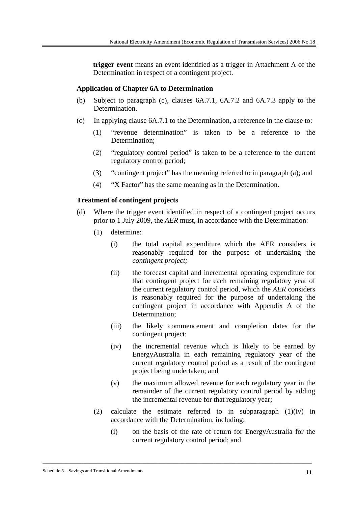**trigger event** means an event identified as a trigger in Attachment A of the Determination in respect of a contingent project.

#### **Application of Chapter 6A to Determination**

- (b) Subject to paragraph (c), clauses 6A.7.1, 6A.7.2 and 6A.7.3 apply to the Determination.
- (c) In applying clause 6A.7.1 to the Determination, a reference in the clause to:
	- (1) "revenue determination" is taken to be a reference to the Determination<sup>.</sup>
	- (2) "regulatory control period" is taken to be a reference to the current regulatory control period;
	- (3) "contingent project" has the meaning referred to in paragraph (a); and
	- (4) "X Factor" has the same meaning as in the Determination.

#### **Treatment of contingent projects**

- (d) Where the trigger event identified in respect of a contingent project occurs prior to 1 July 2009, the *AER* must, in accordance with the Determination:
	- (1) determine:
		- (i) the total capital expenditure which the AER considers is reasonably required for the purpose of undertaking the *contingent project;*
		- (ii) the forecast capital and incremental operating expenditure for that contingent project for each remaining regulatory year of the current regulatory control period, which the *AER* considers is reasonably required for the purpose of undertaking the contingent project in accordance with Appendix A of the Determination;
		- (iii) the likely commencement and completion dates for the contingent project;
		- (iv) the incremental revenue which is likely to be earned by EnergyAustralia in each remaining regulatory year of the current regulatory control period as a result of the contingent project being undertaken; and
		- (v) the maximum allowed revenue for each regulatory year in the remainder of the current regulatory control period by adding the incremental revenue for that regulatory year;
	- (2) calculate the estimate referred to in subparagraph (1)(iv) in accordance with the Determination, including:

\_\_\_\_\_\_\_\_\_\_\_\_\_\_\_\_\_\_\_\_\_\_\_\_\_\_\_\_\_\_\_\_\_\_\_\_\_\_\_\_\_\_\_\_\_\_\_\_\_\_\_\_\_\_\_\_\_\_\_\_\_\_\_\_\_\_\_\_\_\_\_\_\_\_\_\_\_\_\_\_\_\_\_\_\_\_\_\_\_\_\_\_\_\_\_\_\_\_\_\_\_\_\_\_\_\_\_\_\_\_\_\_

(i) on the basis of the rate of return for EnergyAustralia for the current regulatory control period; and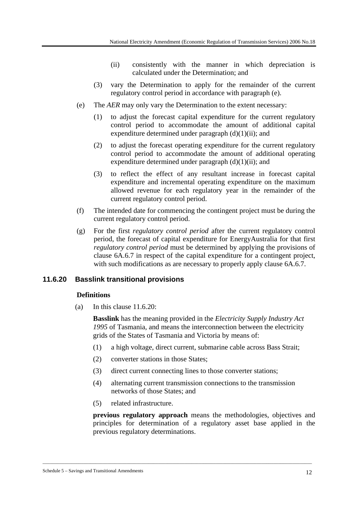- (ii) consistently with the manner in which depreciation is calculated under the Determination; and
- (3) vary the Determination to apply for the remainder of the current regulatory control period in accordance with paragraph (e).
- (e) The *AER* may only vary the Determination to the extent necessary:
	- (1) to adjust the forecast capital expenditure for the current regulatory control period to accommodate the amount of additional capital expenditure determined under paragraph  $(d)(1)(ii)$ ; and
	- (2) to adjust the forecast operating expenditure for the current regulatory control period to accommodate the amount of additional operating expenditure determined under paragraph  $(d)(1)(ii)$ ; and
	- (3) to reflect the effect of any resultant increase in forecast capital expenditure and incremental operating expenditure on the maximum allowed revenue for each regulatory year in the remainder of the current regulatory control period.
- (f) The intended date for commencing the contingent project must be during the current regulatory control period.
- (g) For the first *regulatory control period* after the current regulatory control period, the forecast of capital expenditure for EnergyAustralia for that first *regulatory control period* must be determined by applying the provisions of clause 6A.6.7 in respect of the capital expenditure for a contingent project, with such modifications as are necessary to properly apply clause 6A.6.7.

# **11.6.20 Basslink transitional provisions**

### **Definitions**

(a) In this clause 11.6.20:

**Basslink** has the meaning provided in the *Electricity Supply Industry Act 1995* of Tasmania, and means the interconnection between the electricity grids of the States of Tasmania and Victoria by means of:

- (1) a high voltage, direct current, submarine cable across Bass Strait;
- (2) converter stations in those States;
- (3) direct current connecting lines to those converter stations;

\_\_\_\_\_\_\_\_\_\_\_\_\_\_\_\_\_\_\_\_\_\_\_\_\_\_\_\_\_\_\_\_\_\_\_\_\_\_\_\_\_\_\_\_\_\_\_\_\_\_\_\_\_\_\_\_\_\_\_\_\_\_\_\_\_\_\_\_\_\_\_\_\_\_\_\_\_\_\_\_\_\_\_\_\_\_\_\_\_\_\_\_\_\_\_\_\_\_\_\_\_\_\_\_\_\_\_\_\_\_\_\_

- (4) alternating current transmission connections to the transmission networks of those States; and
- (5) related infrastructure.

**previous regulatory approach** means the methodologies, objectives and principles for determination of a regulatory asset base applied in the previous regulatory determinations.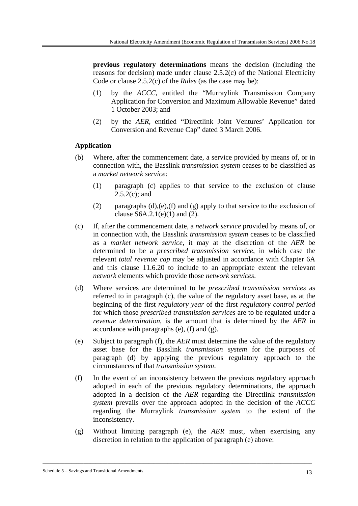**previous regulatory determinations** means the decision (including the reasons for decision) made under clause 2.5.2(c) of the National Electricity Code or clause 2.5.2(c) of the *Rules* (as the case may be):

- (1) by the *ACCC,* entitled the "Murraylink Transmission Company Application for Conversion and Maximum Allowable Revenue" dated 1 October 2003; and
- (2) by the *AER,* entitled "Directlink Joint Ventures' Application for Conversion and Revenue Cap" dated 3 March 2006.

### **Application**

- (b) Where, after the commencement date, a service provided by means of, or in connection with, the Basslink *transmission system* ceases to be classified as a *market network service*:
	- (1) paragraph (c) applies to that service to the exclusion of clause  $2.5.2(c)$ ; and
	- (2) paragraphs  $(d)$ ,(e),(f) and (g) apply to that service to the exclusion of clause  $S6A.2.1(e)(1)$  and (2).
- (c) If, after the commencement date, a *network service* provided by means of, or in connection with, the Basslink *transmission system* ceases to be classified as a *market network service*, it may at the discretion of the *AER* be determined to be a *prescribed transmission service*, in which case the relevant *total revenue cap* may be adjusted in accordance with Chapter 6A and this clause 11.6.20 to include to an appropriate extent the relevant *network* elements which provide those *network services*.
- (d) Where services are determined to be *prescribed transmission services* as referred to in paragraph (c), the value of the regulatory asset base, as at the beginning of the first *regulatory year* of the first *regulatory control period* for which those *prescribed transmission services* are to be regulated under a *revenue determination*, is the amount that is determined by the *AER* in accordance with paragraphs (e), (f) and (g).
- (e) Subject to paragraph (f), the *AER* must determine the value of the regulatory asset base for the Basslink *transmission system* for the purposes of paragraph (d) by applying the previous regulatory approach to the circumstances of that *transmission system*.
- (f) In the event of an inconsistency between the previous regulatory approach adopted in each of the previous regulatory determinations, the approach adopted in a decision of the *AER* regarding the Directlink *transmission system* prevails over the approach adopted in the decision of the *ACCC* regarding the Murraylink *transmission system* to the extent of the inconsistency.
- (g) Without limiting paragraph (e), the *AER* must, when exercising any discretion in relation to the application of paragraph (e) above: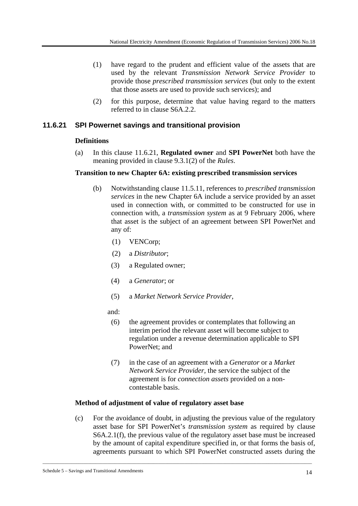- (1) have regard to the prudent and efficient value of the assets that are used by the relevant *Transmission Network Service Provider* to provide those *prescribed transmission services* (but only to the extent that those assets are used to provide such services); and
- (2) for this purpose, determine that value having regard to the matters referred to in clause S6A.2.2.

# **11.6.21 SPI Powernet savings and transitional provision**

# **Definitions**

(a) In this clause 11.6.21, **Regulated owner** and **SPI PowerNet** both have the meaning provided in clause 9.3.1(2) of the *Rules*.

### **Transition to new Chapter 6A: existing prescribed transmission services**

- (b) Notwithstanding clause 11.5.11, references to *prescribed transmission services* in the new Chapter 6A include a service provided by an asset used in connection with, or committed to be constructed for use in connection with, a *transmission system* as at 9 February 2006, where that asset is the subject of an agreement between SPI PowerNet and any of:
	- (1) VENCorp;
	- (2) a *Distributor*;
	- (3) a Regulated owner;
	- (4) a *Generator*; or
	- (5) a *Market Network Service Provider*,

### and:

- (6) the agreement provides or contemplates that following an interim period the relevant asset will become subject to regulation under a revenue determination applicable to SPI PowerNet; and
- (7) in the case of an agreement with a *Generator* or a *Market Network Service Provider,* the service the subject of the agreement is for *connection assets* provided on a noncontestable basis.

# **Method of adjustment of value of regulatory asset base**

(c) For the avoidance of doubt, in adjusting the previous value of the regulatory asset base for SPI PowerNet's *transmission system* as required by clause S6A.2.1(f), the previous value of the regulatory asset base must be increased by the amount of capital expenditure specified in, or that forms the basis of, agreements pursuant to which SPI PowerNet constructed assets during the